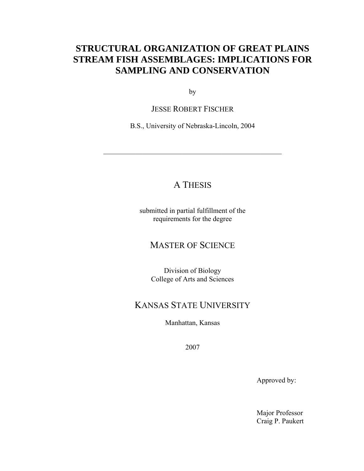# **STRUCTURAL ORGANIZATION OF GREAT PLAINS STREAM FISH ASSEMBLAGES: IMPLICATIONS FOR SAMPLING AND CONSERVATION**

by

JESSE ROBERT FISCHER

B.S., University of Nebraska-Lincoln, 2004

\_\_\_\_\_\_\_\_\_\_\_\_\_\_\_\_\_\_\_\_\_\_\_\_\_\_\_\_\_\_\_\_\_\_\_\_\_\_\_\_\_\_\_\_\_\_\_\_\_\_

# A THESIS

submitted in partial fulfillment of the requirements for the degree

### MASTER OF SCIENCE

Division of Biology College of Arts and Sciences

## KANSAS STATE UNIVERSITY

Manhattan, Kansas

2007

Approved by:

Major Professor Craig P. Paukert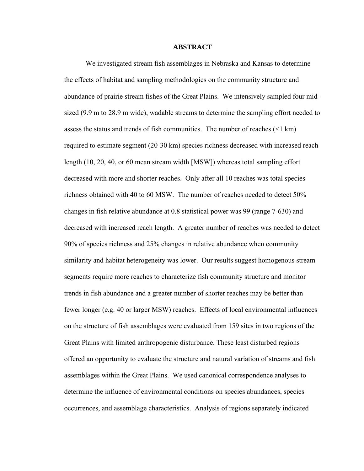#### **ABSTRACT**

We investigated stream fish assemblages in Nebraska and Kansas to determine the effects of habitat and sampling methodologies on the community structure and abundance of prairie stream fishes of the Great Plains. We intensively sampled four midsized (9.9 m to 28.9 m wide), wadable streams to determine the sampling effort needed to assess the status and trends of fish communities. The number of reaches  $(\leq 1 \text{ km})$ required to estimate segment (20-30 km) species richness decreased with increased reach length (10, 20, 40, or 60 mean stream width [MSW]) whereas total sampling effort decreased with more and shorter reaches. Only after all 10 reaches was total species richness obtained with 40 to 60 MSW. The number of reaches needed to detect 50% changes in fish relative abundance at 0.8 statistical power was 99 (range 7-630) and decreased with increased reach length. A greater number of reaches was needed to detect 90% of species richness and 25% changes in relative abundance when community similarity and habitat heterogeneity was lower. Our results suggest homogenous stream segments require more reaches to characterize fish community structure and monitor trends in fish abundance and a greater number of shorter reaches may be better than fewer longer (e.g. 40 or larger MSW) reaches. Effects of local environmental influences on the structure of fish assemblages were evaluated from 159 sites in two regions of the Great Plains with limited anthropogenic disturbance. These least disturbed regions offered an opportunity to evaluate the structure and natural variation of streams and fish assemblages within the Great Plains. We used canonical correspondence analyses to determine the influence of environmental conditions on species abundances, species occurrences, and assemblage characteristics. Analysis of regions separately indicated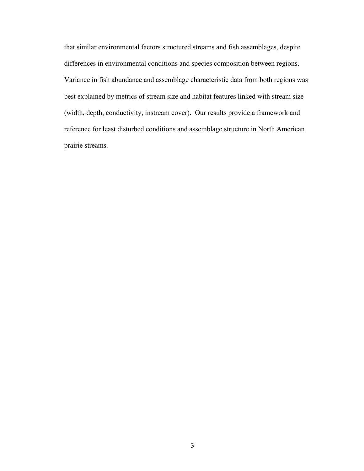that similar environmental factors structured streams and fish assemblages, despite differences in environmental conditions and species composition between regions. Variance in fish abundance and assemblage characteristic data from both regions was best explained by metrics of stream size and habitat features linked with stream size (width, depth, conductivity, instream cover). Our results provide a framework and reference for least disturbed conditions and assemblage structure in North American prairie streams.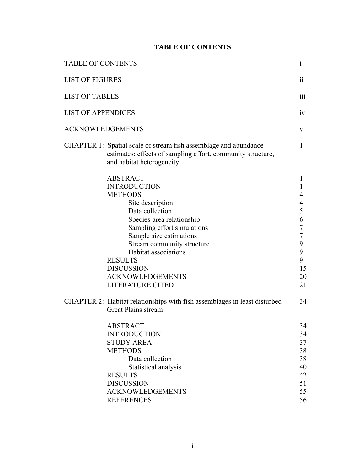### **TABLE OF CONTENTS**

| <b>TABLE OF CONTENTS</b>  |                                                                                                                                                                                                                                                                                                                                           | $\mathbf{1}$                                                                                                   |
|---------------------------|-------------------------------------------------------------------------------------------------------------------------------------------------------------------------------------------------------------------------------------------------------------------------------------------------------------------------------------------|----------------------------------------------------------------------------------------------------------------|
| <b>LIST OF FIGURES</b>    |                                                                                                                                                                                                                                                                                                                                           | 11                                                                                                             |
| <b>LIST OF TABLES</b>     |                                                                                                                                                                                                                                                                                                                                           | 111                                                                                                            |
| <b>LIST OF APPENDICES</b> |                                                                                                                                                                                                                                                                                                                                           | iv                                                                                                             |
| <b>ACKNOWLEDGEMENTS</b>   |                                                                                                                                                                                                                                                                                                                                           | V                                                                                                              |
|                           | CHAPTER 1: Spatial scale of stream fish assemblage and abundance<br>estimates: effects of sampling effort, community structure,<br>and habitat heterogeneity                                                                                                                                                                              | 1                                                                                                              |
|                           | <b>ABSTRACT</b><br><b>INTRODUCTION</b><br><b>METHODS</b><br>Site description<br>Data collection<br>Species-area relationship<br>Sampling effort simulations<br>Sample size estimations<br>Stream community structure<br>Habitat associations<br><b>RESULTS</b><br><b>DISCUSSION</b><br><b>ACKNOWLEDGEMENTS</b><br><b>LITERATURE CITED</b> | 1<br>1<br>4<br>$\overline{\mathcal{A}}$<br>5<br>6<br>$\tau$<br>$\overline{7}$<br>9<br>9<br>9<br>15<br>20<br>21 |
|                           | CHAPTER 2: Habitat relationships with fish assemblages in least disturbed<br>Great Plains stream                                                                                                                                                                                                                                          | 34                                                                                                             |
|                           | ABSTRACT<br><b>INTRODUCTION</b><br><b>STUDY AREA</b><br><b>METHODS</b><br>Data collection<br>Statistical analysis<br><b>RESULTS</b><br><b>DISCUSSION</b><br><b>ACKNOWLEDGEMENTS</b><br><b>REFERENCES</b>                                                                                                                                  | 34<br>34<br>37<br>38<br>38<br>40<br>42<br>51<br>55<br>56                                                       |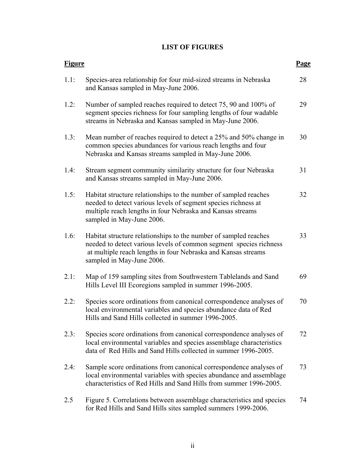### **LIST OF FIGURES**

| <b>Figure</b> |                                                                                                                                                                                                                                      | Page |
|---------------|--------------------------------------------------------------------------------------------------------------------------------------------------------------------------------------------------------------------------------------|------|
| 1.1:          | Species-area relationship for four mid-sized streams in Nebraska<br>and Kansas sampled in May-June 2006.                                                                                                                             | 28   |
| 1.2:          | Number of sampled reaches required to detect 75, 90 and 100% of<br>segment species richness for four sampling lengths of four wadable<br>streams in Nebraska and Kansas sampled in May-June 2006.                                    | 29   |
| 1.3:          | Mean number of reaches required to detect a 25% and 50% change in<br>common species abundances for various reach lengths and four<br>Nebraska and Kansas streams sampled in May-June 2006.                                           | 30   |
| 1.4:          | Stream segment community similarity structure for four Nebraska<br>and Kansas streams sampled in May-June 2006.                                                                                                                      | 31   |
| 1.5:          | Habitat structure relationships to the number of sampled reaches<br>needed to detect various levels of segment species richness at<br>multiple reach lengths in four Nebraska and Kansas streams<br>sampled in May-June 2006.        | 32   |
| 1.6:          | Habitat structure relationships to the number of sampled reaches<br>needed to detect various levels of common segment species richness<br>at multiple reach lengths in four Nebraska and Kansas streams<br>sampled in May-June 2006. | 33   |
| 2.1:          | Map of 159 sampling sites from Southwestern Tablelands and Sand<br>Hills Level III Ecoregions sampled in summer 1996-2005.                                                                                                           | 69   |
| 2.2:          | Species score ordinations from canonical correspondence analyses of<br>local environmental variables and species abundance data of Red<br>Hills and Sand Hills collected in summer 1996-2005.                                        | 70   |
| 2.3:          | Species score ordinations from canonical correspondence analyses of<br>local environmental variables and species assemblage characteristics<br>data of Red Hills and Sand Hills collected in summer 1996-2005.                       | 72   |
| 2.4:          | Sample score ordinations from canonical correspondence analyses of<br>local environmental variables with species abundance and assemblage<br>characteristics of Red Hills and Sand Hills from summer 1996-2005.                      | 73   |
| 2.5           | Figure 5. Correlations between assemblage characteristics and species<br>for Red Hills and Sand Hills sites sampled summers 1999-2006.                                                                                               | 74   |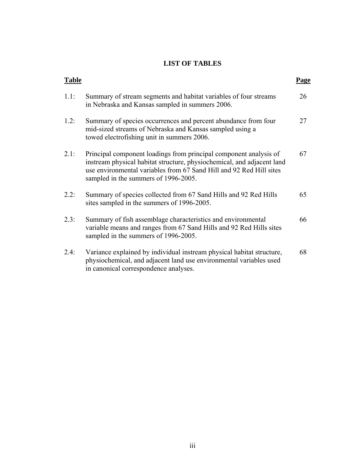### **LIST OF TABLES**

| <b>Table</b> |                                                                                                                                                                                                                                                            | <u>Page</u> |
|--------------|------------------------------------------------------------------------------------------------------------------------------------------------------------------------------------------------------------------------------------------------------------|-------------|
| 1.1:         | Summary of stream segments and habitat variables of four streams<br>in Nebraska and Kansas sampled in summers 2006.                                                                                                                                        | 26          |
| 1.2:         | Summary of species occurrences and percent abundance from four<br>mid-sized streams of Nebraska and Kansas sampled using a<br>towed electrofishing unit in summers 2006.                                                                                   | 27          |
| 2.1:         | Principal component loadings from principal component analysis of<br>instream physical habitat structure, physiochemical, and adjacent land<br>use environmental variables from 67 Sand Hill and 92 Red Hill sites<br>sampled in the summers of 1996-2005. | 67          |
| 2.2:         | Summary of species collected from 67 Sand Hills and 92 Red Hills<br>sites sampled in the summers of 1996-2005.                                                                                                                                             | 65          |
| 2.3:         | Summary of fish assemblage characteristics and environmental<br>variable means and ranges from 67 Sand Hills and 92 Red Hills sites<br>sampled in the summers of 1996-2005.                                                                                | 66          |
| 2.4:         | Variance explained by individual instream physical habitat structure,<br>physiochemical, and adjacent land use environmental variables used<br>in canonical correspondence analyses.                                                                       | 68          |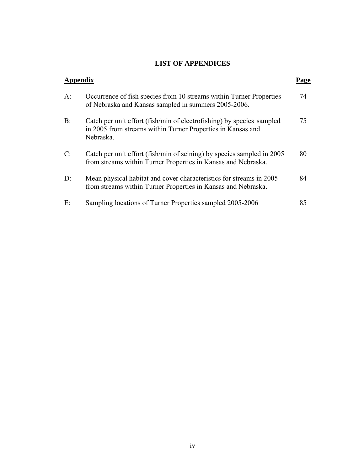### **LIST OF APPENDICES**

| Appendix |                                                                                                                                                   | Page |
|----------|---------------------------------------------------------------------------------------------------------------------------------------------------|------|
| $A$ :    | Occurrence of fish species from 10 streams within Turner Properties<br>of Nebraska and Kansas sampled in summers 2005-2006.                       | 74   |
| B:       | Catch per unit effort (fish/min of electrofishing) by species sampled<br>in 2005 from streams within Turner Properties in Kansas and<br>Nebraska. | 75   |
| C:       | Catch per unit effort (fish/min of seining) by species sampled in 2005<br>from streams within Turner Properties in Kansas and Nebraska.           | 80   |
| D:       | Mean physical habitat and cover characteristics for streams in 2005<br>from streams within Turner Properties in Kansas and Nebraska.              | 84   |
| E:       | Sampling locations of Turner Properties sampled 2005-2006                                                                                         | 85   |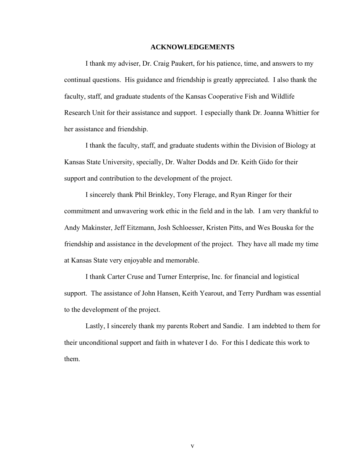#### **ACKNOWLEDGEMENTS**

 I thank my adviser, Dr. Craig Paukert, for his patience, time, and answers to my continual questions. His guidance and friendship is greatly appreciated. I also thank the faculty, staff, and graduate students of the Kansas Cooperative Fish and Wildlife Research Unit for their assistance and support. I especially thank Dr. Joanna Whittier for her assistance and friendship.

 I thank the faculty, staff, and graduate students within the Division of Biology at Kansas State University, specially, Dr. Walter Dodds and Dr. Keith Gido for their support and contribution to the development of the project.

 I sincerely thank Phil Brinkley, Tony Flerage, and Ryan Ringer for their commitment and unwavering work ethic in the field and in the lab. I am very thankful to Andy Makinster, Jeff Eitzmann, Josh Schloesser, Kristen Pitts, and Wes Bouska for the friendship and assistance in the development of the project. They have all made my time at Kansas State very enjoyable and memorable.

 I thank Carter Cruse and Turner Enterprise, Inc. for financial and logistical support. The assistance of John Hansen, Keith Yearout, and Terry Purdham was essential to the development of the project.

 Lastly, I sincerely thank my parents Robert and Sandie. I am indebted to them for their unconditional support and faith in whatever I do. For this I dedicate this work to them.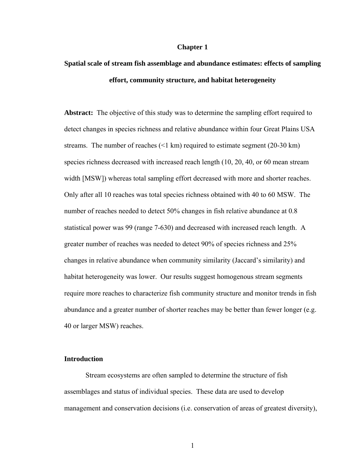#### **Chapter 1**

# **Spatial scale of stream fish assemblage and abundance estimates: effects of sampling effort, community structure, and habitat heterogeneity**

**Abstract:** The objective of this study was to determine the sampling effort required to detect changes in species richness and relative abundance within four Great Plains USA streams. The number of reaches (<1 km) required to estimate segment (20-30 km) species richness decreased with increased reach length (10, 20, 40, or 60 mean stream width [MSW]) whereas total sampling effort decreased with more and shorter reaches. Only after all 10 reaches was total species richness obtained with 40 to 60 MSW. The number of reaches needed to detect 50% changes in fish relative abundance at 0.8 statistical power was 99 (range 7-630) and decreased with increased reach length. A greater number of reaches was needed to detect 90% of species richness and 25% changes in relative abundance when community similarity (Jaccard's similarity) and habitat heterogeneity was lower. Our results suggest homogenous stream segments require more reaches to characterize fish community structure and monitor trends in fish abundance and a greater number of shorter reaches may be better than fewer longer (e.g. 40 or larger MSW) reaches.

#### **Introduction**

Stream ecosystems are often sampled to determine the structure of fish assemblages and status of individual species. These data are used to develop management and conservation decisions (i.e. conservation of areas of greatest diversity),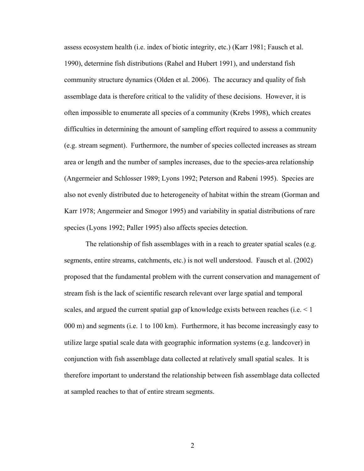assess ecosystem health (i.e. index of biotic integrity, etc.) (Karr 1981; Fausch et al. 1990), determine fish distributions (Rahel and Hubert 1991), and understand fish community structure dynamics (Olden et al. 2006). The accuracy and quality of fish assemblage data is therefore critical to the validity of these decisions. However, it is often impossible to enumerate all species of a community (Krebs 1998), which creates difficulties in determining the amount of sampling effort required to assess a community (e.g. stream segment). Furthermore, the number of species collected increases as stream area or length and the number of samples increases, due to the species-area relationship (Angermeier and Schlosser 1989; Lyons 1992; Peterson and Rabeni 1995). Species are also not evenly distributed due to heterogeneity of habitat within the stream (Gorman and Karr 1978; Angermeier and Smogor 1995) and variability in spatial distributions of rare species (Lyons 1992; Paller 1995) also affects species detection.

The relationship of fish assemblages with in a reach to greater spatial scales (e.g. segments, entire streams, catchments, etc.) is not well understood. Fausch et al. (2002) proposed that the fundamental problem with the current conservation and management of stream fish is the lack of scientific research relevant over large spatial and temporal scales, and argued the current spatial gap of knowledge exists between reaches (i.e. < 1 000 m) and segments (i.e. 1 to 100 km). Furthermore, it has become increasingly easy to utilize large spatial scale data with geographic information systems (e.g. landcover) in conjunction with fish assemblage data collected at relatively small spatial scales. It is therefore important to understand the relationship between fish assemblage data collected at sampled reaches to that of entire stream segments.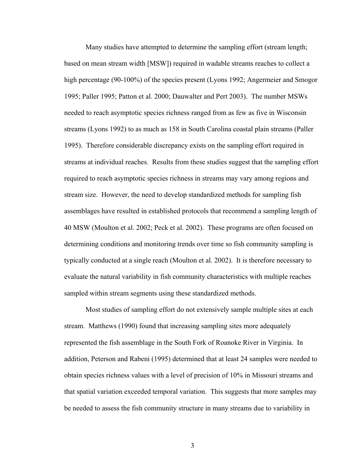Many studies have attempted to determine the sampling effort (stream length; based on mean stream width [MSW]) required in wadable streams reaches to collect a high percentage (90-100%) of the species present (Lyons 1992; Angermeier and Smogor 1995; Paller 1995; Patton et al. 2000; Dauwalter and Pert 2003). The number MSWs needed to reach asymptotic species richness ranged from as few as five in Wisconsin streams (Lyons 1992) to as much as 158 in South Carolina coastal plain streams (Paller 1995). Therefore considerable discrepancy exists on the sampling effort required in streams at individual reaches. Results from these studies suggest that the sampling effort required to reach asymptotic species richness in streams may vary among regions and stream size. However, the need to develop standardized methods for sampling fish assemblages have resulted in established protocols that recommend a sampling length of 40 MSW (Moulton et al. 2002; Peck et al. 2002). These programs are often focused on determining conditions and monitoring trends over time so fish community sampling is typically conducted at a single reach (Moulton et al. 2002). It is therefore necessary to evaluate the natural variability in fish community characteristics with multiple reaches sampled within stream segments using these standardized methods.

 Most studies of sampling effort do not extensively sample multiple sites at each stream. Matthews (1990) found that increasing sampling sites more adequately represented the fish assemblage in the South Fork of Roanoke River in Virginia. In addition, Peterson and Rabeni (1995) determined that at least 24 samples were needed to obtain species richness values with a level of precision of 10% in Missouri streams and that spatial variation exceeded temporal variation. This suggests that more samples may be needed to assess the fish community structure in many streams due to variability in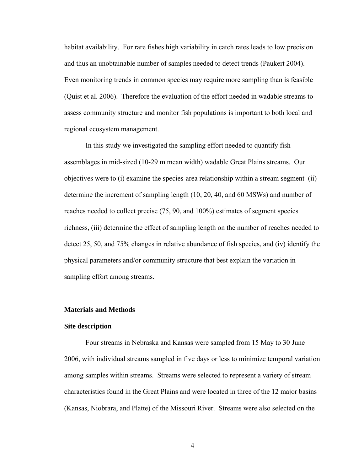habitat availability. For rare fishes high variability in catch rates leads to low precision and thus an unobtainable number of samples needed to detect trends (Paukert 2004). Even monitoring trends in common species may require more sampling than is feasible (Quist et al. 2006). Therefore the evaluation of the effort needed in wadable streams to assess community structure and monitor fish populations is important to both local and regional ecosystem management.

In this study we investigated the sampling effort needed to quantify fish assemblages in mid-sized (10-29 m mean width) wadable Great Plains streams. Our objectives were to (i) examine the species-area relationship within a stream segment (ii) determine the increment of sampling length (10, 20, 40, and 60 MSWs) and number of reaches needed to collect precise (75, 90, and 100%) estimates of segment species richness, (iii) determine the effect of sampling length on the number of reaches needed to detect 25, 50, and 75% changes in relative abundance of fish species, and (iv) identify the physical parameters and/or community structure that best explain the variation in sampling effort among streams.

#### **Materials and Methods**

#### **Site description**

Four streams in Nebraska and Kansas were sampled from 15 May to 30 June 2006, with individual streams sampled in five days or less to minimize temporal variation among samples within streams. Streams were selected to represent a variety of stream characteristics found in the Great Plains and were located in three of the 12 major basins (Kansas, Niobrara, and Platte) of the Missouri River. Streams were also selected on the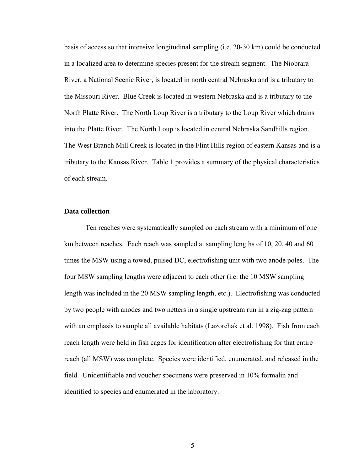basis of access so that intensive longitudinal sampling (i.e. 20-30 km) could be conducted in a localized area to determine species present for the stream segment. The Niobrara River, a National Scenic River, is located in north central Nebraska and is a tributary to the Missouri River. Blue Creek is located in western Nebraska and is a tributary to the North Platte River. The North Loup River is a tributary to the Loup River which drains into the Platte River. The North Loup is located in central Nebraska Sandhills region. The West Branch Mill Creek is located in the Flint Hills region of eastern Kansas and is a tributary to the Kansas River. Table 1 provides a summary of the physical characteristics of each stream.

#### **Data collection**

Ten reaches were systematically sampled on each stream with a minimum of one km between reaches. Each reach was sampled at sampling lengths of 10, 20, 40 and 60 times the MSW using a towed, pulsed DC, electrofishing unit with two anode poles. The four MSW sampling lengths were adjacent to each other (i.e. the 10 MSW sampling length was included in the 20 MSW sampling length, etc.). Electrofishing was conducted by two people with anodes and two netters in a single upstream run in a zig-zag pattern with an emphasis to sample all available habitats (Lazorchak et al. 1998). Fish from each reach length were held in fish cages for identification after electrofishing for that entire reach (all MSW) was complete. Species were identified, enumerated, and released in the field. Unidentifiable and voucher specimens were preserved in 10% formalin and identified to species and enumerated in the laboratory.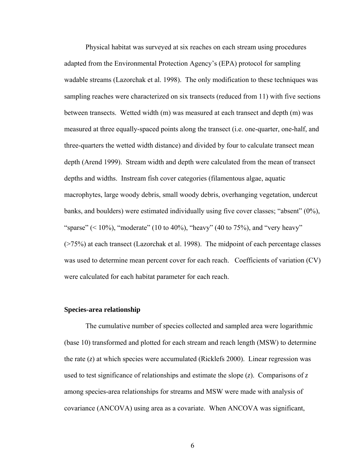Physical habitat was surveyed at six reaches on each stream using procedures adapted from the Environmental Protection Agency's (EPA) protocol for sampling wadable streams (Lazorchak et al. 1998). The only modification to these techniques was sampling reaches were characterized on six transects (reduced from 11) with five sections between transects. Wetted width (m) was measured at each transect and depth (m) was measured at three equally-spaced points along the transect (i.e. one-quarter, one-half, and three-quarters the wetted width distance) and divided by four to calculate transect mean depth (Arend 1999). Stream width and depth were calculated from the mean of transect depths and widths. Instream fish cover categories (filamentous algae, aquatic macrophytes, large woody debris, small woody debris, overhanging vegetation, undercut banks, and boulders) were estimated individually using five cover classes; "absent" (0%), "sparse" ( $\leq 10\%$ ), "moderate" (10 to 40%), "heavy" (40 to 75%), and "very heavy" (>75%) at each transect (Lazorchak et al. 1998). The midpoint of each percentage classes was used to determine mean percent cover for each reach. Coefficients of variation (CV) were calculated for each habitat parameter for each reach.

#### **Species-area relationship**

The cumulative number of species collected and sampled area were logarithmic (base 10) transformed and plotted for each stream and reach length (MSW) to determine the rate (*z*) at which species were accumulated (Ricklefs 2000). Linear regression was used to test significance of relationships and estimate the slope  $(z)$ . Comparisons of z among species-area relationships for streams and MSW were made with analysis of covariance (ANCOVA) using area as a covariate. When ANCOVA was significant,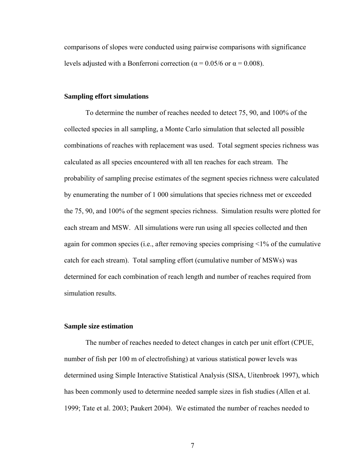comparisons of slopes were conducted using pairwise comparisons with significance levels adjusted with a Bonferroni correction ( $\alpha$  = 0.05/6 or  $\alpha$  = 0.008).

#### **Sampling effort simulations**

 To determine the number of reaches needed to detect 75, 90, and 100% of the collected species in all sampling, a Monte Carlo simulation that selected all possible combinations of reaches with replacement was used. Total segment species richness was calculated as all species encountered with all ten reaches for each stream. The probability of sampling precise estimates of the segment species richness were calculated by enumerating the number of 1 000 simulations that species richness met or exceeded the 75, 90, and 100% of the segment species richness. Simulation results were plotted for each stream and MSW. All simulations were run using all species collected and then again for common species (i.e., after removing species comprising <1% of the cumulative catch for each stream). Total sampling effort (cumulative number of MSWs) was determined for each combination of reach length and number of reaches required from simulation results.

#### **Sample size estimation**

 The number of reaches needed to detect changes in catch per unit effort (CPUE, number of fish per 100 m of electrofishing) at various statistical power levels was determined using Simple Interactive Statistical Analysis (SISA, Uitenbroek 1997), which has been commonly used to determine needed sample sizes in fish studies (Allen et al. 1999; Tate et al. 2003; Paukert 2004). We estimated the number of reaches needed to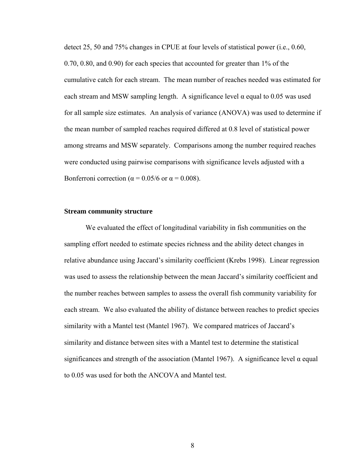detect 25, 50 and 75% changes in CPUE at four levels of statistical power (i.e., 0.60, 0.70, 0.80, and 0.90) for each species that accounted for greater than 1% of the cumulative catch for each stream. The mean number of reaches needed was estimated for each stream and MSW sampling length. A significance level  $\alpha$  equal to 0.05 was used for all sample size estimates. An analysis of variance (ANOVA) was used to determine if the mean number of sampled reaches required differed at 0.8 level of statistical power among streams and MSW separately. Comparisons among the number required reaches were conducted using pairwise comparisons with significance levels adjusted with a Bonferroni correction ( $\alpha$  = 0.05/6 or  $\alpha$  = 0.008).

#### **Stream community structure**

We evaluated the effect of longitudinal variability in fish communities on the sampling effort needed to estimate species richness and the ability detect changes in relative abundance using Jaccard's similarity coefficient (Krebs 1998). Linear regression was used to assess the relationship between the mean Jaccard's similarity coefficient and the number reaches between samples to assess the overall fish community variability for each stream. We also evaluated the ability of distance between reaches to predict species similarity with a Mantel test (Mantel 1967). We compared matrices of Jaccard's similarity and distance between sites with a Mantel test to determine the statistical significances and strength of the association (Mantel 1967). A significance level  $\alpha$  equal to 0.05 was used for both the ANCOVA and Mantel test.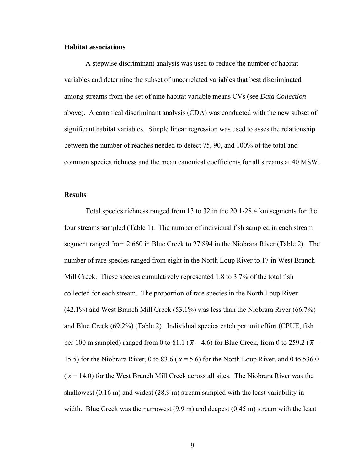#### **Habitat associations**

 A stepwise discriminant analysis was used to reduce the number of habitat variables and determine the subset of uncorrelated variables that best discriminated among streams from the set of nine habitat variable means CVs (see *Data Collection* above). A canonical discriminant analysis (CDA) was conducted with the new subset of significant habitat variables. Simple linear regression was used to asses the relationship between the number of reaches needed to detect 75, 90, and 100% of the total and common species richness and the mean canonical coefficients for all streams at 40 MSW.

#### **Results**

 Total species richness ranged from 13 to 32 in the 20.1-28.4 km segments for the four streams sampled (Table 1). The number of individual fish sampled in each stream segment ranged from 2 660 in Blue Creek to 27 894 in the Niobrara River (Table 2). The number of rare species ranged from eight in the North Loup River to 17 in West Branch Mill Creek. These species cumulatively represented 1.8 to 3.7% of the total fish collected for each stream. The proportion of rare species in the North Loup River (42.1%) and West Branch Mill Creek (53.1%) was less than the Niobrara River (66.7%) and Blue Creek (69.2%) (Table 2). Individual species catch per unit effort (CPUE, fish per 100 m sampled) ranged from 0 to 81.1 ( $\bar{x}$  = 4.6) for Blue Creek, from 0 to 259.2 ( $\bar{x}$  = 15.5) for the Niobrara River, 0 to 83.6 ( $\bar{x}$  = 5.6) for the North Loup River, and 0 to 536.0  $(\bar{x} = 14.0)$  for the West Branch Mill Creek across all sites. The Niobrara River was the shallowest (0.16 m) and widest (28.9 m) stream sampled with the least variability in width. Blue Creek was the narrowest (9.9 m) and deepest (0.45 m) stream with the least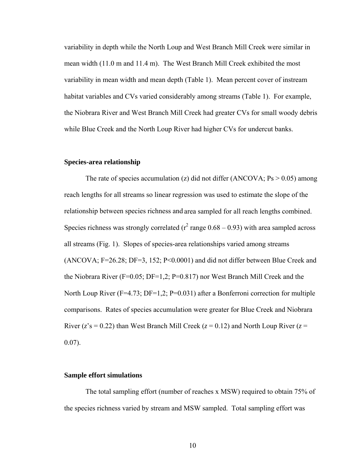variability in depth while the North Loup and West Branch Mill Creek were similar in mean width (11.0 m and 11.4 m). The West Branch Mill Creek exhibited the most variability in mean width and mean depth (Table 1). Mean percent cover of instream habitat variables and CVs varied considerably among streams (Table 1). For example, the Niobrara River and West Branch Mill Creek had greater CVs for small woody debris while Blue Creek and the North Loup River had higher CVs for undercut banks.

#### **Species-area relationship**

The rate of species accumulation (z) did not differ (ANCOVA;  $Ps > 0.05$ ) among reach lengths for all streams so linear regression was used to estimate the slope of the relationship between species richness and area sampled for all reach lengths combined. Species richness was strongly correlated ( $r^2$  range 0.68 – 0.93) with area sampled across all streams (Fig. 1). Slopes of species-area relationships varied among streams (ANCOVA; F=26.28; DF=3, 152; P<0.0001) and did not differ between Blue Creek and the Niobrara River (F=0.05; DF=1,2; P=0.817) nor West Branch Mill Creek and the North Loup River (F=4.73; DF=1,2; P=0.031) after a Bonferroni correction for multiple comparisons. Rates of species accumulation were greater for Blue Creek and Niobrara River ( $z$ 's = 0.22) than West Branch Mill Creek ( $z$  = 0.12) and North Loup River ( $z$  = 0.07).

#### **Sample effort simulations**

The total sampling effort (number of reaches x MSW) required to obtain 75% of the species richness varied by stream and MSW sampled. Total sampling effort was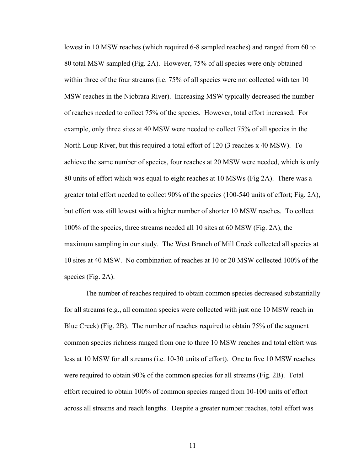lowest in 10 MSW reaches (which required 6-8 sampled reaches) and ranged from 60 to 80 total MSW sampled (Fig. 2A). However, 75% of all species were only obtained within three of the four streams (i.e. 75% of all species were not collected with ten 10 MSW reaches in the Niobrara River). Increasing MSW typically decreased the number of reaches needed to collect 75% of the species. However, total effort increased. For example, only three sites at 40 MSW were needed to collect 75% of all species in the North Loup River, but this required a total effort of 120 (3 reaches x 40 MSW). To achieve the same number of species, four reaches at 20 MSW were needed, which is only 80 units of effort which was equal to eight reaches at 10 MSWs (Fig 2A). There was a greater total effort needed to collect 90% of the species (100-540 units of effort; Fig. 2A), but effort was still lowest with a higher number of shorter 10 MSW reaches. To collect 100% of the species, three streams needed all 10 sites at 60 MSW (Fig. 2A), the maximum sampling in our study. The West Branch of Mill Creek collected all species at 10 sites at 40 MSW. No combination of reaches at 10 or 20 MSW collected 100% of the species (Fig. 2A).

The number of reaches required to obtain common species decreased substantially for all streams (e.g., all common species were collected with just one 10 MSW reach in Blue Creek) (Fig. 2B). The number of reaches required to obtain 75% of the segment common species richness ranged from one to three 10 MSW reaches and total effort was less at 10 MSW for all streams (i.e. 10-30 units of effort). One to five 10 MSW reaches were required to obtain 90% of the common species for all streams (Fig. 2B). Total effort required to obtain 100% of common species ranged from 10-100 units of effort across all streams and reach lengths. Despite a greater number reaches, total effort was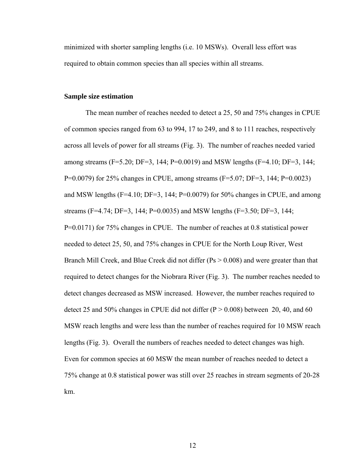minimized with shorter sampling lengths (i.e. 10 MSWs). Overall less effort was required to obtain common species than all species within all streams.

#### **Sample size estimation**

 The mean number of reaches needed to detect a 25, 50 and 75% changes in CPUE of common species ranged from 63 to 994, 17 to 249, and 8 to 111 reaches, respectively across all levels of power for all streams (Fig. 3). The number of reaches needed varied among streams (F=5.20; DF=3, 144; P=0.0019) and MSW lengths (F=4.10; DF=3, 144; P=0.0079) for 25% changes in CPUE, among streams (F=5.07; DF=3, 144; P=0.0023) and MSW lengths (F=4.10; DF=3, 144; P=0.0079) for 50% changes in CPUE, and among streams (F=4.74; DF=3, 144; P=0.0035) and MSW lengths (F=3.50; DF=3, 144; P=0.0171) for 75% changes in CPUE. The number of reaches at 0.8 statistical power needed to detect 25, 50, and 75% changes in CPUE for the North Loup River, West Branch Mill Creek, and Blue Creek did not differ (Ps > 0.008) and were greater than that required to detect changes for the Niobrara River (Fig. 3). The number reaches needed to detect changes decreased as MSW increased. However, the number reaches required to detect 25 and 50% changes in CPUE did not differ  $(P > 0.008)$  between 20, 40, and 60 MSW reach lengths and were less than the number of reaches required for 10 MSW reach lengths (Fig. 3). Overall the numbers of reaches needed to detect changes was high. Even for common species at 60 MSW the mean number of reaches needed to detect a 75% change at 0.8 statistical power was still over 25 reaches in stream segments of 20-28 km.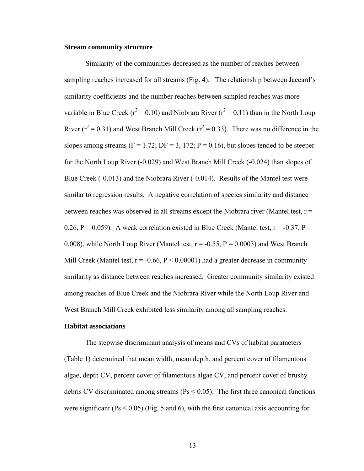#### **Stream community structure**

 Similarity of the communities decreased as the number of reaches between sampling reaches increased for all streams (Fig. 4). The relationship between Jaccard's similarity coefficients and the number reaches between sampled reaches was more variable in Blue Creek ( $r^2 = 0.10$ ) and Niobrara River ( $r^2 = 0.11$ ) than in the North Loup River ( $r^2$  = 0.31) and West Branch Mill Creek ( $r^2$  = 0.33). There was no difference in the slopes among streams ( $F = 1.72$ ;  $DF = 3$ , 172;  $P = 0.16$ ), but slopes tended to be steeper for the North Loup River (-0.029) and West Branch Mill Creek (-0.024) than slopes of Blue Creek (-0.013) and the Niobrara River (-0.014). Results of the Mantel test were similar to regression results. A negative correlation of species similarity and distance between reaches was observed in all streams except the Niobrara river (Mantel test,  $r = -$ 0.26, P = 0.059). A weak correlation existed in Blue Creek (Mantel test,  $r = -0.37$ , P = 0.008), while North Loup River (Mantel test,  $r = -0.55$ ,  $P = 0.0003$ ) and West Branch Mill Creek (Mantel test,  $r = -0.66$ ,  $P < 0.00001$ ) had a greater decrease in community similarity as distance between reaches increased. Greater community similarity existed among reaches of Blue Creek and the Niobrara River while the North Loup River and West Branch Mill Creek exhibited less similarity among all sampling reaches.

#### **Habitat associations**

 The stepwise discriminant analysis of means and CVs of habitat parameters (Table 1) determined that mean width, mean depth, and percent cover of filamentous algae, depth CV, percent cover of filamentous algae CV, and percent cover of brushy debris CV discriminated among streams (Ps < 0.05). The first three canonical functions were significant ( $Ps < 0.05$ ) (Fig. 5 and 6), with the first canonical axis accounting for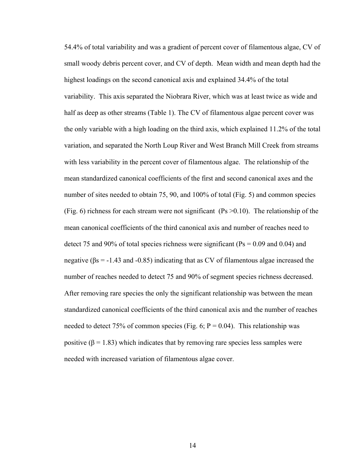54.4% of total variability and was a gradient of percent cover of filamentous algae, CV of small woody debris percent cover, and CV of depth. Mean width and mean depth had the highest loadings on the second canonical axis and explained 34.4% of the total variability. This axis separated the Niobrara River, which was at least twice as wide and half as deep as other streams (Table 1). The CV of filamentous algae percent cover was the only variable with a high loading on the third axis, which explained 11.2% of the total variation, and separated the North Loup River and West Branch Mill Creek from streams with less variability in the percent cover of filamentous algae. The relationship of the mean standardized canonical coefficients of the first and second canonical axes and the number of sites needed to obtain 75, 90, and 100% of total (Fig. 5) and common species (Fig. 6) richness for each stream were not significant (Ps  $> 0.10$ ). The relationship of the mean canonical coefficients of the third canonical axis and number of reaches need to detect 75 and 90% of total species richness were significant ( $Ps = 0.09$  and 0.04) and negative ( $\beta$ s = -1.43 and -0.85) indicating that as CV of filamentous algae increased the number of reaches needed to detect 75 and 90% of segment species richness decreased. After removing rare species the only the significant relationship was between the mean standardized canonical coefficients of the third canonical axis and the number of reaches needed to detect 75% of common species (Fig. 6;  $P = 0.04$ ). This relationship was positive ( $\beta$  = 1.83) which indicates that by removing rare species less samples were needed with increased variation of filamentous algae cover.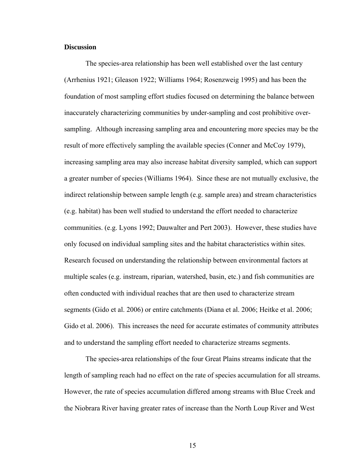#### **Discussion**

 The species-area relationship has been well established over the last century (Arrhenius 1921; Gleason 1922; Williams 1964; Rosenzweig 1995) and has been the foundation of most sampling effort studies focused on determining the balance between inaccurately characterizing communities by under-sampling and cost prohibitive oversampling. Although increasing sampling area and encountering more species may be the result of more effectively sampling the available species (Conner and McCoy 1979), increasing sampling area may also increase habitat diversity sampled, which can support a greater number of species (Williams 1964). Since these are not mutually exclusive, the indirect relationship between sample length (e.g. sample area) and stream characteristics (e.g. habitat) has been well studied to understand the effort needed to characterize communities. (e.g. Lyons 1992; Dauwalter and Pert 2003). However, these studies have only focused on individual sampling sites and the habitat characteristics within sites. Research focused on understanding the relationship between environmental factors at multiple scales (e.g. instream, riparian, watershed, basin, etc.) and fish communities are often conducted with individual reaches that are then used to characterize stream segments (Gido et al. 2006) or entire catchments (Diana et al. 2006; Heitke et al. 2006; Gido et al. 2006). This increases the need for accurate estimates of community attributes and to understand the sampling effort needed to characterize streams segments.

 The species-area relationships of the four Great Plains streams indicate that the length of sampling reach had no effect on the rate of species accumulation for all streams. However, the rate of species accumulation differed among streams with Blue Creek and the Niobrara River having greater rates of increase than the North Loup River and West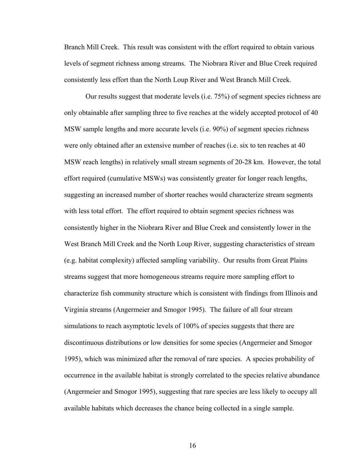Branch Mill Creek. This result was consistent with the effort required to obtain various levels of segment richness among streams. The Niobrara River and Blue Creek required consistently less effort than the North Loup River and West Branch Mill Creek.

Our results suggest that moderate levels (i.e. 75%) of segment species richness are only obtainable after sampling three to five reaches at the widely accepted protocol of 40 MSW sample lengths and more accurate levels (i.e. 90%) of segment species richness were only obtained after an extensive number of reaches (i.e. six to ten reaches at 40 MSW reach lengths) in relatively small stream segments of 20-28 km. However, the total effort required (cumulative MSWs) was consistently greater for longer reach lengths, suggesting an increased number of shorter reaches would characterize stream segments with less total effort. The effort required to obtain segment species richness was consistently higher in the Niobrara River and Blue Creek and consistently lower in the West Branch Mill Creek and the North Loup River, suggesting characteristics of stream (e.g. habitat complexity) affected sampling variability. Our results from Great Plains streams suggest that more homogeneous streams require more sampling effort to characterize fish community structure which is consistent with findings from Illinois and Virginia streams (Angermeier and Smogor 1995). The failure of all four stream simulations to reach asymptotic levels of 100% of species suggests that there are discontinuous distributions or low densities for some species (Angermeier and Smogor 1995), which was minimized after the removal of rare species. A species probability of occurrence in the available habitat is strongly correlated to the species relative abundance (Angermeier and Smogor 1995), suggesting that rare species are less likely to occupy all available habitats which decreases the chance being collected in a single sample.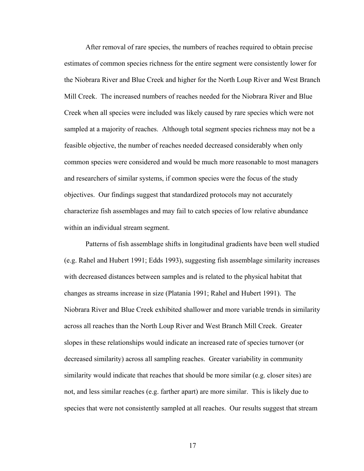After removal of rare species, the numbers of reaches required to obtain precise estimates of common species richness for the entire segment were consistently lower for the Niobrara River and Blue Creek and higher for the North Loup River and West Branch Mill Creek. The increased numbers of reaches needed for the Niobrara River and Blue Creek when all species were included was likely caused by rare species which were not sampled at a majority of reaches. Although total segment species richness may not be a feasible objective, the number of reaches needed decreased considerably when only common species were considered and would be much more reasonable to most managers and researchers of similar systems, if common species were the focus of the study objectives. Our findings suggest that standardized protocols may not accurately characterize fish assemblages and may fail to catch species of low relative abundance within an individual stream segment.

 Patterns of fish assemblage shifts in longitudinal gradients have been well studied (e.g. Rahel and Hubert 1991; Edds 1993), suggesting fish assemblage similarity increases with decreased distances between samples and is related to the physical habitat that changes as streams increase in size (Platania 1991; Rahel and Hubert 1991). The Niobrara River and Blue Creek exhibited shallower and more variable trends in similarity across all reaches than the North Loup River and West Branch Mill Creek. Greater slopes in these relationships would indicate an increased rate of species turnover (or decreased similarity) across all sampling reaches. Greater variability in community similarity would indicate that reaches that should be more similar (e.g. closer sites) are not, and less similar reaches (e.g. farther apart) are more similar. This is likely due to species that were not consistently sampled at all reaches. Our results suggest that stream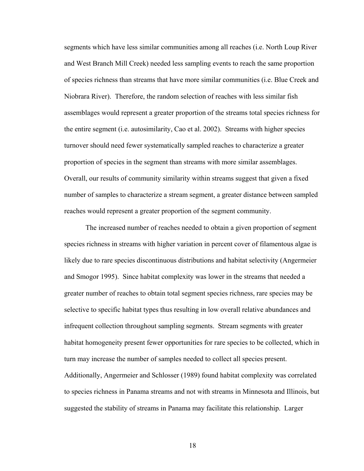segments which have less similar communities among all reaches (i.e. North Loup River and West Branch Mill Creek) needed less sampling events to reach the same proportion of species richness than streams that have more similar communities (i.e. Blue Creek and Niobrara River). Therefore, the random selection of reaches with less similar fish assemblages would represent a greater proportion of the streams total species richness for the entire segment (i.e. autosimilarity, Cao et al. 2002). Streams with higher species turnover should need fewer systematically sampled reaches to characterize a greater proportion of species in the segment than streams with more similar assemblages. Overall, our results of community similarity within streams suggest that given a fixed number of samples to characterize a stream segment, a greater distance between sampled reaches would represent a greater proportion of the segment community.

The increased number of reaches needed to obtain a given proportion of segment species richness in streams with higher variation in percent cover of filamentous algae is likely due to rare species discontinuous distributions and habitat selectivity (Angermeier and Smogor 1995). Since habitat complexity was lower in the streams that needed a greater number of reaches to obtain total segment species richness, rare species may be selective to specific habitat types thus resulting in low overall relative abundances and infrequent collection throughout sampling segments. Stream segments with greater habitat homogeneity present fewer opportunities for rare species to be collected, which in turn may increase the number of samples needed to collect all species present. Additionally, Angermeier and Schlosser (1989) found habitat complexity was correlated to species richness in Panama streams and not with streams in Minnesota and Illinois, but suggested the stability of streams in Panama may facilitate this relationship. Larger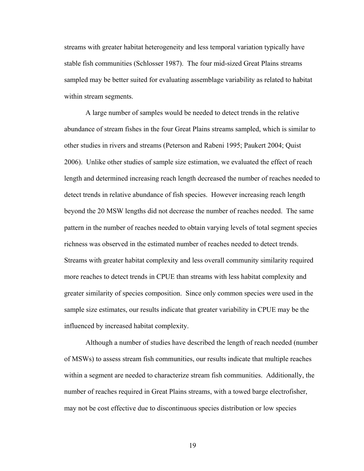streams with greater habitat heterogeneity and less temporal variation typically have stable fish communities (Schlosser 1987). The four mid-sized Great Plains streams sampled may be better suited for evaluating assemblage variability as related to habitat within stream segments.

 A large number of samples would be needed to detect trends in the relative abundance of stream fishes in the four Great Plains streams sampled, which is similar to other studies in rivers and streams (Peterson and Rabeni 1995; Paukert 2004; Quist 2006). Unlike other studies of sample size estimation, we evaluated the effect of reach length and determined increasing reach length decreased the number of reaches needed to detect trends in relative abundance of fish species. However increasing reach length beyond the 20 MSW lengths did not decrease the number of reaches needed. The same pattern in the number of reaches needed to obtain varying levels of total segment species richness was observed in the estimated number of reaches needed to detect trends. Streams with greater habitat complexity and less overall community similarity required more reaches to detect trends in CPUE than streams with less habitat complexity and greater similarity of species composition. Since only common species were used in the sample size estimates, our results indicate that greater variability in CPUE may be the influenced by increased habitat complexity.

Although a number of studies have described the length of reach needed (number of MSWs) to assess stream fish communities, our results indicate that multiple reaches within a segment are needed to characterize stream fish communities. Additionally, the number of reaches required in Great Plains streams, with a towed barge electrofisher, may not be cost effective due to discontinuous species distribution or low species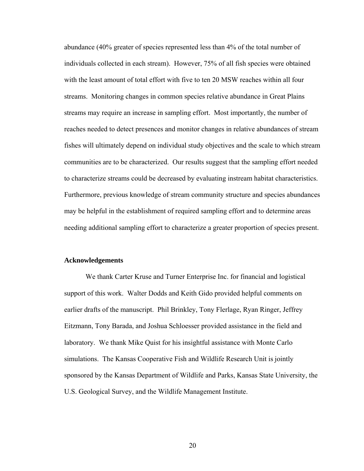abundance (40% greater of species represented less than 4% of the total number of individuals collected in each stream). However, 75% of all fish species were obtained with the least amount of total effort with five to ten 20 MSW reaches within all four streams. Monitoring changes in common species relative abundance in Great Plains streams may require an increase in sampling effort. Most importantly, the number of reaches needed to detect presences and monitor changes in relative abundances of stream fishes will ultimately depend on individual study objectives and the scale to which stream communities are to be characterized. Our results suggest that the sampling effort needed to characterize streams could be decreased by evaluating instream habitat characteristics. Furthermore, previous knowledge of stream community structure and species abundances may be helpful in the establishment of required sampling effort and to determine areas needing additional sampling effort to characterize a greater proportion of species present.

#### **Acknowledgements**

 We thank Carter Kruse and Turner Enterprise Inc. for financial and logistical support of this work. Walter Dodds and Keith Gido provided helpful comments on earlier drafts of the manuscript. Phil Brinkley, Tony Flerlage, Ryan Ringer, Jeffrey Eitzmann, Tony Barada, and Joshua Schloesser provided assistance in the field and laboratory. We thank Mike Quist for his insightful assistance with Monte Carlo simulations. The Kansas Cooperative Fish and Wildlife Research Unit is jointly sponsored by the Kansas Department of Wildlife and Parks, Kansas State University, the U.S. Geological Survey, and the Wildlife Management Institute.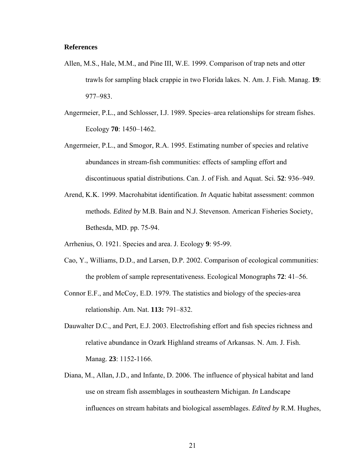#### **References**

- Allen, M.S., Hale, M.M., and Pine III, W.E. 1999. Comparison of trap nets and otter trawls for sampling black crappie in two Florida lakes. N. Am. J. Fish. Manag. **19**: 977–983.
- Angermeier, P.L., and Schlosser, I.J. 1989. Species–area relationships for stream fishes. Ecology **70**: 1450–1462.
- Angermeier, P.L., and Smogor, R.A. 1995. Estimating number of species and relative abundances in stream-fish communities: effects of sampling effort and discontinuous spatial distributions. Can. J. of Fish. and Aquat. Sci. **52**: 936–949.
- Arend, K.K. 1999. Macrohabitat identification. *In* Aquatic habitat assessment: common methods. *Edited by* M.B. Bain and N.J. Stevenson. American Fisheries Society, Bethesda, MD. pp. 75-94.
- Arrhenius, O. 1921. Species and area. J. Ecology **9**: 95-99.
- Cao, Y., Williams, D.D., and Larsen, D.P. 2002. Comparison of ecological communities: the problem of sample representativeness. Ecological Monographs **72**: 41–56.
- Connor E.F., and McCoy, E.D. 1979. The statistics and biology of the species-area relationship. Am. Nat. **113:** 791–832.
- Dauwalter D.C., and Pert, E.J. 2003. Electrofishing effort and fish species richness and relative abundance in Ozark Highland streams of Arkansas. N. Am. J. Fish. Manag. **23**: 1152-1166.
- Diana, M., Allan, J.D., and Infante, D. 2006. The influence of physical habitat and land use on stream fish assemblages in southeastern Michigan. *In* Landscape influences on stream habitats and biological assemblages. *Edited by* R.M. Hughes,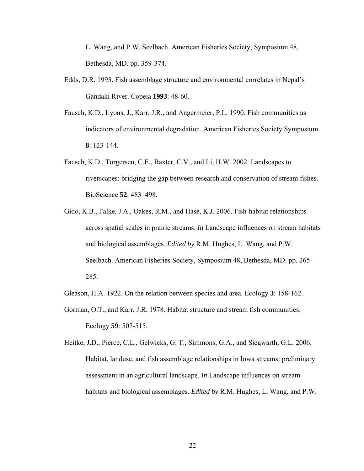L. Wang, and P.W. Seelbach. American Fisheries Society, Symposium 48, Bethesda, MD. pp. 359-374.

- Edds, D.R. 1993. Fish assemblage structure and environmental correlates in Nepal's Gandaki River. Copeia **1993**: 48-60.
- Fausch, K.D., Lyons, J., Karr, J.R., and Angermeier, P.L. 1990. Fish communities as indicators of environmental degradation. American Fisheries Society Symposium **8**: 123-144.
- Fausch, K.D., Torgersen, C.E., Baxter, C.V., and Li, H.W. 2002. Landscapes to riverscapes: bridging the gap between research and conservation of stream fishes. BioScience **52**: 483–498.
- Gido, K.B., Falke, J.A., Oakes, R.M., and Hase, K.J. 2006. Fish-habitat relationships across spatial scales in prairie streams. *In* Landscape influences on stream habitats and biological assemblages. *Edited by* R.M. Hughes, L. Wang, and P.W. Seelbach. American Fisheries Society, Symposium 48, Bethesda, MD. pp. 265- 285.
- Gleason, H.A. 1922. On the relation between species and area. Ecology **3**: 158-162.
- Gorman, O.T., and Karr, J.R. 1978. Habitat structure and stream fish communities. Ecology **59**: 507-515.

Heitke, J.D., Pierce, C.L., Gelwicks, G. T., Simmons, G.A., and Siegwarth, G.L. 2006. Habitat, landuse, and fish assemblage relationships in Iowa streams: preliminary assessment in an agricultural landscape. *In* Landscape influences on stream habitats and biological assemblages. *Edited by* R.M. Hughes, L. Wang, and P.W.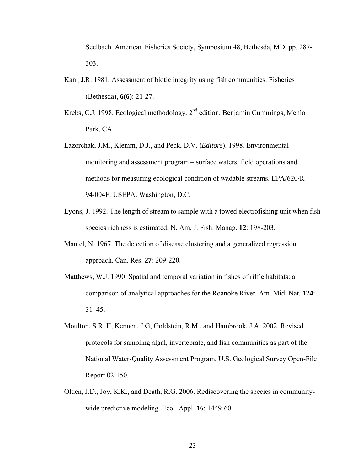Seelbach. American Fisheries Society, Symposium 48, Bethesda, MD. pp. 287- 303.

- Karr, J.R. 1981. Assessment of biotic integrity using fish communities. Fisheries (Bethesda), **6(6)**: 21-27.
- Krebs, C.J. 1998. Ecological methodology. 2<sup>nd</sup> edition. Benjamin Cummings, Menlo Park, CA.
- Lazorchak, J.M., Klemm, D.J., and Peck, D.V. (*Editors*). 1998. Environmental monitoring and assessment program – surface waters: field operations and methods for measuring ecological condition of wadable streams. EPA/620/R-94/004F. USEPA. Washington, D.C.
- Lyons, J. 1992. The length of stream to sample with a towed electrofishing unit when fish species richness is estimated. N. Am. J. Fish. Manag. **12**: 198-203.
- Mantel, N. 1967. The detection of disease clustering and a generalized regression approach. Can. Res. **27**: 209-220.
- Matthews, W.J. 1990. Spatial and temporal variation in fishes of riffle habitats: a comparison of analytical approaches for the Roanoke River. Am. Mid. Nat. **124**:  $31-45.$
- Moulton, S.R. II, Kennen, J.G, Goldstein, R.M., and Hambrook, J.A. 2002. Revised protocols for sampling algal, invertebrate, and fish communities as part of the National Water-Quality Assessment Program. U.S. Geological Survey Open-File Report 02-150.
- Olden, J.D., Joy, K.K., and Death, R.G. 2006. Rediscovering the species in communitywide predictive modeling. Ecol. Appl. **16**: 1449-60.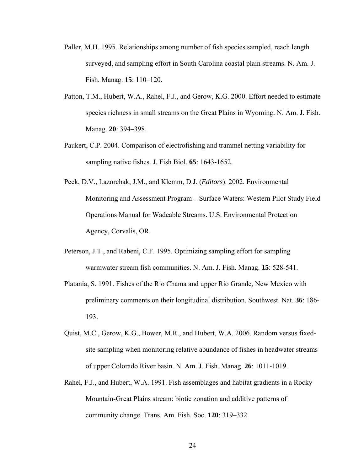- Paller, M.H. 1995. Relationships among number of fish species sampled, reach length surveyed, and sampling effort in South Carolina coastal plain streams. N. Am. J. Fish. Manag. **15**: 110–120.
- Patton, T.M., Hubert, W.A., Rahel, F.J., and Gerow, K.G. 2000. Effort needed to estimate species richness in small streams on the Great Plains in Wyoming. N. Am. J. Fish. Manag. **20**: 394–398.
- Paukert, C.P. 2004. Comparison of electrofishing and trammel netting variability for sampling native fishes. J. Fish Biol. **65**: 1643-1652.
- Peck, D.V., Lazorchak, J.M., and Klemm, D.J. (*Editors*). 2002. Environmental Monitoring and Assessment Program – Surface Waters: Western Pilot Study Field Operations Manual for Wadeable Streams. U.S. Environmental Protection Agency, Corvalis, OR.
- Peterson, J.T., and Rabeni, C.F. 1995. Optimizing sampling effort for sampling warmwater stream fish communities. N. Am. J. Fish. Manag. **15**: 528-541.
- Platania, S. 1991. Fishes of the Rio Chama and upper Rio Grande, New Mexico with preliminary comments on their longitudinal distribution. Southwest. Nat. **36**: 186- 193.
- Quist, M.C., Gerow, K.G., Bower, M.R., and Hubert, W.A. 2006. Random versus fixedsite sampling when monitoring relative abundance of fishes in headwater streams of upper Colorado River basin. N. Am. J. Fish. Manag. **26**: 1011-1019.
- Rahel, F.J., and Hubert, W.A. 1991. Fish assemblages and habitat gradients in a Rocky Mountain-Great Plains stream: biotic zonation and additive patterns of community change. Trans. Am. Fish. Soc. **120**: 319–332.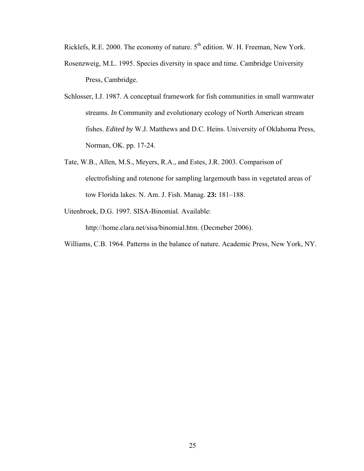Ricklefs, R.E. 2000. The economy of nature. 5<sup>th</sup> edition. W. H. Freeman, New York.

- Rosenzweig, M.L. 1995. Species diversity in space and time. Cambridge University Press, Cambridge.
- Schlosser, I.J. 1987. A conceptual framework for fish communities in small warmwater streams. *In* Community and evolutionary ecology of North American stream fishes. *Edited by* W.J. Matthews and D.C. Heins. University of Oklahoma Press, Norman, OK. pp. 17-24.
- Tate, W.B., Allen, M.S., Meyers, R.A., and Estes, J.R. 2003. Comparison of electrofishing and rotenone for sampling largemouth bass in vegetated areas of tow Florida lakes. N. Am. J. Fish. Manag. **23:** 181–188.
- Uitenbroek, D.G. 1997. SISA-Binomial. Available:

http://home.clara.net/sisa/binomial.htm. (Decmeber 2006).

Williams, C.B. 1964. Patterns in the balance of nature. Academic Press, New York, NY.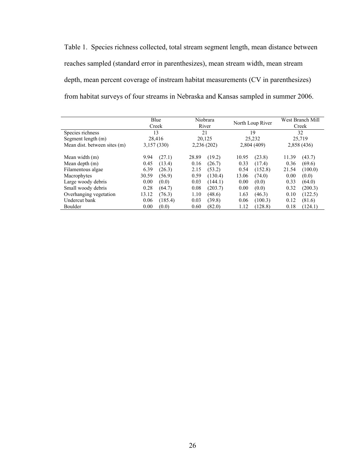Table 1. Species richness collected, total stream segment length, mean distance between reaches sampled (standard error in parenthesizes), mean stream width, mean stream depth, mean percent coverage of instream habitat measurements (CV in parenthesizes) from habitat surveys of four streams in Nebraska and Kansas sampled in summer 2006.

|                              |       | Blue<br>Creek |            | Niobrara<br>River |       | North Loup River |       | West Branch Mill<br>Creek |
|------------------------------|-------|---------------|------------|-------------------|-------|------------------|-------|---------------------------|
| Species richness             | 13    |               | 21         |                   | 19    |                  | 32    |                           |
| Segment length (m)           |       | 28.416        |            | 20.125            |       | 25,232           |       | 25,719                    |
| Mean dist. between sites (m) |       | 3,157 (330)   | 2,236(202) |                   |       | 2,804 (409)      |       | 2,858 (436)               |
| Mean width (m)               | 9.94  | (27.1)        | 28.89      | (19.2)            | 10.95 | (23.8)           | 11.39 | (43.7)                    |
| Mean depth (m)               | 0.45  | (13.4)        | 0.16       | (26.7)            | 0.33  | (17.4)           | 0.36  | (69.6)                    |
| Filamentous algae            | 6.39  | (26.3)        | 2.15       | (53.2)            | 0.54  | (152.8)          | 21.54 | (100.0)                   |
| Macrophytes                  | 30.59 | (56.9)        | 0.59       | (130.4)           | 13.06 | (74.0)           | 0.00  | (0.0)                     |
| Large woody debris           | 0.00  | (0.0)         | 0.03       | (144.1)           | 0.00  | (0.0)            | 0.33  | (64.0)                    |
| Small woody debris           | 0.28  | (64.7)        | 0.08       | (203.7)           | 0.00  | (0.0)            | 0.32  | (200.3)                   |
| Overhanging vegetation       | 13.12 | (76.3)        | 1.10       | (48.6)            | 1.63  | (46.3)           | 0.10  | (122.5)                   |
| Undercut bank                | 0.06  | (185.4)       | 0.03       | (39.8)            | 0.06  | (100.3)          | 0.12  | (81.6)                    |
| <b>Boulder</b>               | 0.00  | (0.0)         | 0.60       | (82.0)            | 1.12  | (128.8)          | 0.18  | (124.1)                   |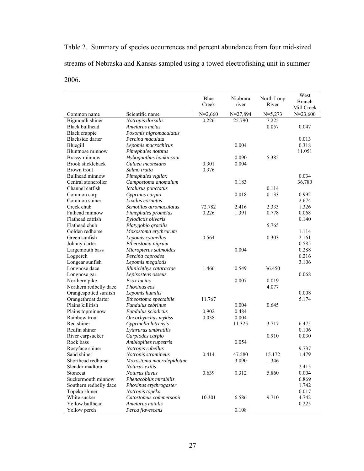Table 2. Summary of species occurrences and percent abundance from four mid-sized streams of Nebraska and Kansas sampled using a towed electrofishing unit in summer 2006.

|                                         |                                           | Blue      | Niobrara     | North Loup | West                 |
|-----------------------------------------|-------------------------------------------|-----------|--------------|------------|----------------------|
|                                         |                                           | Creek     | river        | River      | Branch<br>Mill Creek |
| Common name                             | Scientific name                           | $N=2,660$ | $N = 27,894$ | $N=5,273$  | $N = 23,600$         |
| Bigmouth shiner                         | Notropis dorsalis                         | 0.226     | 25.790       | 7.225      |                      |
| <b>Black bullhead</b>                   | Ameiurus melas                            |           |              | 0.057      | 0.047                |
| Black crappie                           | Poxomis nigromaculatus                    |           |              |            |                      |
| Blackside darter                        | Percina maculata                          |           |              |            | 0.013                |
| Bluegill                                | Lepomis macrochirus                       |           | 0.004        |            | 0.318                |
| Bluntnose minnow                        | Pimephales notatus                        |           |              |            | 11.051               |
| Brassy minnow                           | Hybognathus hankinsoni                    |           | 0.090        | 5.385      |                      |
| <b>Brook stickleback</b>                | Culaea inconstans                         | 0.301     | 0.004        |            |                      |
| Brown trout                             | Salmo trutta                              | 0.376     |              |            |                      |
| Bullhead minnow                         | Pimephales vigilax                        |           |              |            | 0.034                |
| Central stoneroller                     | Campostoma anomalum                       |           | 0.183        |            | 36.780               |
| Channel catfish                         | Ictalurus punctatus                       |           |              | 0.114      |                      |
| Common carp                             | Cyprinus carpio                           |           | 0.018        | 0.133      | 0.992                |
| Common shiner                           | Luxilus cornutus                          |           |              |            | 2.674                |
| Creek chub                              | Semotilus atromaculatus                   | 72.782    | 2.416        | 2.333      | 1.326                |
| Fathead minnow                          | Pimephales promelas                       | 0.226     | 1.391        | 0.778      | 0.068                |
| Flathead catfish                        | Pylodictis olivaris                       |           |              |            | 0.140                |
| Flathead chub                           | Platygobio gracilis                       |           |              | 5.765      |                      |
| Golden redhorse                         | Moxostoma erythrurum                      |           |              |            | 1.114                |
| Green sunfish                           | Lepomis cyanellus                         | 0.564     |              | 0.303      | 2.161                |
| Johnny darter                           | Etheostoma nigrum                         |           |              |            | 0.585                |
| Largemouth bass                         | Micropterus salmoides                     |           | 0.004        |            | 0.288                |
| Logperch                                | Percina caprodes                          |           |              |            | 0.216                |
| Longear sunfish                         | Lepomis megalotis                         |           |              |            | 3.106                |
| Longnose dace                           | Rhinichthys cataractae                    | 1.466     | 0.549        | 36.450     |                      |
| Longnose gar                            | Lepisosteus osseus                        |           |              |            | 0.068                |
| Northern pike                           | Esox lucius                               |           | 0.007        | 0.019      |                      |
| Northern redbelly dace                  | Phoxinus eos                              |           |              | 4.077      |                      |
| Orangespotted sunfish                   | Lepomis humilis                           |           |              |            | 0.008                |
| Orangethroat darter                     | Etheostoma spectabile                     | 11.767    |              |            | 5.174                |
| Plains killifish                        | Fundulus zebrinus                         |           | 0.004        | 0.645      |                      |
| Plains topminnow                        | Fundulus sciadicus                        | 0.902     | 0.484        |            |                      |
| Rainbow trout                           | Oncorhynchus mykiss                       | 0.038     | 0.004        |            |                      |
| Red shiner                              | Cyprinella lutrensis                      |           | 11.325       | 3.717      | 6.475                |
| Redfin shiner                           | Lythrurus umbratilis                      |           |              |            | 0.106                |
| River carpsucker<br>Rock bass           | Carpiodes carpio                          |           |              | 0.910      | 0.030                |
|                                         | Ambloplites rupestris                     |           | 0.054        |            |                      |
| Rosyface shiner                         | Notropis rubellus                         |           |              |            | 9.737                |
| Sand shiner<br>Shorthead redhorse       | Notropis stramineus                       | 0.414     | 47.580       | 15.172     | 1.479                |
|                                         | Moxostoma macrolepidotum                  |           | 3.090        | 1.346      |                      |
| Slender madtom<br>Stonecat              | Noturus exilis                            | 0.639     |              | 5.860      | 2.415<br>0.004       |
| Suckermouth minnow                      | Noturus flavus                            |           | 0.312        |            |                      |
|                                         | Phenacobius mirabilis                     |           |              |            | 6.869                |
| Southern redbelly dace<br>Topeka shiner | Phoxinus erythrogaster                    |           |              |            | 1.742<br>0.017       |
| White sucker                            | Notropis topeka<br>Catostomus commersonii | 10.301    | 6.586        | 9.710      | 4.742                |
| Yellow bullhead                         | Ameiurus natalis                          |           |              |            | 0.225                |
| Yellow perch                            | Perca flavescens                          |           | 0.108        |            |                      |
|                                         |                                           |           |              |            |                      |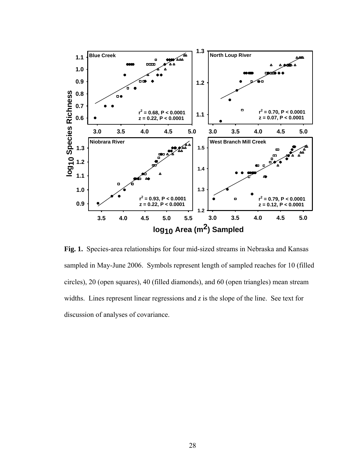

**Fig. 1.** Species-area relationships for four mid-sized streams in Nebraska and Kansas sampled in May-June 2006. Symbols represent length of sampled reaches for 10 (filled circles), 20 (open squares), 40 (filled diamonds), and 60 (open triangles) mean stream widths. Lines represent linear regressions and  $z$  is the slope of the line. See text for discussion of analyses of covariance.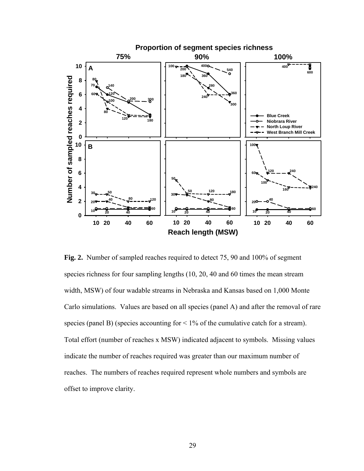

**Fig. 2.** Number of sampled reaches required to detect 75, 90 and 100% of segment species richness for four sampling lengths (10, 20, 40 and 60 times the mean stream width, MSW) of four wadable streams in Nebraska and Kansas based on 1,000 Monte Carlo simulations. Values are based on all species (panel A) and after the removal of rare species (panel B) (species accounting for  $\leq 1\%$  of the cumulative catch for a stream). Total effort (number of reaches x MSW) indicated adjacent to symbols. Missing values indicate the number of reaches required was greater than our maximum number of reaches. The numbers of reaches required represent whole numbers and symbols are offset to improve clarity.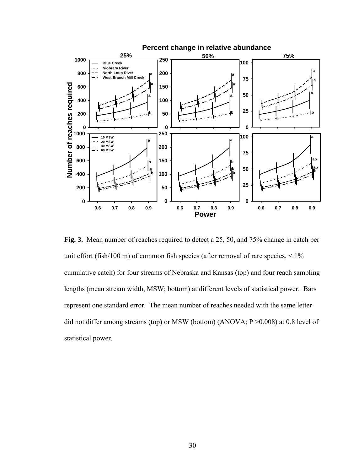

**Fig. 3.** Mean number of reaches required to detect a 25, 50, and 75% change in catch per unit effort (fish/100 m) of common fish species (after removal of rare species,  $\leq 1\%$ cumulative catch) for four streams of Nebraska and Kansas (top) and four reach sampling lengths (mean stream width, MSW; bottom) at different levels of statistical power. Bars represent one standard error. The mean number of reaches needed with the same letter did not differ among streams (top) or MSW (bottom) (ANOVA; P >0.008) at 0.8 level of statistical power.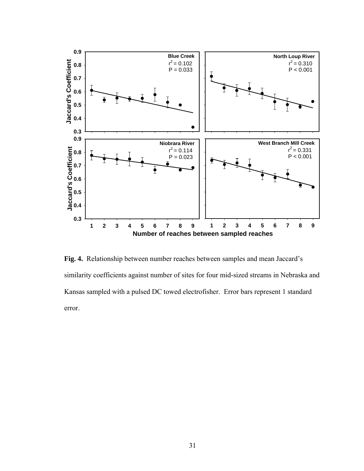

**Fig. 4.** Relationship between number reaches between samples and mean Jaccard's similarity coefficients against number of sites for four mid-sized streams in Nebraska and Kansas sampled with a pulsed DC towed electrofisher. Error bars represent 1 standard error.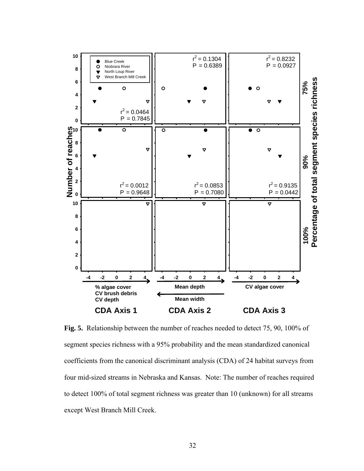

**Fig. 5.** Relationship between the number of reaches needed to detect 75, 90, 100% of segment species richness with a 95% probability and the mean standardized canonical coefficients from the canonical discriminant analysis (CDA) of 24 habitat surveys from four mid-sized streams in Nebraska and Kansas. Note: The number of reaches required to detect 100% of total segment richness was greater than 10 (unknown) for all streams except West Branch Mill Creek.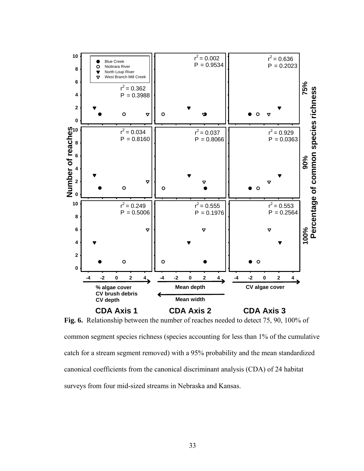

**Fig. 6.** Relationship between the number of reaches needed to detect 75, 90, 100% of common segment species richness (species accounting for less than 1% of the cumulative catch for a stream segment removed) with a 95% probability and the mean standardized canonical coefficients from the canonical discriminant analysis (CDA) of 24 habitat surveys from four mid-sized streams in Nebraska and Kansas.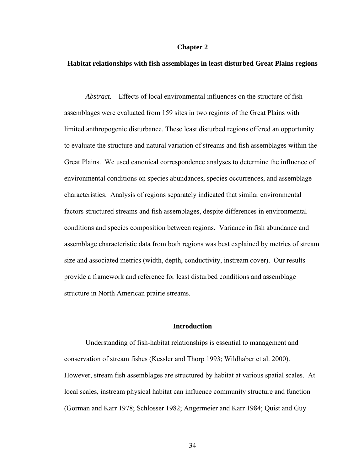# **Chapter 2**

# **Habitat relationships with fish assemblages in least disturbed Great Plains regions**

*Abstract.*—Effects of local environmental influences on the structure of fish assemblages were evaluated from 159 sites in two regions of the Great Plains with limited anthropogenic disturbance. These least disturbed regions offered an opportunity to evaluate the structure and natural variation of streams and fish assemblages within the Great Plains. We used canonical correspondence analyses to determine the influence of environmental conditions on species abundances, species occurrences, and assemblage characteristics. Analysis of regions separately indicated that similar environmental factors structured streams and fish assemblages, despite differences in environmental conditions and species composition between regions. Variance in fish abundance and assemblage characteristic data from both regions was best explained by metrics of stream size and associated metrics (width, depth, conductivity, instream cover). Our results provide a framework and reference for least disturbed conditions and assemblage structure in North American prairie streams.

# **Introduction**

Understanding of fish-habitat relationships is essential to management and conservation of stream fishes (Kessler and Thorp 1993; Wildhaber et al. 2000). However, stream fish assemblages are structured by habitat at various spatial scales. At local scales, instream physical habitat can influence community structure and function (Gorman and Karr 1978; Schlosser 1982; Angermeier and Karr 1984; Quist and Guy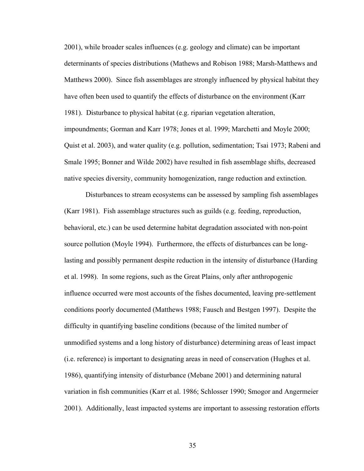2001), while broader scales influences (e.g. geology and climate) can be important determinants of species distributions (Mathews and Robison 1988; Marsh-Matthews and Matthews 2000). Since fish assemblages are strongly influenced by physical habitat they have often been used to quantify the effects of disturbance on the environment (Karr 1981). Disturbance to physical habitat (e.g. riparian vegetation alteration, impoundments; Gorman and Karr 1978; Jones et al. 1999; Marchetti and Moyle 2000; Quist et al. 2003), and water quality (e.g. pollution, sedimentation; Tsai 1973; Rabeni and Smale 1995; Bonner and Wilde 2002) have resulted in fish assemblage shifts, decreased native species diversity, community homogenization, range reduction and extinction.

Disturbances to stream ecosystems can be assessed by sampling fish assemblages (Karr 1981). Fish assemblage structures such as guilds (e.g. feeding, reproduction, behavioral, etc.) can be used determine habitat degradation associated with non-point source pollution (Moyle 1994). Furthermore, the effects of disturbances can be longlasting and possibly permanent despite reduction in the intensity of disturbance (Harding et al. 1998). In some regions, such as the Great Plains, only after anthropogenic influence occurred were most accounts of the fishes documented, leaving pre-settlement conditions poorly documented (Matthews 1988; Fausch and Bestgen 1997). Despite the difficulty in quantifying baseline conditions (because of the limited number of unmodified systems and a long history of disturbance) determining areas of least impact (i.e. reference) is important to designating areas in need of conservation (Hughes et al. 1986), quantifying intensity of disturbance (Mebane 2001) and determining natural variation in fish communities (Karr et al. 1986; Schlosser 1990; Smogor and Angermeier 2001). Additionally, least impacted systems are important to assessing restoration efforts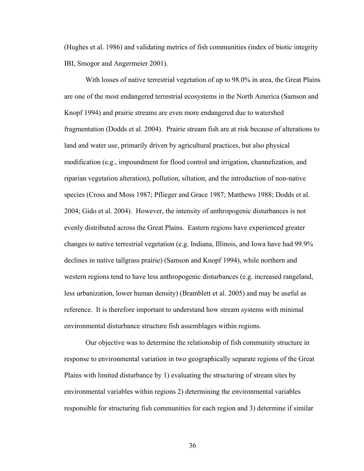(Hughes et al. 1986) and validating metrics of fish communities (index of biotic integrity IBI, Smogor and Angermeier 2001).

With losses of native terrestrial vegetation of up to 98.0% in area, the Great Plains are one of the most endangered terrestrial ecosystems in the North America (Samson and Knopf 1994) and prairie streams are even more endangered due to watershed fragmentation (Dodds et al. 2004). Prairie stream fish are at risk because of alterations to land and water use, primarily driven by agricultural practices, but also physical modification (e.g., impoundment for flood control and irrigation, channelization, and riparian vegetation alteration), pollution, siltation, and the introduction of non-native species (Cross and Moss 1987; Pflieger and Grace 1987; Matthews 1988; Dodds et al. 2004; Gido et al. 2004). However, the intensity of anthropogenic disturbances is not evenly distributed across the Great Plains. Eastern regions have experienced greater changes to native terrestrial vegetation (e.g. Indiana, Illinois, and Iowa have had 99.9% declines in native tallgrass prairie) (Samson and Knopf 1994), while northern and western regions tend to have less anthropogenic disturbances (e.g. increased rangeland, less urbanization, lower human density) (Bramblett et al. 2005) and may be useful as reference. It is therefore important to understand how stream systems with minimal environmental disturbance structure fish assemblages within regions.

Our objective was to determine the relationship of fish community structure in response to environmental variation in two geographically separate regions of the Great Plains with limited disturbance by 1) evaluating the structuring of stream sites by environmental variables within regions 2) determining the environmental variables responsible for structuring fish communities for each region and 3) determine if similar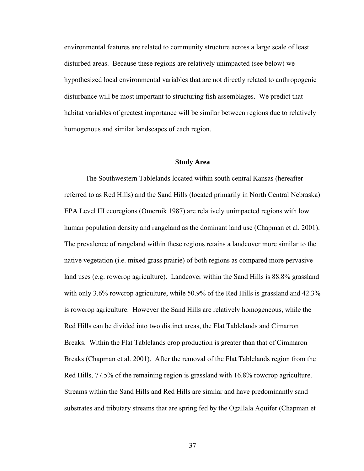environmental features are related to community structure across a large scale of least disturbed areas. Because these regions are relatively unimpacted (see below) we hypothesized local environmental variables that are not directly related to anthropogenic disturbance will be most important to structuring fish assemblages. We predict that habitat variables of greatest importance will be similar between regions due to relatively homogenous and similar landscapes of each region.

#### **Study Area**

The Southwestern Tablelands located within south central Kansas (hereafter referred to as Red Hills) and the Sand Hills (located primarily in North Central Nebraska) EPA Level III ecoregions (Omernik 1987) are relatively unimpacted regions with low human population density and rangeland as the dominant land use (Chapman et al. 2001). The prevalence of rangeland within these regions retains a landcover more similar to the native vegetation (i.e. mixed grass prairie) of both regions as compared more pervasive land uses (e.g. rowcrop agriculture). Landcover within the Sand Hills is 88.8% grassland with only 3.6% rowcrop agriculture, while 50.9% of the Red Hills is grassland and 42.3% is rowcrop agriculture. However the Sand Hills are relatively homogeneous, while the Red Hills can be divided into two distinct areas, the Flat Tablelands and Cimarron Breaks. Within the Flat Tablelands crop production is greater than that of Cimmaron Breaks (Chapman et al. 2001). After the removal of the Flat Tablelands region from the Red Hills, 77.5% of the remaining region is grassland with 16.8% rowcrop agriculture. Streams within the Sand Hills and Red Hills are similar and have predominantly sand substrates and tributary streams that are spring fed by the Ogallala Aquifer (Chapman et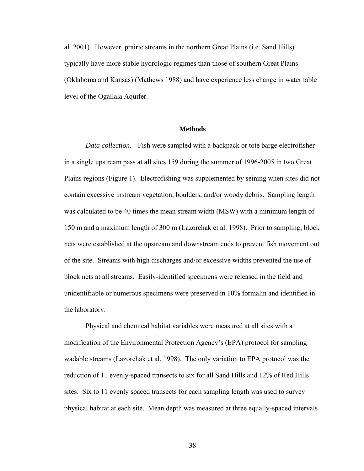al. 2001). However, prairie streams in the northern Great Plains (i.e. Sand Hills) typically have more stable hydrologic regimes than those of southern Great Plains (Oklahoma and Kansas) (Mathews 1988) and have experience less change in water table level of the Ogallala Aquifer.

# **Methods**

*Data collection.—*Fish were sampled with a backpack or tote barge electrofisher in a single upstream pass at all sites 159 during the summer of 1996-2005 in two Great Plains regions (Figure 1). Electrofishing was supplemented by seining when sites did not contain excessive instream vegetation, boulders, and/or woody debris. Sampling length was calculated to be 40 times the mean stream width (MSW) with a minimum length of 150 m and a maximum length of 300 m (Lazorchak et al. 1998). Prior to sampling, block nets were established at the upstream and downstream ends to prevent fish movement out of the site. Streams with high discharges and/or excessive widths prevented the use of block nets at all streams. Easily-identified specimens were released in the field and unidentifiable or numerous specimens were preserved in 10% formalin and identified in the laboratory.

Physical and chemical habitat variables were measured at all sites with a modification of the Environmental Protection Agency's (EPA) protocol for sampling wadable streams (Lazorchak et al. 1998). The only variation to EPA protocol was the reduction of 11 evenly-spaced transects to six for all Sand Hills and 12% of Red Hills sites. Six to 11 evenly spaced transects for each sampling length was used to survey physical habitat at each site. Mean depth was measured at three equally-spaced intervals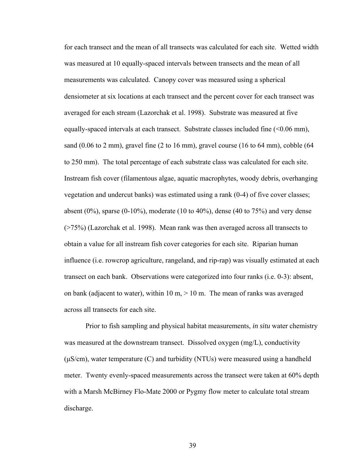for each transect and the mean of all transects was calculated for each site. Wetted width was measured at 10 equally-spaced intervals between transects and the mean of all measurements was calculated. Canopy cover was measured using a spherical densiometer at six locations at each transect and the percent cover for each transect was averaged for each stream (Lazorchak et al. 1998). Substrate was measured at five equally-spaced intervals at each transect. Substrate classes included fine (<0.06 mm), sand  $(0.06 \text{ to } 2 \text{ mm})$ , gravel fine  $(2 \text{ to } 16 \text{ mm})$ , gravel course  $(16 \text{ to } 64 \text{ mm})$ , cobble  $(64 \text{ mm})$ to 250 mm). The total percentage of each substrate class was calculated for each site. Instream fish cover (filamentous algae, aquatic macrophytes, woody debris, overhanging vegetation and undercut banks) was estimated using a rank (0-4) of five cover classes; absent  $(0\%)$ , sparse  $(0-10\%)$ , moderate  $(10 \text{ to } 40\%)$ , dense  $(40 \text{ to } 75\%)$  and very dense (>75%) (Lazorchak et al. 1998). Mean rank was then averaged across all transects to obtain a value for all instream fish cover categories for each site. Riparian human influence (i.e. rowcrop agriculture, rangeland, and rip-rap) was visually estimated at each transect on each bank. Observations were categorized into four ranks (i.e. 0-3): absent, on bank (adjacent to water), within 10 m,  $> 10$  m. The mean of ranks was averaged across all transects for each site.

Prior to fish sampling and physical habitat measurements, *in situ* water chemistry was measured at the downstream transect. Dissolved oxygen (mg/L), conductivity (μS/cm), water temperature (C) and turbidity (NTUs) were measured using a handheld meter. Twenty evenly-spaced measurements across the transect were taken at 60% depth with a Marsh McBirney Flo-Mate 2000 or Pygmy flow meter to calculate total stream discharge.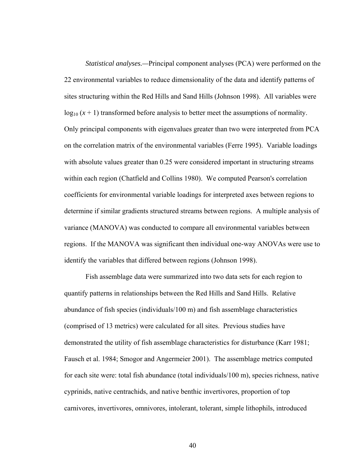*Statistical analyses.—*Principal component analyses (PCA) were performed on the 22 environmental variables to reduce dimensionality of the data and identify patterns of sites structuring within the Red Hills and Sand Hills (Johnson 1998). All variables were  $log_{10}$   $(x + 1)$  transformed before analysis to better meet the assumptions of normality. Only principal components with eigenvalues greater than two were interpreted from PCA on the correlation matrix of the environmental variables (Ferre 1995). Variable loadings with absolute values greater than 0.25 were considered important in structuring streams within each region (Chatfield and Collins 1980). We computed Pearson's correlation coefficients for environmental variable loadings for interpreted axes between regions to determine if similar gradients structured streams between regions. A multiple analysis of variance (MANOVA) was conducted to compare all environmental variables between regions. If the MANOVA was significant then individual one-way ANOVAs were use to identify the variables that differed between regions (Johnson 1998).

Fish assemblage data were summarized into two data sets for each region to quantify patterns in relationships between the Red Hills and Sand Hills. Relative abundance of fish species (individuals/100 m) and fish assemblage characteristics (comprised of 13 metrics) were calculated for all sites. Previous studies have demonstrated the utility of fish assemblage characteristics for disturbance (Karr 1981; Fausch et al. 1984; Smogor and Angermeier 2001). The assemblage metrics computed for each site were: total fish abundance (total individuals/100 m), species richness, native cyprinids, native centrachids, and native benthic invertivores, proportion of top carnivores, invertivores, omnivores, intolerant, tolerant, simple lithophils, introduced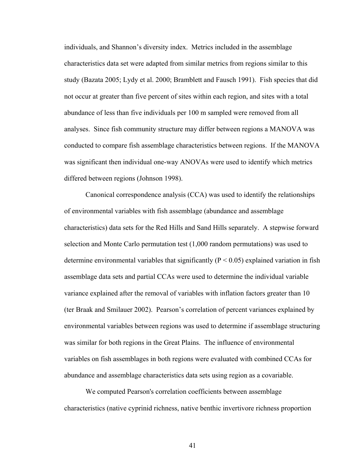individuals, and Shannon's diversity index. Metrics included in the assemblage characteristics data set were adapted from similar metrics from regions similar to this study (Bazata 2005; Lydy et al. 2000; Bramblett and Fausch 1991). Fish species that did not occur at greater than five percent of sites within each region, and sites with a total abundance of less than five individuals per 100 m sampled were removed from all analyses. Since fish community structure may differ between regions a MANOVA was conducted to compare fish assemblage characteristics between regions. If the MANOVA was significant then individual one-way ANOVAs were used to identify which metrics differed between regions (Johnson 1998).

 Canonical correspondence analysis (CCA) was used to identify the relationships of environmental variables with fish assemblage (abundance and assemblage characteristics) data sets for the Red Hills and Sand Hills separately. A stepwise forward selection and Monte Carlo permutation test (1,000 random permutations) was used to determine environmental variables that significantly ( $P < 0.05$ ) explained variation in fish assemblage data sets and partial CCAs were used to determine the individual variable variance explained after the removal of variables with inflation factors greater than 10 (ter Braak and Smilauer 2002). Pearson's correlation of percent variances explained by environmental variables between regions was used to determine if assemblage structuring was similar for both regions in the Great Plains. The influence of environmental variables on fish assemblages in both regions were evaluated with combined CCAs for abundance and assemblage characteristics data sets using region as a covariable.

 We computed Pearson's correlation coefficients between assemblage characteristics (native cyprinid richness, native benthic invertivore richness proportion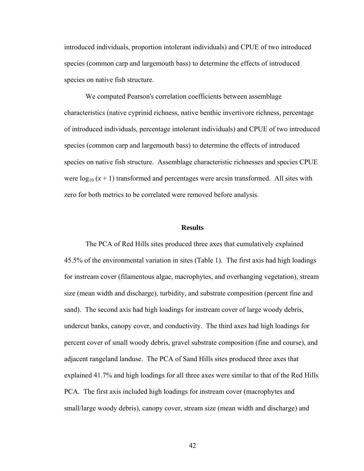introduced individuals, proportion intolerant individuals) and CPUE of two introduced species (common carp and largemouth bass) to determine the effects of introduced species on native fish structure.

 We computed Pearson's correlation coefficients between assemblage characteristics (native cyprinid richness, native benthic invertivore richness, percentage of introduced individuals, percentage intolerant individuals) and CPUE of two introduced species (common carp and largemouth bass) to determine the effects of introduced species on native fish structure. Assemblage characteristic richnesses and species CPUE were  $log_{10} (x + 1)$  transformed and percentages were arcsin transformed. All sites with zero for both metrics to be correlated were removed before analysis.

#### **Results**

 The PCA of Red Hills sites produced three axes that cumulatively explained 45.5% of the environmental variation in sites (Table 1). The first axis had high loadings for instream cover (filamentous algae, macrophytes, and overhanging vegetation), stream size (mean width and discharge), turbidity, and substrate composition (percent fine and sand). The second axis had high loadings for instream cover of large woody debris, undercut banks, canopy cover, and conductivity. The third axes had high loadings for percent cover of small woody debris, gravel substrate composition (fine and course), and adjacent rangeland landuse. The PCA of Sand Hills sites produced three axes that explained 41.7% and high loadings for all three axes were similar to that of the Red Hills PCA. The first axis included high loadings for instream cover (macrophytes and small/large woody debris), canopy cover, stream size (mean width and discharge) and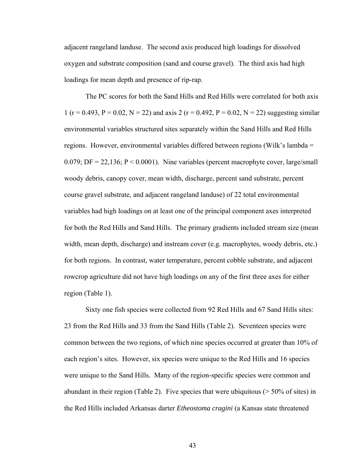adjacent rangeland landuse. The second axis produced high loadings for dissolved oxygen and substrate composition (sand and course gravel). The third axis had high loadings for mean depth and presence of rip-rap.

 The PC scores for both the Sand Hills and Red Hills were correlated for both axis 1 (r = 0.493, P = 0.02, N = 22) and axis 2 (r = 0.492, P = 0.02, N = 22) suggesting similar environmental variables structured sites separately within the Sand Hills and Red Hills regions. However, environmental variables differed between regions (Wilk's lambda = 0.079; DF = 22,136;  $P < 0.0001$ ). Nine variables (percent macrophyte cover, large/small woody debris, canopy cover, mean width, discharge, percent sand substrate, percent course gravel substrate, and adjacent rangeland landuse) of 22 total environmental variables had high loadings on at least one of the principal component axes interpreted for both the Red Hills and Sand Hills. The primary gradients included stream size (mean width, mean depth, discharge) and instream cover (e.g. macrophytes, woody debris, etc.) for both regions. In contrast, water temperature, percent cobble substrate, and adjacent rowcrop agriculture did not have high loadings on any of the first three axes for either region (Table 1).

Sixty one fish species were collected from 92 Red Hills and 67 Sand Hills sites: 23 from the Red Hills and 33 from the Sand Hills (Table 2). Seventeen species were common between the two regions, of which nine species occurred at greater than 10% of each region's sites. However, six species were unique to the Red Hills and 16 species were unique to the Sand Hills. Many of the region-specific species were common and abundant in their region (Table 2). Five species that were ubiquitous  $($  > 50% of sites) in the Red Hills included Arkansas darter *Etheostoma cragini* (a Kansas state threatened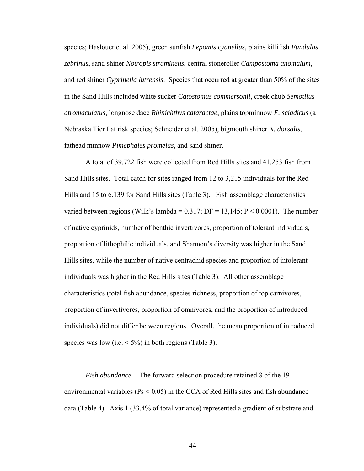species; Haslouer et al. 2005), green sunfish *Lepomis cyanellus*, plains killifish *Fundulus zebrinus*, sand shiner *Notropis stramineus*, central stoneroller *Campostoma anomalum*, and red shiner *Cyprinella lutrensis*. Species that occurred at greater than 50% of the sites in the Sand Hills included white sucker *Catostomus commersonii*, creek chub *Semotilus atromaculatus*, longnose dace *Rhinichthys cataractae*, plains topminnow *F. sciadicus* (a Nebraska Tier I at risk species; Schneider et al. 2005), bigmouth shiner *N. dorsalis*, fathead minnow *Pimephales promelas*, and sand shiner.

 A total of 39,722 fish were collected from Red Hills sites and 41,253 fish from Sand Hills sites. Total catch for sites ranged from 12 to 3,215 individuals for the Red Hills and 15 to 6,139 for Sand Hills sites (Table 3). Fish assemblage characteristics varied between regions (Wilk's lambda =  $0.317$ ; DF =  $13,145$ ; P <  $0.0001$ ). The number of native cyprinids, number of benthic invertivores, proportion of tolerant individuals, proportion of lithophilic individuals, and Shannon's diversity was higher in the Sand Hills sites, while the number of native centrachid species and proportion of intolerant individuals was higher in the Red Hills sites (Table 3). All other assemblage characteristics (total fish abundance, species richness, proportion of top carnivores, proportion of invertivores, proportion of omnivores, and the proportion of introduced individuals) did not differ between regions. Overall, the mean proportion of introduced species was low (i.e.  $\leq 5\%$ ) in both regions (Table 3).

*Fish abundance.—*The forward selection procedure retained 8 of the 19 environmental variables ( $Ps < 0.05$ ) in the CCA of Red Hills sites and fish abundance data (Table 4). Axis 1 (33.4% of total variance) represented a gradient of substrate and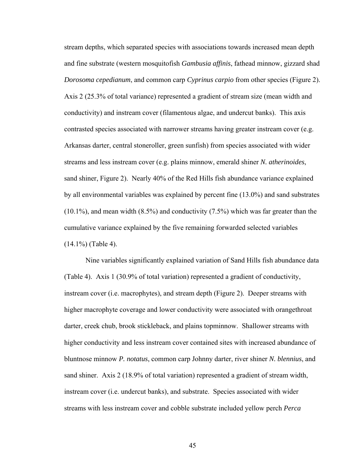stream depths, which separated species with associations towards increased mean depth and fine substrate (western mosquitofish *Gambusia affinis*, fathead minnow, gizzard shad *Dorosoma cepedianum*, and common carp *Cyprinus carpio* from other species (Figure 2). Axis 2 (25.3% of total variance) represented a gradient of stream size (mean width and conductivity) and instream cover (filamentous algae, and undercut banks). This axis contrasted species associated with narrower streams having greater instream cover (e.g. Arkansas darter, central stoneroller, green sunfish) from species associated with wider streams and less instream cover (e.g. plains minnow, emerald shiner *N. atherinoides*, sand shiner, Figure 2). Nearly 40% of the Red Hills fish abundance variance explained by all environmental variables was explained by percent fine (13.0%) and sand substrates (10.1%), and mean width (8.5%) and conductivity (7.5%) which was far greater than the cumulative variance explained by the five remaining forwarded selected variables (14.1%) (Table 4).

 Nine variables significantly explained variation of Sand Hills fish abundance data (Table 4). Axis 1 (30.9% of total variation) represented a gradient of conductivity, instream cover (i.e. macrophytes), and stream depth (Figure 2). Deeper streams with higher macrophyte coverage and lower conductivity were associated with orangethroat darter, creek chub, brook stickleback, and plains topminnow. Shallower streams with higher conductivity and less instream cover contained sites with increased abundance of bluntnose minnow *P. notatus*, common carp Johnny darter, river shiner *N. blennius*, and sand shiner. Axis 2 (18.9% of total variation) represented a gradient of stream width, instream cover (i.e. undercut banks), and substrate. Species associated with wider streams with less instream cover and cobble substrate included yellow perch *Perca*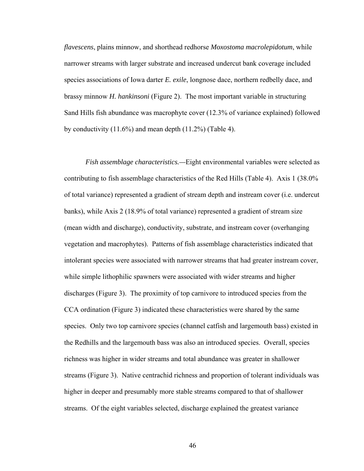*flavescens*, plains minnow, and shorthead redhorse *Moxostoma macrolepidotum*, while narrower streams with larger substrate and increased undercut bank coverage included species associations of Iowa darter *E. exile*, longnose dace, northern redbelly dace, and brassy minnow *H. hankinsoni* (Figure 2). The most important variable in structuring Sand Hills fish abundance was macrophyte cover (12.3% of variance explained) followed by conductivity (11.6%) and mean depth (11.2%) (Table 4).

*Fish assemblage characteristics.—*Eight environmental variables were selected as contributing to fish assemblage characteristics of the Red Hills (Table 4). Axis 1 (38.0% of total variance) represented a gradient of stream depth and instream cover (i.e. undercut banks), while Axis 2 (18.9% of total variance) represented a gradient of stream size (mean width and discharge), conductivity, substrate, and instream cover (overhanging vegetation and macrophytes). Patterns of fish assemblage characteristics indicated that intolerant species were associated with narrower streams that had greater instream cover, while simple lithophilic spawners were associated with wider streams and higher discharges (Figure 3). The proximity of top carnivore to introduced species from the CCA ordination (Figure 3) indicated these characteristics were shared by the same species. Only two top carnivore species (channel catfish and largemouth bass) existed in the Redhills and the largemouth bass was also an introduced species. Overall, species richness was higher in wider streams and total abundance was greater in shallower streams (Figure 3). Native centrachid richness and proportion of tolerant individuals was higher in deeper and presumably more stable streams compared to that of shallower streams. Of the eight variables selected, discharge explained the greatest variance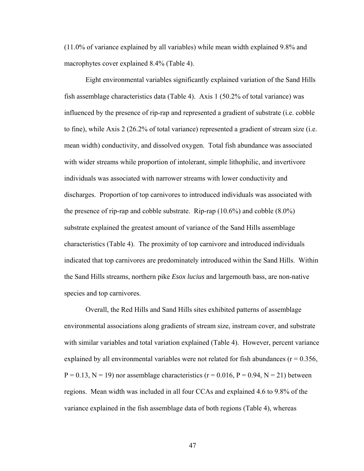(11.0% of variance explained by all variables) while mean width explained 9.8% and macrophytes cover explained 8.4% (Table 4).

 Eight environmental variables significantly explained variation of the Sand Hills fish assemblage characteristics data (Table 4). Axis 1 (50.2% of total variance) was influenced by the presence of rip-rap and represented a gradient of substrate (i.e. cobble to fine), while Axis 2 (26.2% of total variance) represented a gradient of stream size (i.e. mean width) conductivity, and dissolved oxygen. Total fish abundance was associated with wider streams while proportion of intolerant, simple lithophilic, and invertivore individuals was associated with narrower streams with lower conductivity and discharges. Proportion of top carnivores to introduced individuals was associated with the presence of rip-rap and cobble substrate. Rip-rap (10.6%) and cobble (8.0%) substrate explained the greatest amount of variance of the Sand Hills assemblage characteristics (Table 4). The proximity of top carnivore and introduced individuals indicated that top carnivores are predominately introduced within the Sand Hills. Within the Sand Hills streams, northern pike *Esox lucius* and largemouth bass, are non-native species and top carnivores.

 Overall, the Red Hills and Sand Hills sites exhibited patterns of assemblage environmental associations along gradients of stream size, instream cover, and substrate with similar variables and total variation explained (Table 4). However, percent variance explained by all environmental variables were not related for fish abundances ( $r = 0.356$ ,  $P = 0.13$ ,  $N = 19$ ) nor assemblage characteristics (r = 0.016, P = 0.94, N = 21) between regions. Mean width was included in all four CCAs and explained 4.6 to 9.8% of the variance explained in the fish assemblage data of both regions (Table 4), whereas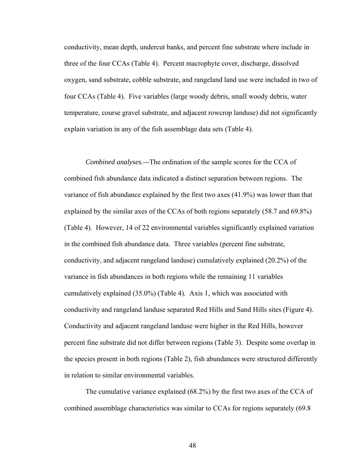conductivity, mean depth, undercut banks, and percent fine substrate where include in three of the four CCAs (Table 4). Percent macrophyte cover, discharge, dissolved oxygen, sand substrate, cobble substrate, and rangeland land use were included in two of four CCAs (Table 4). Five variables (large woody debris, small woody debris, water temperature, course gravel substrate, and adjacent rowcrop landuse) did not significantly explain variation in any of the fish assemblage data sets (Table 4).

*Combined analyses.—*The ordination of the sample scores for the CCA of combined fish abundance data indicated a distinct separation between regions. The variance of fish abundance explained by the first two axes (41.9%) was lower than that explained by the similar axes of the CCAs of both regions separately (58.7 and 69.8%) (Table 4). However, 14 of 22 environmental variables significantly explained variation in the combined fish abundance data. Three variables (percent fine substrate, conductivity, and adjacent rangeland landuse) cumulatively explained (20.2%) of the variance in fish abundances in both regions while the remaining 11 variables cumulatively explained (35.0%) (Table 4). Axis 1, which was associated with conductivity and rangeland landuse separated Red Hills and Sand Hills sites (Figure 4). Conductivity and adjacent rangeland landuse were higher in the Red Hills, however percent fine substrate did not differ between regions (Table 3). Despite some overlap in the species present in both regions (Table 2), fish abundances were structured differently in relation to similar environmental variables.

The cumulative variance explained (68.2%) by the first two axes of the CCA of combined assemblage characteristics was similar to CCAs for regions separately (69.8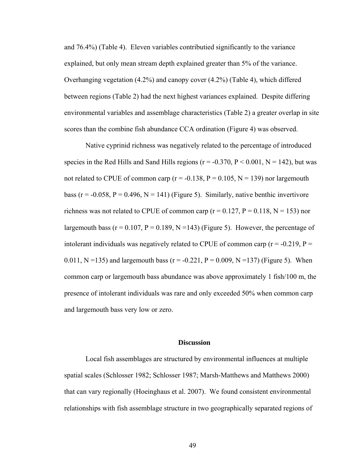and 76.4%) (Table 4). Eleven variables contributied significantly to the variance explained, but only mean stream depth explained greater than 5% of the variance. Overhanging vegetation (4.2%) and canopy cover (4.2%) (Table 4), which differed between regions (Table 2) had the next highest variances explained. Despite differing environmental variables and assemblage characteristics (Table 2) a greater overlap in site scores than the combine fish abundance CCA ordination (Figure 4) was observed.

Native cyprinid richness was negatively related to the percentage of introduced species in the Red Hills and Sand Hills regions ( $r = -0.370$ ,  $P \le 0.001$ ,  $N = 142$ ), but was not related to CPUE of common carp ( $r = -0.138$ ,  $P = 0.105$ ,  $N = 139$ ) nor largemouth bass ( $r = -0.058$ ,  $P = 0.496$ ,  $N = 141$ ) (Figure 5). Similarly, native benthic invertivore richness was not related to CPUE of common carp ( $r = 0.127$ ,  $P = 0.118$ ,  $N = 153$ ) nor largemouth bass ( $r = 0.107$ ,  $P = 0.189$ ,  $N = 143$ ) (Figure 5). However, the percentage of intolerant individuals was negatively related to CPUE of common carp ( $r = -0.219$ ,  $P =$ 0.011, N =135) and largemouth bass ( $r = -0.221$ , P = 0.009, N =137) (Figure 5). When common carp or largemouth bass abundance was above approximately 1 fish/100 m, the presence of intolerant individuals was rare and only exceeded 50% when common carp and largemouth bass very low or zero.

#### **Discussion**

Local fish assemblages are structured by environmental influences at multiple spatial scales (Schlosser 1982; Schlosser 1987; Marsh-Matthews and Matthews 2000) that can vary regionally (Hoeinghaus et al. 2007). We found consistent environmental relationships with fish assemblage structure in two geographically separated regions of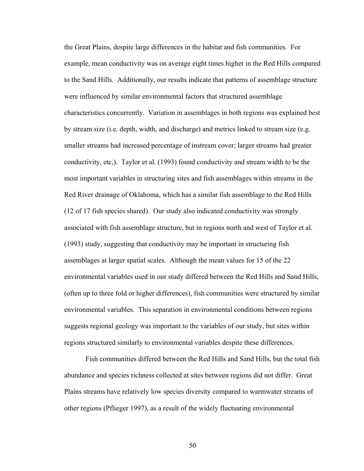the Great Plains, despite large differences in the habitat and fish communities. For example, mean conductivity was on average eight times higher in the Red Hills compared to the Sand Hills. Additionally, our results indicate that patterns of assemblage structure were influenced by similar environmental factors that structured assemblage characteristics concurrently. Variation in assemblages in both regions was explained best by stream size (i.e. depth, width, and discharge) and metrics linked to stream size (e.g. smaller streams had increased percentage of instream cover; larger streams had greater conductivity, etc,). Taylor et al. (1993) found conductivity and stream width to be the most important variables in structuring sites and fish assemblages within streams in the Red River drainage of Oklahoma, which has a similar fish assemblage to the Red Hills (12 of 17 fish species shared). Our study also indicated conductivity was strongly associated with fish assemblage structure, but in regions north and west of Taylor et al. (1993) study, suggesting that conductivity may be important in structuring fish assemblages at larger spatial scales. Although the mean values for 15 of the 22 environmental variables used in our study differed between the Red Hills and Sand Hills, (often up to three fold or higher differences), fish communities were structured by similar environmental variables. This separation in environmental conditions between regions suggests regional geology was important to the variables of our study, but sites within regions structured similarly to environmental variables despite these differences.

Fish communities differed between the Red Hills and Sand Hills, but the total fish abundance and species richness collected at sites between regions did not differ. Great Plains streams have relatively low species diversity compared to warmwater streams of other regions (Pflieger 1997), as a result of the widely fluctuating environmental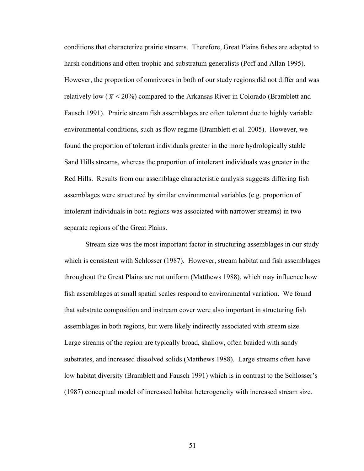conditions that characterize prairie streams. Therefore, Great Plains fishes are adapted to harsh conditions and often trophic and substratum generalists (Poff and Allan 1995). However, the proportion of omnivores in both of our study regions did not differ and was relatively low ( $\bar{x}$  < 20%) compared to the Arkansas River in Colorado (Bramblett and Fausch 1991). Prairie stream fish assemblages are often tolerant due to highly variable environmental conditions, such as flow regime (Bramblett et al. 2005). However, we found the proportion of tolerant individuals greater in the more hydrologically stable Sand Hills streams, whereas the proportion of intolerant individuals was greater in the Red Hills. Results from our assemblage characteristic analysis suggests differing fish assemblages were structured by similar environmental variables (e.g. proportion of intolerant individuals in both regions was associated with narrower streams) in two separate regions of the Great Plains.

Stream size was the most important factor in structuring assemblages in our study which is consistent with Schlosser (1987). However, stream habitat and fish assemblages throughout the Great Plains are not uniform (Matthews 1988), which may influence how fish assemblages at small spatial scales respond to environmental variation. We found that substrate composition and instream cover were also important in structuring fish assemblages in both regions, but were likely indirectly associated with stream size. Large streams of the region are typically broad, shallow, often braided with sandy substrates, and increased dissolved solids (Matthews 1988). Large streams often have low habitat diversity (Bramblett and Fausch 1991) which is in contrast to the Schlosser's (1987) conceptual model of increased habitat heterogeneity with increased stream size.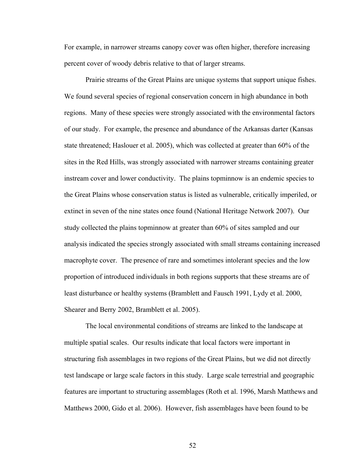For example, in narrower streams canopy cover was often higher, therefore increasing percent cover of woody debris relative to that of larger streams.

Prairie streams of the Great Plains are unique systems that support unique fishes. We found several species of regional conservation concern in high abundance in both regions. Many of these species were strongly associated with the environmental factors of our study. For example, the presence and abundance of the Arkansas darter (Kansas state threatened; Haslouer et al. 2005), which was collected at greater than 60% of the sites in the Red Hills, was strongly associated with narrower streams containing greater instream cover and lower conductivity. The plains topminnow is an endemic species to the Great Plains whose conservation status is listed as vulnerable, critically imperiled, or extinct in seven of the nine states once found (National Heritage Network 2007). Our study collected the plains topminnow at greater than 60% of sites sampled and our analysis indicated the species strongly associated with small streams containing increased macrophyte cover. The presence of rare and sometimes intolerant species and the low proportion of introduced individuals in both regions supports that these streams are of least disturbance or healthy systems (Bramblett and Fausch 1991, Lydy et al. 2000, Shearer and Berry 2002, Bramblett et al. 2005).

The local environmental conditions of streams are linked to the landscape at multiple spatial scales. Our results indicate that local factors were important in structuring fish assemblages in two regions of the Great Plains, but we did not directly test landscape or large scale factors in this study. Large scale terrestrial and geographic features are important to structuring assemblages (Roth et al. 1996, Marsh Matthews and Matthews 2000, Gido et al. 2006). However, fish assemblages have been found to be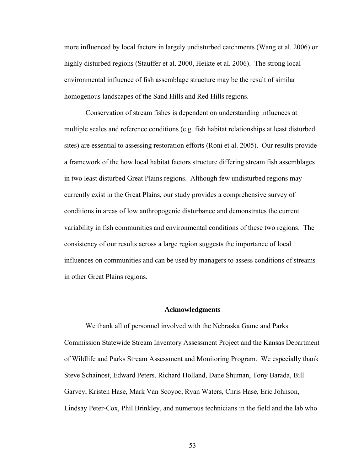more influenced by local factors in largely undisturbed catchments (Wang et al. 2006) or highly disturbed regions (Stauffer et al. 2000, Heikte et al. 2006). The strong local environmental influence of fish assemblage structure may be the result of similar homogenous landscapes of the Sand Hills and Red Hills regions.

Conservation of stream fishes is dependent on understanding influences at multiple scales and reference conditions (e.g. fish habitat relationships at least disturbed sites) are essential to assessing restoration efforts (Roni et al. 2005). Our results provide a framework of the how local habitat factors structure differing stream fish assemblages in two least disturbed Great Plains regions. Although few undisturbed regions may currently exist in the Great Plains, our study provides a comprehensive survey of conditions in areas of low anthropogenic disturbance and demonstrates the current variability in fish communities and environmental conditions of these two regions. The consistency of our results across a large region suggests the importance of local influences on communities and can be used by managers to assess conditions of streams in other Great Plains regions.

#### **Acknowledgments**

We thank all of personnel involved with the Nebraska Game and Parks Commission Statewide Stream Inventory Assessment Project and the Kansas Department of Wildlife and Parks Stream Assessment and Monitoring Program. We especially thank Steve Schainost, Edward Peters, Richard Holland, Dane Shuman, Tony Barada, Bill Garvey, Kristen Hase, Mark Van Scoyoc, Ryan Waters, Chris Hase, Eric Johnson, Lindsay Peter-Cox, Phil Brinkley, and numerous technicians in the field and the lab who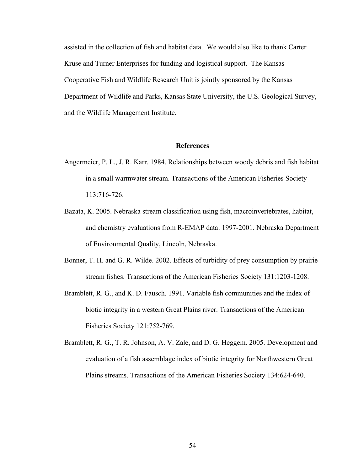assisted in the collection of fish and habitat data. We would also like to thank Carter Kruse and Turner Enterprises for funding and logistical support. The Kansas Cooperative Fish and Wildlife Research Unit is jointly sponsored by the Kansas Department of Wildlife and Parks, Kansas State University, the U.S. Geological Survey, and the Wildlife Management Institute.

# **References**

- Angermeier, P. L., J. R. Karr. 1984. Relationships between woody debris and fish habitat in a small warmwater stream. Transactions of the American Fisheries Society 113:716-726.
- Bazata, K. 2005. Nebraska stream classification using fish, macroinvertebrates, habitat, and chemistry evaluations from R-EMAP data: 1997-2001. Nebraska Department of Environmental Quality, Lincoln, Nebraska.
- Bonner, T. H. and G. R. Wilde. 2002. Effects of turbidity of prey consumption by prairie stream fishes. Transactions of the American Fisheries Society 131:1203-1208.
- Bramblett, R. G., and K. D. Fausch. 1991. Variable fish communities and the index of biotic integrity in a western Great Plains river. Transactions of the American Fisheries Society 121:752-769.
- Bramblett, R. G., T. R. Johnson, A. V. Zale, and D. G. Heggem. 2005. Development and evaluation of a fish assemblage index of biotic integrity for Northwestern Great Plains streams. Transactions of the American Fisheries Society 134:624-640.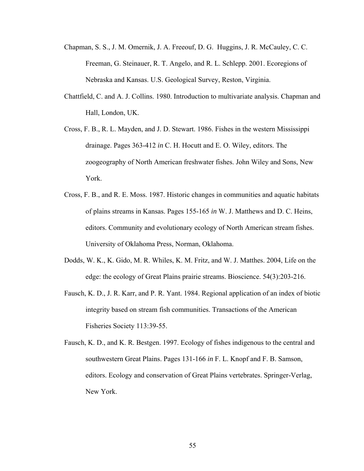- Chapman, S. S., J. M. Omernik, J. A. Freeouf, D. G. Huggins, J. R. McCauley, C. C. Freeman, G. Steinauer, R. T. Angelo, and R. L. Schlepp. 2001. Ecoregions of Nebraska and Kansas. U.S. Geological Survey, Reston, Virginia.
- Chattfield, C. and A. J. Collins. 1980. Introduction to multivariate analysis. Chapman and Hall, London, UK.
- Cross, F. B., R. L. Mayden, and J. D. Stewart. 1986. Fishes in the western Mississippi drainage. Pages 363-412 *in* C. H. Hocutt and E. O. Wiley, editors. The zoogeography of North American freshwater fishes. John Wiley and Sons, New York.
- Cross, F. B., and R. E. Moss. 1987. Historic changes in communities and aquatic habitats of plains streams in Kansas. Pages 155-165 *in* W. J. Matthews and D. C. Heins, editors. Community and evolutionary ecology of North American stream fishes. University of Oklahoma Press, Norman, Oklahoma.
- Dodds, W. K., K. Gido, M. R. Whiles, K. M. Fritz, and W. J. Matthes. 2004, Life on the edge: the ecology of Great Plains prairie streams. Bioscience. 54(3):203-216.
- Fausch, K. D., J. R. Karr, and P. R. Yant. 1984. Regional application of an index of biotic integrity based on stream fish communities. Transactions of the American Fisheries Society 113:39-55.
- Fausch, K. D., and K. R. Bestgen. 1997. Ecology of fishes indigenous to the central and southwestern Great Plains. Pages 131-166 *in* F. L. Knopf and F. B. Samson, editors. Ecology and conservation of Great Plains vertebrates. Springer-Verlag, New York.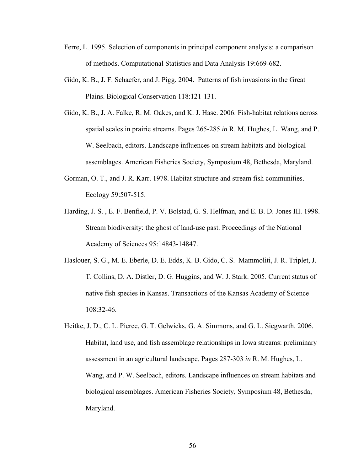- Ferre, L. 1995. Selection of components in principal component analysis: a comparison of methods. Computational Statistics and Data Analysis 19:669-682.
- Gido, K. B., J. F. Schaefer, and J. Pigg. 2004. Patterns of fish invasions in the Great Plains. Biological Conservation 118:121-131.
- Gido, K. B., J. A. Falke, R. M. Oakes, and K. J. Hase. 2006. Fish-habitat relations across spatial scales in prairie streams. Pages 265-285 *in* R. M. Hughes, L. Wang, and P. W. Seelbach, editors. Landscape influences on stream habitats and biological assemblages. American Fisheries Society, Symposium 48, Bethesda, Maryland.
- Gorman, O. T., and J. R. Karr. 1978. Habitat structure and stream fish communities. Ecology 59:507-515.
- Harding, J. S. , E. F. Benfield, P. V. Bolstad, G. S. Helfman, and E. B. D. Jones III. 1998. Stream biodiversity: the ghost of land-use past. Proceedings of the National Academy of Sciences 95:14843-14847.
- Haslouer, S. G., M. E. Eberle, D. E. Edds, K. B. Gido, C. S. Mammoliti, J. R. Triplet, J. T. Collins, D. A. Distler, D. G. Huggins, and W. J. Stark. 2005. Current status of native fish species in Kansas. Transactions of the Kansas Academy of Science 108:32-46.
- Heitke, J. D., C. L. Pierce, G. T. Gelwicks, G. A. Simmons, and G. L. Siegwarth. 2006. Habitat, land use, and fish assemblage relationships in Iowa streams: preliminary assessment in an agricultural landscape. Pages 287-303 *in* R. M. Hughes, L. Wang, and P. W. Seelbach, editors. Landscape influences on stream habitats and biological assemblages. American Fisheries Society, Symposium 48, Bethesda, Maryland.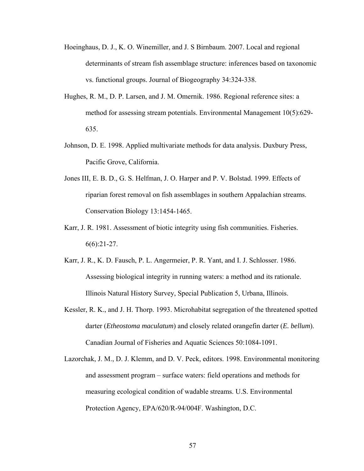- Hoeinghaus, D. J., K. O. Winemiller, and J. S Birnbaum. 2007. Local and regional determinants of stream fish assemblage structure: inferences based on taxonomic vs. functional groups. Journal of Biogeography 34:324-338.
- Hughes, R. M., D. P. Larsen, and J. M. Omernik. 1986. Regional reference sites: a method for assessing stream potentials. Environmental Management 10(5):629- 635.
- Johnson, D. E. 1998. Applied multivariate methods for data analysis. Duxbury Press, Pacific Grove, California.
- Jones III, E. B. D., G. S. Helfman, J. O. Harper and P. V. Bolstad. 1999. Effects of riparian forest removal on fish assemblages in southern Appalachian streams. Conservation Biology 13:1454-1465.
- Karr, J. R. 1981. Assessment of biotic integrity using fish communities. Fisheries.  $6(6):21-27.$
- Karr, J. R., K. D. Fausch, P. L. Angermeier, P. R. Yant, and I. J. Schlosser. 1986. Assessing biological integrity in running waters: a method and its rationale. Illinois Natural History Survey, Special Publication 5, Urbana, Illinois.
- Kessler, R. K., and J. H. Thorp. 1993. Microhabitat segregation of the threatened spotted darter (*Etheostoma maculatum*) and closely related orangefin darter (*E. bellum*). Canadian Journal of Fisheries and Aquatic Sciences 50:1084-1091.
- Lazorchak, J. M., D. J. Klemm, and D. V. Peck, editors. 1998. Environmental monitoring and assessment program – surface waters: field operations and methods for measuring ecological condition of wadable streams. U.S. Environmental Protection Agency, EPA/620/R-94/004F. Washington, D.C.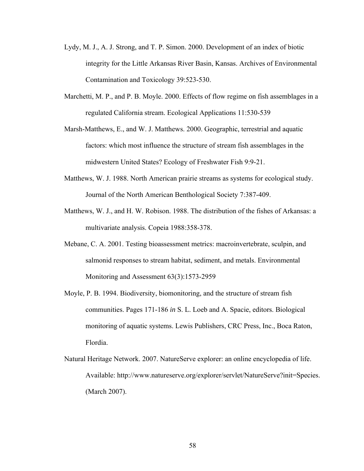- Lydy, M. J., A. J. Strong, and T. P. Simon. 2000. Development of an index of biotic integrity for the Little Arkansas River Basin, Kansas. Archives of Environmental Contamination and Toxicology 39:523-530.
- Marchetti, M. P., and P. B. Moyle. 2000. Effects of flow regime on fish assemblages in a regulated California stream. Ecological Applications 11:530-539
- Marsh-Matthews, E., and W. J. Matthews. 2000. Geographic, terrestrial and aquatic factors: which most influence the structure of stream fish assemblages in the midwestern United States? Ecology of Freshwater Fish 9:9-21.
- Matthews, W. J. 1988. North American prairie streams as systems for ecological study. Journal of the North American Benthological Society 7:387-409.
- Matthews, W. J., and H. W. Robison. 1988. The distribution of the fishes of Arkansas: a multivariate analysis. Copeia 1988:358-378.
- Mebane, C. A. 2001. Testing bioassessment metrics: macroinvertebrate, sculpin, and salmonid responses to stream habitat, sediment, and metals. Environmental Monitoring and Assessment 63(3):1573-2959
- Moyle, P. B. 1994. Biodiversity, biomonitoring, and the structure of stream fish communities. Pages 171-186 *in* S. L. Loeb and A. Spacie, editors. Biological monitoring of aquatic systems. Lewis Publishers, CRC Press, Inc., Boca Raton, Flordia.
- Natural Heritage Network. 2007. NatureServe explorer: an online encyclopedia of life. Available: http://www.natureserve.org/explorer/servlet/NatureServe?init=Species. (March 2007).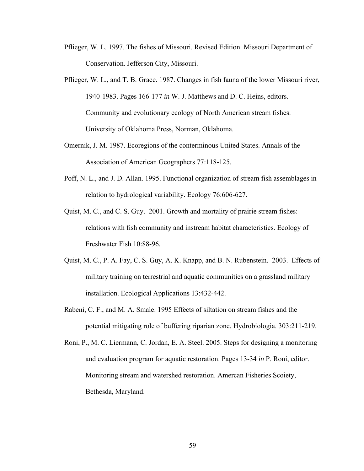- Pflieger, W. L. 1997. The fishes of Missouri. Revised Edition. Missouri Department of Conservation. Jefferson City, Missouri.
- Pflieger, W. L., and T. B. Grace. 1987. Changes in fish fauna of the lower Missouri river, 1940-1983. Pages 166-177 *in* W. J. Matthews and D. C. Heins, editors. Community and evolutionary ecology of North American stream fishes. University of Oklahoma Press, Norman, Oklahoma.
- Omernik, J. M. 1987. Ecoregions of the conterminous United States. Annals of the Association of American Geographers 77:118-125.
- Poff, N. L., and J. D. Allan. 1995. Functional organization of stream fish assemblages in relation to hydrological variability. Ecology 76:606-627.
- Quist, M. C., and C. S. Guy. 2001. Growth and mortality of prairie stream fishes: relations with fish community and instream habitat characteristics. Ecology of Freshwater Fish 10:88-96.
- Quist, M. C., P. A. Fay, C. S. Guy, A. K. Knapp, and B. N. Rubenstein. 2003. Effects of military training on terrestrial and aquatic communities on a grassland military installation. Ecological Applications 13:432-442.
- Rabeni, C. F., and M. A. Smale. 1995 Effects of siltation on stream fishes and the potential mitigating role of buffering riparian zone. Hydrobiologia. 303:211-219.
- Roni, P., M. C. Liermann, C. Jordan, E. A. Steel. 2005. Steps for designing a monitoring and evaluation program for aquatic restoration. Pages 13-34 *in* P. Roni, editor. Monitoring stream and watershed restoration. Amercan Fisheries Scoiety, Bethesda, Maryland.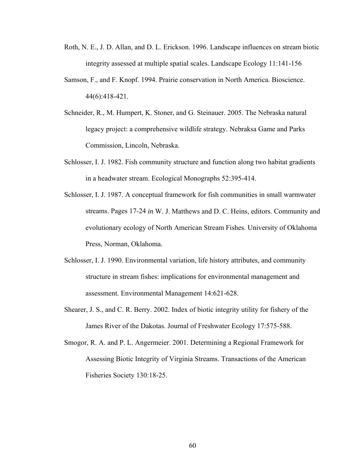- Roth, N. E., J. D. Allan, and D. L. Erickson. 1996. Landscape influences on stream biotic integrity assessed at multiple spatial scales. Landscape Ecology 11:141-156
- Samson, F., and F. Knopf. 1994. Prairie conservation in North America. Bioscience. 44(6):418-421.
- Schneider, R., M. Humpert, K. Stoner, and G. Steinauer. 2005. The Nebraska natural legacy project: a comprehensive wildlife strategy. Nebraksa Game and Parks Commission, Lincoln, Nebraska.
- Schlosser, I. J. 1982. Fish community structure and function along two habitat gradients in a headwater stream. Ecological Monographs 52:395-414.
- Schlosser, I. J. 1987. A conceptual framework for fish communities in small warmwater streams. Pages 17-24 *in* W. J. Matthews and D. C. Heins, editors. Community and evolutionary ecology of North American Stream Fishes. University of Oklahoma Press, Norman, Oklahoma.
- Schlosser, I. J. 1990. Environmental variation, life history attributes, and community structure in stream fishes: implications for environmental management and assessment. Environmental Management 14:621-628.
- Shearer, J. S., and C. R. Berry. 2002. Index of biotic integrity utility for fishery of the James River of the Dakotas. Journal of Freshwater Ecology 17:575-588.
- Smogor, R. A. and P. L. Angermeier. 2001. Determining a Regional Framework for Assessing Biotic Integrity of Virginia Streams. Transactions of the American Fisheries Society 130:18-25.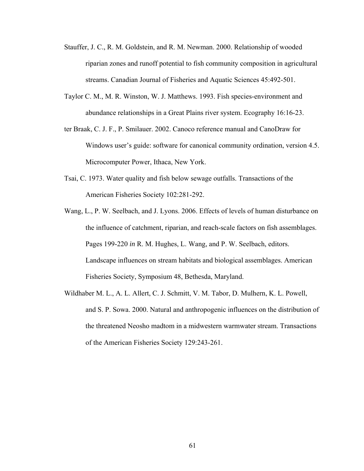- Stauffer, J. C., R. M. Goldstein, and R. M. Newman. 2000. Relationship of wooded riparian zones and runoff potential to fish community composition in agricultural streams. Canadian Journal of Fisheries and Aquatic Sciences 45:492-501.
- Taylor C. M., M. R. Winston, W. J. Matthews. 1993. Fish species-environment and abundance relationships in a Great Plains river system. Ecography 16:16-23.
- ter Braak, C. J. F., P. Smilauer. 2002. Canoco reference manual and CanoDraw for Windows user's guide: software for canonical community ordination, version 4.5. Microcomputer Power, Ithaca, New York.
- Tsai, C. 1973. Water quality and fish below sewage outfalls. Transactions of the American Fisheries Society 102:281-292.
- Wang, L., P. W. Seelbach, and J. Lyons. 2006. Effects of levels of human disturbance on the influence of catchment, riparian, and reach-scale factors on fish assemblages. Pages 199-220 *in* R. M. Hughes, L. Wang, and P. W. Seelbach, editors. Landscape influences on stream habitats and biological assemblages. American Fisheries Society, Symposium 48, Bethesda, Maryland.
- Wildhaber M. L., A. L. Allert, C. J. Schmitt, V. M. Tabor, D. Mulhern, K. L. Powell, and S. P. Sowa. 2000. Natural and anthropogenic influences on the distribution of the threatened Neosho madtom in a midwestern warmwater stream. Transactions of the American Fisheries Society 129:243-261.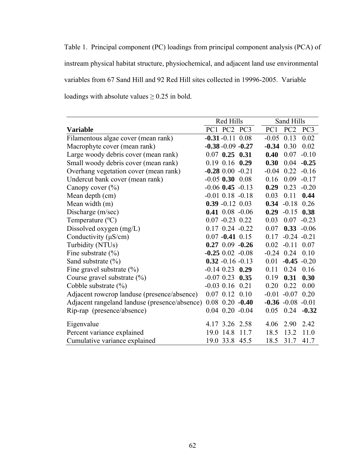Table 1. Principal component (PC) loadings from principal component analysis (PCA) of instream physical habitat structure, physiochemical, and adjacent land use environmental variables from 67 Sand Hill and 92 Red Hill sites collected in 19996-2005. Variable loadings with absolute values  $\geq 0.25$  in bold.

|                                               | Red Hills              | Sand Hills                    |
|-----------------------------------------------|------------------------|-------------------------------|
| <b>Variable</b>                               | PC1 PC2 PC3            | PC1<br>PC <sub>2</sub><br>PC3 |
| Filamentous algae cover (mean rank)           | $-0.31 - 0.11$ 0.08    | $-0.05$ 0.13<br>0.02          |
| Macrophyte cover (mean rank)                  | $-0.38 - 0.09 - 0.27$  | 0.02<br>$-0.34$ 0.30          |
| Large woody debris cover (mean rank)          | $0.07$ 0.25 0.31       | 0.40<br>0.07<br>$-0.10$       |
| Small woody debris cover (mean rank)          | $0.19$ 0.16 0.29       | 0.30<br>0.04<br>$-0.25$       |
| Overhang vegetation cover (mean rank)         | $-0.28$ 0.00 $-0.21$   | $-0.04$ 0.22<br>$-0.16$       |
| Undercut bank cover (mean rank)               | $-0.05$ 0.30 0.08      | 0.09<br>$-0.17$<br>0.16       |
| Canopy cover $(\% )$                          | $-0.06$ 0.45 $-0.13$   | 0.29<br>0.23<br>$-0.20$       |
| Mean depth (cm)                               | $-0.01$ $0.18$ $-0.18$ | 0.44<br>0.03<br>0.11          |
| Mean width (m)                                | $0.39 - 0.12$ 0.03     | $-0.18$<br>0.26<br>0.34       |
| Discharge (m/sec)                             | $0.41$ 0.08 -0.06      | $0.29 - 0.15$<br>0.38         |
| Temperature $(^{\circ}C)$                     | $0.07 - 0.23$ 0.22     | 0.03<br>0.07<br>$-0.23$       |
| Dissolved oxygen $(mg/L)$                     | $0.17$ $0.24$ $-0.22$  | $0.33 - 0.06$<br>0.07         |
| Conductivity (µS/cm)                          | $0.07 - 0.41$ 0.15     | $-0.24 - 0.21$<br>0.17        |
| Turbidity (NTUs)                              | $0.27$ 0.09 $-0.26$    | $0.02 -0.11 0.07$             |
| Fine substrate $(\% )$                        | $-0.25$ 0.02 $-0.08$   | $-0.24$ 0.24<br>0.10          |
| Sand substrate $(\% )$                        | $0.32 - 0.16 - 0.13$   | $-0.45 - 0.20$<br>0.01        |
| Fine gravel substrate $(\% )$                 | $-0.14$ 0.23 0.29      | 0.16<br>0.11<br>0.24          |
| Course gravel substrate $(\% )$               | $-0.07$ 0.23 0.35      | 0.30<br>0.19<br>0.31          |
| Cobble substrate $(\%)$                       | $-0.03$ 0.16 0.21      | 0.00<br>0.20<br>0.22          |
| Adjacent rowcrop landuse (presence/absence)   | $0.07$ $0.12$ $0.10$   | $-0.01 - 0.07$<br>0.20        |
| Adjacent rangeland landuse (presence/absence) | $0.08$ $0.20$ $-0.40$  | $-0.36 - 0.08 - 0.01$         |
| Rip-rap (presence/absence)                    | $0.04$ $0.20$ $-0.04$  | $0.05$ 0.24 $-0.32$           |
| Eigenvalue                                    | 4.17 3.26 2.58         | 2.42<br>4.06<br>2.90          |
| Percent variance explained                    | 19.0 14.8<br>11.7      | 13.2<br>11.0<br>18.5          |
| Cumulative variance explained                 | 19.0 33.8 45.5         | 31.7<br>41.7<br>18.5          |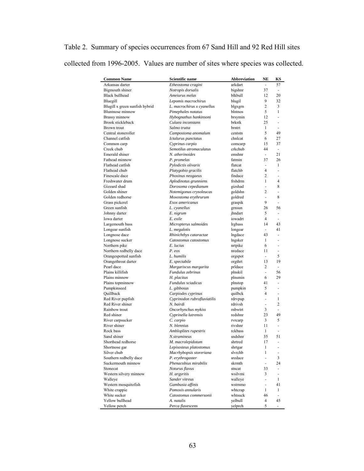| Table 2. Summary of species occurrences from 67 Sand Hill and 92 Red Hill sites   |  |  |  |
|-----------------------------------------------------------------------------------|--|--|--|
| collected from 1996-2005. Values are number of sites where species was collected. |  |  |  |

| <b>Common Name</b>             | Scientific name             | Abbreviation | NE                       | KS                       |
|--------------------------------|-----------------------------|--------------|--------------------------|--------------------------|
| Arkansas darter                | Etheostoma cragini          | arkdart      | ÷,                       | 57                       |
| Bigmouth shiner                | Notropis dorsalis           | bigshnr      | 37                       | $\overline{\phantom{a}}$ |
| <b>Black bullhead</b>          | Ameiurus melas              | blkbull      | 12                       | 20                       |
| Bluegill                       | Lepomis macrochirus         | blugil       | 9                        | 32                       |
| Blugill x green sunfish hybrid | L. macrochirus x cyanellus  | blgxgrn      | 2                        | 3                        |
| <b>Bluntnose</b> minnow        | Pimephales notatus          | blntnos      | 5                        | 1                        |
| Brassy minnow                  | Hybognathus hankinsoni      | brsymin      | 12                       | L,                       |
| Brook stickleback              | Culaea inconstans           | brkstk       | 25                       | ٠                        |
| Brown trout                    | Salmo trutta                | brntrt       | 1                        |                          |
| Central stoneroller            | Campostoma anomalum         | centstn      | 5                        | 49                       |
| Channel catfish                | Ictalurus punctatus         | chnlcat      | 6                        | 27                       |
| Common carp                    | Cyprinus carpio             | comcarp      | 15                       | 37                       |
| Creek chub                     | Semotilus atromaculatus     | crkchub      | 44                       | $\blacksquare$           |
| Emerald shiner                 | N. atherinoides             | emshnr       | $\blacksquare$           | 21                       |
| Fathead minnow                 | P. promelas                 | fatmin       | 37                       | 26                       |
| Flathead catfish               | Pylodictis olivaris         | flatcat      | $\blacksquare$           | 1                        |
| Flathead chub                  | Platygobio gracilis         | flatchb      | 4                        | $\blacksquare$           |
| Finescale dace                 | Phoxinus neogaeus           | findace      | 2                        | ٠                        |
| Freshwater drum                | Aplodinotus grunniens       | frshdrm      | $\mathbf{1}$             | $\overline{4}$           |
| Gizzard shad                   | Dorosoma cepedianum         | gizshad      | $\blacksquare$           | 8                        |
| Golden shiner                  | Notemigonus crysoleucas     | goldshn      | 2                        | $\frac{1}{2}$            |
| Golden redhorse                | Moxostoma erythrurum        | goldred      | $\overline{\phantom{a}}$ | 8                        |
| Grass pickerel                 | Esox americanus             | graspik      | 9                        | L,                       |
| Green sunfish                  | L. cyanellus                | grnsun       | 26                       | 56                       |
| Johnny darter                  | E. nigrum                   | ihndart      | 5                        | $\overline{\phantom{a}}$ |
| Iowa darter                    | E. exile                    | iowadrt      | $\overline{4}$           | $\overline{\phantom{a}}$ |
| Largemouth bass                | Micropterus salmoides       | lrgbass      | 14                       | 43                       |
| Longear sunfish                | L. megalotis                | longear      | ÷.                       | 41                       |
| Longnose dace                  | Rhinichthys cataractae      | Ingdace      | 43                       | ÷,                       |
| Longnose sucker                | Catostomus catostomus       | lngsker      | 1                        | L,                       |
| Northern pike                  | E. lucius                   | nrtpike      | 6                        | ÷,                       |
| Northern redbelly dace         | P. eos                      | nredace      | 11                       | $\overline{\phantom{m}}$ |
| Orangespotted sunfish          | L. humilis                  | orgspot      | $\Box$                   | 5                        |
| Orangethroat darter            | E. spectabile               | orgthrt      | 13                       | 19                       |
| Pearl dace                     | Margariscus margarita       | pridace      | 2                        | $\overline{\phantom{a}}$ |
| Plains killifish               | Fundulus zebrinus           | plnskil      | $\overline{\phantom{a}}$ | 56                       |
| Plains minnow                  | H. placitus                 | plnsmin      | 6                        | 29                       |
| Plains topminnow               | Fundulus sciadicus          | plnstop      | 41                       | $\blacksquare$           |
| Pumpkinseed                    | L. gibbosus                 | pumpkin      | 5                        | $\blacksquare$           |
| Quillback                      | Carpiodes cyprinus          | quilbck      | $\overline{4}$           | ٠                        |
| Red River pupfish              | Cyprinodon rubrofluviatilis | rdrvpup      | $\blacksquare$           | 1                        |
| Red River shiner               | N. bairdi                   | rdrivsh      | $\frac{1}{2}$            | 2                        |
| Rainbow trout                  | Oncorhynchus mykiss         | rnbwtrt      | 3                        | ä,                       |
| Red shiner                     | Cyprinella lutrensis        | redshnr      | 23                       | 49                       |
| River carpsucker               | C. carpio                   | rvrcarp      | 3                        | 5                        |
| River shiner                   | N. blennius                 | rivshnr      | 11                       | $\blacksquare$           |
| Rock bass                      | Ambloplites rupestris       | rckbass      | 1                        |                          |
| Sand shiner                    | N.stramineus                | sndshnr      | 35                       | 51                       |
| Shorthead redhorse             | M. macrolepidotum           | shrtred      | 17                       |                          |
| Shortnose gar                  | Lepisosteus platostomus     | shrtgar      | 1                        |                          |
| Silver chub                    | Macrhybopsis storeriana     | slvrchb      | 1                        | $\overline{a}$           |
| Southern redbelly dace         | P. erythrogaster            | sredace      | $\blacksquare$           | 3                        |
| Suckermouth minnow             | Phenacobius mirabilis       | skrmth       | $\blacksquare$           | 24                       |
| Stonecat                       | Noturus flavus              | stncat       | 33                       | $\overline{\phantom{m}}$ |
| Western silvery minnow         | H. argyritis                | wsilvmi      | 3                        | $\overline{\phantom{a}}$ |
| Walleye                        | Sander vitreus              | walleye      | $\blacksquare$           | 1                        |
| Western mosquitofish           | Gambusia affinis            | wstrnmo      | $\blacksquare$           | 41                       |
| White crappie                  | Pomoxis annularis           | whtcrap      | 1                        | 1                        |
| White sucker                   | Catostomus commersonii      | whtsuck      | 46                       | $\frac{1}{2}$            |
| Yellow bullhead                | A. natalis                  | yelbull      | 4                        | 45                       |
| Yellow perch                   | Perca flavescens            | yelprch      | 5                        |                          |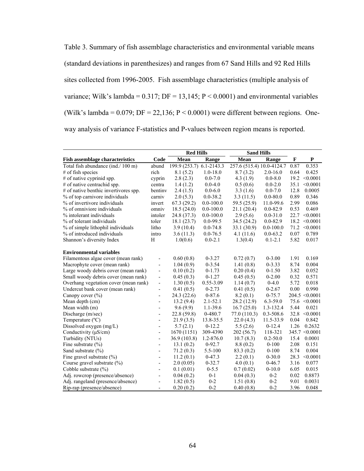Table 3. Summary of fish assemblage characteristics and environmental variable means (standard deviations in parenthesizes) and ranges from 67 Sand Hills and 92 Red Hills sites collected from 1996-2005. Fish assemblage characteristics (multiple analysis of variance; Wilk's lambda =  $0.317$ ; DF =  $13,145$ ; P <  $0.0001$ ) and environmental variables (Wilk's lambda =  $0.079$ ; DF =  $22,136$ ; P <  $0.0001$ ) were different between regions. Oneway analysis of variance F-statistics and P-values between region means is reported.

|                                        |                          | <b>Red Hills</b> |                | <b>Sand Hills</b>         |               |              |                    |
|----------------------------------------|--------------------------|------------------|----------------|---------------------------|---------------|--------------|--------------------|
| <b>Fish assemblage characteristics</b> | Code                     | Mean             | Range          | Mean                      | Range         | $\mathbf{F}$ | P                  |
| Total fish abundance (ind./ 100 m)     | abund                    | 199.9 (253.7)    | $6.1 - 2143.3$ | 257.6 (515.4) 10.0-4124.7 |               | 0.87         | 0.353              |
| # of fish species                      | rich                     | 8.1(5.2)         | $1.0 - 18.0$   | 8.7(3.2)                  | $2.0 - 16.0$  | 0.64         | 0.425              |
| # of native cyprinid spp.              | cyprin                   | 2.8(2.3)         | $0.0 - 7.0$    | 4.3(1.9)                  | $0.0 - 8.0$   | 19.2         | < 0.0001           |
| # of native centrachid spp.            | centra                   | 1.4(1.2)         | $0.0 - 4.0$    | 0.5(0.6)                  | $0.0 - 2.0$   | 35.1         | < 0.0001           |
| # of native benthic invertivores spp.  | bentiny                  | 2.4(1.5)         | $0.0 - 6.0$    | 3.3(1.6)                  | $0.0 - 7.0$   | 12.8         | 0.0005             |
| % of top carnivore individuals         | carniv                   | 2.0(5.3)         | $0.0 - 38.2$   | 3.3(11.5)                 | $0.0 - 80.0$  | 0.89         | 0.346              |
| % of invertivore individuals           | invert                   | 67.3(29.2)       | $0.0 - 100.0$  | 59.5 (25.9)               | 11.0-99.6     | 2.99         | 0.086              |
| % of omniviore individuals             | omniy                    | 18.5(24.0)       | $0.0 - 100.0$  | 21.1(20.4)                | $0.0 - 82.9$  | 0.53         | 0.469              |
| % intolerant individuals               | intoler                  | 24.8 (37.3)      | $0.0 - 100.0$  | 2.9(5.6)                  | $0.0 - 31.0$  | 22.7         | < 0.0001           |
| % of tolerant individuals              | toler                    | 18.1(23.7)       | $0.0 - 99.5$   | 34.5 (24.2)               | $0.0 - 82.9$  | 18.2         | < 0.0001           |
| % of simple lithophil individuals      | litho                    | 3.9(10.4)        | $0.0 - 74.8$   | 33.1 (30.9)               | $0.0 - 100.0$ | 71.2         | < 0.0001           |
| % of introduced individuals            | intro                    | 3.6(11.3)        | $0.0 - 76.5$   | 4.1(11.6)                 | $0.0 - 63.2$  | 0.07         | 0.789              |
| Shannon's diversity Index              | H                        | 1.0(0.6)         | $0.0 - 2.1$    | 1.3(0.4)                  | $0.1 - 2.1$   | 5.82         | 0.017              |
|                                        |                          |                  |                |                           |               |              |                    |
| <b>Environmental variables</b>         |                          |                  |                |                           |               |              |                    |
| Filamentous algae cover (mean rank)    |                          | 0.60(0.8)        | $0 - 3.27$     | 0.72(0.7)                 | $0 - 3.00$    | 1.91         | 0.169              |
| Macrophyte cover (mean rank)           | $\overline{a}$           | 1.04(0.9)        | $0 - 3.54$     | 1.41(0.8)                 | $0 - 3.33$    | 8.74         | 0.004              |
| Large woody debris cover (mean rank)   | $\frac{1}{2}$            | 0.10(0.2)        | $0-1.73$       | 0.20(0.4)                 | $0-1.50$      | 3.82         | 0.052              |
| Small woody debris cover (mean rank)   | $\frac{1}{2}$            | 0.45(0.3)        | $0 - 1.27$     | 0.45(0.5)                 | $0 - 2.00$    | 0.32         | 0.571              |
| Overhang vegetation cover (mean rank)  | $\frac{1}{2}$            | 1.30(0.5)        | $0.55 - 3.09$  | 1.14(0.7)                 | $0 - 4.0$     | 5.72         | 0.018              |
| Undercut bank cover (mean rank)        | $\frac{1}{2}$            | 0.41(0.5)        | $0 - 2.73$     | 0.41(0.5)                 | $0 - 2.67$    | 0.00         | 0.990              |
| Canopy cover (%)                       |                          | 24.3 (22.6)      | $0 - 87.6$     | 8.2(0.1)                  | $0-75.7$      |              | $204.5 \le 0.0001$ |
| Mean depth (cm)                        | ÷,                       | 13.2(9.4)        | $2.1 - 52.1$   | 28.2 (12.9)               | $6.3 - 59.0$  |              | $75.6 \le 0.0001$  |
| Mean width (m)                         |                          | 9.6(9.9)         | 1.1-39.6       | 16.7(25.0)                | 1.3-132.4     | 5.44         | 0.021              |
| Discharge (m/sec)                      |                          | 22.8(59.8)       | $0-480.7$      | 77.0 (110.3)              | 0.3-508.6     | 32.8         | < 0.0001           |
| Temperature (°C)                       | ÷,                       | 21.9(3.5)        | 13.8-35.5      | 22.0(4.3)                 | 11.5-33.9     | 0.04         | 0.842              |
| Dissolved oxygen (mg/L)                | $\overline{\phantom{m}}$ | 5.7(2.1)         | $0-12.2$       | 5.5(2.6)                  | $0-12.4$      | 1.26         | 0.2632             |
| Conductivity (µS/cm)                   | $\frac{1}{2}$            | 1670 (1151)      | 309-4390       | 202 (56.7)                | 118-321       |              | $345.7 \le 0.0001$ |
| Turbidity (NTUs)                       | $\overline{a}$           | 36.9(103.8)      | $1.2 - 876.0$  | 10.7(8.3)                 | $0.2 - 50.0$  | 15.4         | 0.0001             |
| Fine substrate $(\% )$                 | $\overline{\phantom{a}}$ | 13.1(0.2)        | $0-92.7$       | 8.8(0.2)                  | $0 - 100$     | 2.08         | 0.151              |
| Sand substrate $(\% )$                 | $\frac{1}{2}$            | 71.2(0.3)        | 5.5-100        | 83.3 (0.2)                | $0 - 100$     | 8.74         | 0.004              |
| Fine gravel substrate $(\% )$          | $\overline{a}$           | 11.2(0.1)        | $0 - 47.3$     | 2.2(0.1)                  | $0 - 30.0$    | 28.3         | < 0.0001           |
| Course gravel substrate (%)            | $\overline{a}$           | 2.0(0.05)        | $0 - 32.7$     | 4.0(0.1)                  | $0-46.7$      | 3.16         | 0.077              |
| Cobble substrate (%)                   | $\overline{a}$           | 0.1(0.01)        | $0 - 5.5$      | 0.7(0.02)                 | $0 - 10.0$    | 6.05         | 0.015              |
| Adj. rowcrop (presence/absence)        | $\overline{a}$           | 0.04(0.2)        | $0 - 1$        | 0.04(0.3)                 | $0 - 2$       | 0.02         | 0.8873             |
| Adj. rangeland (presence/absence)      | $\overline{a}$           | 1.82(0.5)        | $0 - 2$        | 1.51(0.8)                 | $0 - 2$       | 9.01         | 0.0031             |
| Rip-rap (presence/absence)             | ÷,                       | 0.20(0.2)        | $0 - 2$        | 0.40(0.8)                 | $0 - 2$       | 3.96         | 0.048              |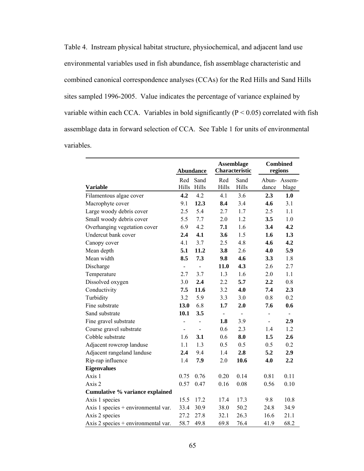Table 4. Instream physical habitat structure, physiochemical, and adjacent land use environmental variables used in fish abundance, fish assemblage characteristic and combined canonical correspondence analyses (CCAs) for the Red Hills and Sand Hills sites sampled 1996-2005. Value indicates the percentage of variance explained by variable within each CCA. Variables in bold significantly  $(P < 0.05)$  correlated with fish assemblage data in forward selection of CCA. See Table 1 for units of environmental variables.

|                                     |                          | <b>Abundance</b>             |                | <b>Assemblage</b><br>Characteristic |                          | <b>Combined</b><br>regions |
|-------------------------------------|--------------------------|------------------------------|----------------|-------------------------------------|--------------------------|----------------------------|
|                                     | Red                      | Sand                         | Red            | Sand                                |                          | Abun-Assem-                |
| <b>Variable</b>                     | Hills                    | Hills                        | Hills          | Hills                               | dance                    | blage                      |
| Filamentous algae cover             | 4.2                      | 4.2                          | 4.1            | 3.6                                 | 2.3                      | 1.0                        |
| Macrophyte cover                    | 9.1                      | 12.3                         | 8.4            | 3.4                                 | 4.6                      | 3.1                        |
| Large woody debris cover            | 2.5                      | 5.4                          | 2.7            | 1.7                                 | 2.5                      | 1.1                        |
| Small woody debris cover            | 5.5                      | 7.7                          | 2.0            | 1.2                                 | 3.5                      | 1.0                        |
| Overhanging vegetation cover        | 6.9                      | 4.2                          | 7.1            | 1.6                                 | 3.4                      | 4.2                        |
| Undercut bank cover                 | 2.4                      | 4.1                          | 3.6            | 1.5                                 | 1.6                      | 1.3                        |
| Canopy cover                        | 4.1                      | 3.7                          | 2.5            | 4.8                                 | 4.6                      | 4.2                        |
| Mean depth                          | 5.1                      | 11.2                         | 3.8            | 2.6                                 | 4.0                      | 5.9                        |
| Mean width                          | 8.5                      | 7.3                          | 9.8            | 4.6                                 | 3.3                      | 1.8                        |
| Discharge                           | $\frac{1}{2}$            | $\qquad \qquad \blacksquare$ | 11.0           | 4.3                                 | 2.6                      | 2.7                        |
| Temperature                         | 2.7                      | 3.7                          | 1.3            | 1.6                                 | 2.0                      | 1.1                        |
| Dissolved oxygen                    | 3.0                      | 2.4                          | 2.2            | 5.7                                 | 2.2                      | 0.8                        |
| Conductivity                        | 7.5                      | 11.6                         | 3.2            | 4.0                                 | 7.4                      | 2.3                        |
| Turbidity                           | 3.2                      | 5.9                          | 3.3            | 3.0                                 | 0.8                      | 0.2                        |
| Fine substrate                      | 13.0                     | 6.8                          | 1.7            | 2.0                                 | 7.6                      | 0.6                        |
| Sand substrate                      | 10.1                     | 3.5                          | $\blacksquare$ | $\blacksquare$                      | -                        |                            |
| Fine gravel substrate               |                          | -                            | 1.8            | 3.9                                 | $\overline{\phantom{a}}$ | 2.9                        |
| Course gravel substrate             | $\overline{\phantom{0}}$ |                              | 0.6            | 2.3                                 | 1.4                      | 1.2                        |
| Cobble substrate                    | 1.6                      | 3.1                          | 0.6            | 8.0                                 | 1.5                      | 2.6                        |
| Adjacent rowcrop landuse            | 1.1                      | 1.3                          | 0.5            | 0.5                                 | 0.5                      | 0.2                        |
| Adjacent rangeland landuse          | 2.4                      | 9.4                          | 1.4            | 2.8                                 | 5.2                      | 2.9                        |
| Rip-rap influence                   | 1.4                      | 7.9                          | 2.0            | 10.6                                | 4.0                      | 2.2                        |
| <b>Eigenvalues</b>                  |                          |                              |                |                                     |                          |                            |
| Axis 1                              | 0.75                     | 0.76                         | 0.20           | 0.14                                | 0.81                     | 0.11                       |
| Axis 2                              | 0.57                     | 0.47                         | 0.16           | 0.08                                | 0.56                     | 0.10                       |
| Cumulative % variance explained     |                          |                              |                |                                     |                          |                            |
| Axis 1 species                      | 15.5                     | 17.2                         | 17.4           | 17.3                                | 9.8                      | 10.8                       |
| Axis 1 species + environmental var. | 33.4                     | 30.9                         | 38.0           | 50.2                                | 24.8                     | 34.9                       |
| Axis 2 species                      | 27.2                     | 27.8                         | 32.1           | 26.3                                | 16.6                     | 21.1                       |
| Axis 2 species + environmental var. | 58.7                     | 49.8                         | 69.8           | 76.4                                | 41.9                     | 68.2                       |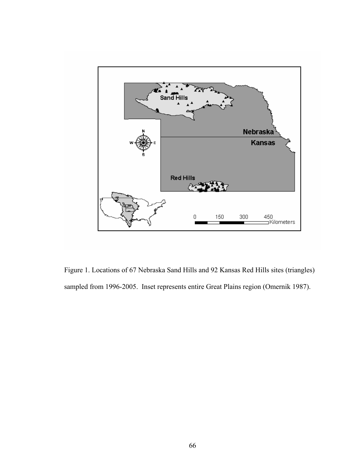

Figure 1. Locations of 67 Nebraska Sand Hills and 92 Kansas Red Hills sites (triangles) sampled from 1996-2005. Inset represents entire Great Plains region (Omernik 1987).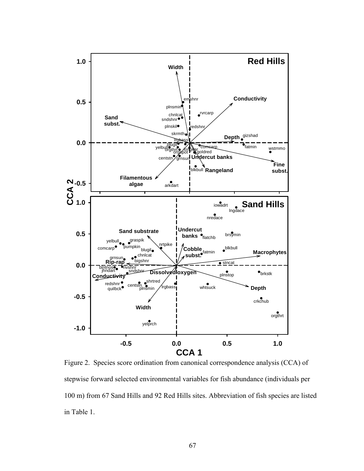

Figure 2. Species score ordination from canonical correspondence analysis (CCA) of stepwise forward selected environmental variables for fish abundance (individuals per 100 m) from 67 Sand Hills and 92 Red Hills sites. Abbreviation of fish species are listed in Table 1.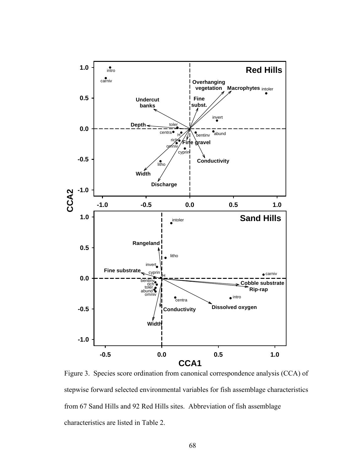

Figure 3. Species score ordination from canonical correspondence analysis (CCA) of stepwise forward selected environmental variables for fish assemblage characteristics from 67 Sand Hills and 92 Red Hills sites. Abbreviation of fish assemblage characteristics are listed in Table 2.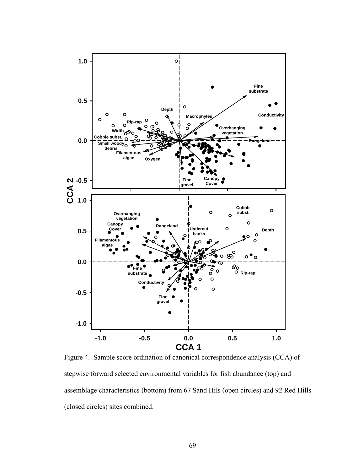

Figure 4. Sample score ordination of canonical correspondence analysis (CCA) of stepwise forward selected environmental variables for fish abundance (top) and assemblage characteristics (bottom) from 67 Sand Hils (open circles) and 92 Red Hills (closed circles) sites combined.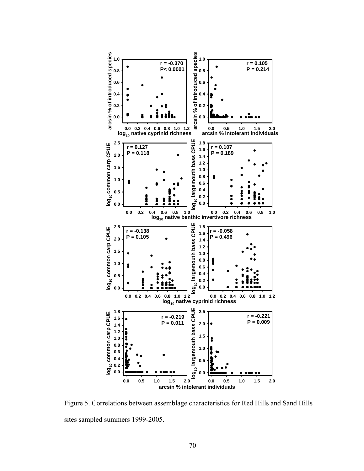

Figure 5. Correlations between assemblage characteristics for Red Hills and Sand Hills sites sampled summers 1999-2005.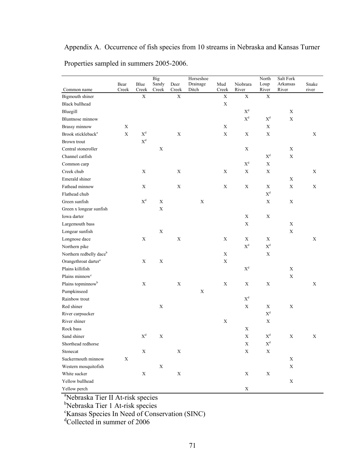# Appendix A. Occurrence of fish species from 10 streams in Nebraska and Kansas Turner Properties sampled in summers 2005-2006.

|                                     | Bear        | Blue                      | <b>Big</b><br>Sandy | Deer                 | Horseshoe<br>Drainage | Mud                  | Niobrara              | North<br>Loup         | Salt Fork<br>Arkansas | Snake       |
|-------------------------------------|-------------|---------------------------|---------------------|----------------------|-----------------------|----------------------|-----------------------|-----------------------|-----------------------|-------------|
| Common name<br>Bigmouth shiner      | Creek       | Creek<br>$\mathbf X$      | Creek               | Creek<br>$\mathbf X$ | Ditch                 | Creek<br>$\mathbf X$ | River<br>$\mathbf X$  | River<br>$\mathbf X$  | River                 | river       |
| <b>Black bullhead</b>               |             |                           |                     |                      |                       | $\mathbf X$          |                       |                       |                       |             |
| Bluegill                            |             |                           |                     |                      |                       |                      | $\mathbf{X}^\text{d}$ |                       | $\mathbf X$           |             |
| <b>Bluntnose</b> minnow             |             |                           |                     |                      |                       |                      | $\mathbf{X}^\text{d}$ | $\mathbf{X}^\text{d}$ | $\mathbf X$           |             |
| Brassy minnow                       | $\mathbf X$ |                           |                     |                      |                       | $\mathbf X$          |                       | $\mathbf X$           |                       |             |
| Brook stickleback <sup>a</sup>      | $\mathbf X$ | $X^d$                     |                     | $\mathbf X$          |                       | $\mathbf X$          | $\mathbf X$           | $\mathbf X$           |                       | $\mathbf X$ |
| Brown trout                         |             | $\mathbf{X}^\text{d}$     |                     |                      |                       |                      |                       |                       |                       |             |
| Central stoneroller                 |             |                           | $\mathbf X$         |                      |                       |                      | $\mathbf X$           |                       | $\mathbf X$           |             |
| Channel catfish                     |             |                           |                     |                      |                       |                      |                       | $\mathbf{X}^\text{d}$ | $\mathbf X$           |             |
| Common carp                         |             |                           |                     |                      |                       |                      | $\mathbf{X}^\text{d}$ | $\mathbf X$           |                       |             |
| Creek chub                          |             | $\boldsymbol{\mathrm{X}}$ |                     | $\mathbf X$          |                       | $\mathbf X$          | $\mathbf X$           | $\mathbf X$           |                       | X           |
| Emerald shiner                      |             |                           |                     |                      |                       |                      |                       |                       | X                     |             |
| Fathead minnow                      |             | $\mathbf X$               |                     | $\mathbf X$          |                       | $\mathbf X$          | $\mathbf X$           | $\mathbf X$           | $\mathbf X$           | $\mathbf X$ |
| Flathead chub                       |             |                           |                     |                      |                       |                      |                       | $\mathbf{X}^\text{d}$ |                       |             |
| Green sunfish                       |             | $\mathbf{X}^\text{d}$     | $\mathbf X$         |                      | $\mathbf X$           |                      |                       | $\mathbf X$           | $\mathbf X$           |             |
| Green x longear sunfish             |             |                           | $\mathbf X$         |                      |                       |                      |                       |                       |                       |             |
| Iowa darter                         |             |                           |                     |                      |                       |                      | $\mathbf X$           | $\mathbf X$           |                       |             |
| Largemouth bass                     |             |                           |                     |                      |                       |                      | $\mathbf X$           |                       | $\mathbf X$           |             |
| Longear sunfish                     |             |                           | $\mathbf X$         |                      |                       |                      |                       |                       | $\mathbf X$           |             |
| Longnose dace                       |             | $\mathbf X$               |                     | $\mathbf X$          |                       | $\mathbf X$          | $\mathbf X$           | X                     |                       | $\mathbf X$ |
| Northern pike                       |             |                           |                     |                      |                       |                      | $\mathbf{X}^\text{d}$ | $\mathbf{X}^\text{d}$ |                       |             |
| Northern redbelly dace <sup>b</sup> |             |                           |                     |                      |                       | X                    |                       | X                     |                       |             |
| Orangethroat darter <sup>a</sup>    |             | $\mathbf X$               | $\mathbf X$         |                      |                       | $\mathbf X$          |                       |                       |                       |             |
| Plains killifish                    |             |                           |                     |                      |                       |                      | $\mathbf{X}^\text{d}$ |                       | $\mathbf X$           |             |
| Plains minnow <sup>c</sup>          |             |                           |                     |                      |                       |                      |                       |                       | $\mathbf X$           |             |
| Plains topminnow <sup>b</sup>       |             | $\mathbf X$               |                     | $\mathbf X$          |                       | X                    | X                     | $\mathbf X$           |                       | $\mathbf X$ |
| Pumpkinseed                         |             |                           |                     |                      | $\mathbf X$           |                      |                       |                       |                       |             |
| Rainbow trout                       |             |                           |                     |                      |                       |                      | $\mathbf{X}^\text{d}$ |                       |                       |             |
| Red shiner                          |             |                           | $\mathbf X$         |                      |                       |                      | $\mathbf X$           | $\mathbf X$           | X                     |             |
| River carpsucker                    |             |                           |                     |                      |                       |                      |                       | $\mathbf{X}^\text{d}$ |                       |             |
| River shiner                        |             |                           |                     |                      |                       | $\mathbf X$          |                       | $\mathbf X$           |                       |             |
| Rock bass                           |             |                           |                     |                      |                       |                      | $\mathbf X$           |                       |                       |             |
| Sand shiner                         |             | $\mathbf{X}^\text{d}$     | $\mathbf X$         |                      |                       |                      | $\mathbf X$           | $\mathbf{X}^\text{d}$ | $\mathbf X$           | $\mathbf X$ |
| Shorthead redhorse                  |             |                           |                     |                      |                       |                      | $\mathbf X$           | $\mathbf{X}^\text{d}$ |                       |             |
| Stonecat                            |             | $\mathbf X$               |                     | $\mathbf X$          |                       |                      | $\mathbf X$           | $\mathbf X$           |                       |             |
| Suckermouth minnow                  | $\mathbf X$ |                           |                     |                      |                       |                      |                       |                       | $\mathbf X$           |             |
| Western mosquitofish                |             |                           | $\mathbf X$         |                      |                       |                      |                       |                       | $\mathbf X$           |             |
| White sucker                        |             | $\mathbf X$               |                     | X                    |                       |                      | $\mathbf X$           | X                     |                       |             |
| Yellow bullhead                     |             |                           |                     |                      |                       |                      |                       |                       | $\mathbf X$           |             |
| Yellow perch                        |             |                           |                     |                      |                       |                      | $\mathbf X$           |                       |                       |             |

<sup>a</sup>Nebraska Tier II At-risk species<br><sup>b</sup>Nebraska Tier 1 At-risk species<br><sup>c</sup>Kansas Species In Need of Conservation (SINC)<br><sup>d</sup>Collected in summer of 2006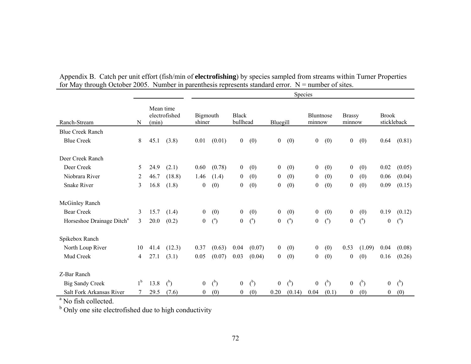|                |      |                | <b>Species</b>                      |                |                    |                |                                            |                |                  |                |                            |                |                         |                |
|----------------|------|----------------|-------------------------------------|----------------|--------------------|----------------|--------------------------------------------|----------------|------------------|----------------|----------------------------|----------------|-------------------------|----------------|
| N              |      |                |                                     |                |                    |                |                                            |                |                  |                |                            |                | <b>Brook</b>            | stickleback    |
|                |      |                |                                     |                |                    |                |                                            |                |                  |                |                            |                |                         |                |
| 8              | 45.1 | (3.8)          | 0.01                                | (0.01)         |                    | (0)            | $\boldsymbol{0}$                           | (0)            | $\overline{0}$   | (0)            | $\boldsymbol{0}$           | (0)            | 0.64                    | (0.81)         |
|                |      |                |                                     |                |                    |                |                                            |                |                  |                |                            |                |                         |                |
| 5              | 24.9 | (2.1)          | 0.60                                | (0.78)         | $\overline{0}$     | (0)            | $\overline{0}$                             | (0)            | $\boldsymbol{0}$ | (0)            | $\mathbf{0}$               | (0)            | 0.02                    | (0.05)         |
| 2              | 46.7 | (18.8)         | 1.46                                | (1.4)          | $\mathbf{0}$       | (0)            | $\boldsymbol{0}$                           | (0)            | $\boldsymbol{0}$ | (0)            | $\mathbf{0}$               | (0)            | 0.06                    | (0.04)         |
| 3              | 16.8 | (1.8)          | $\overline{0}$                      | (0)            | $\mathbf{0}$       | (0)            | $\boldsymbol{0}$                           | (0)            | $\boldsymbol{0}$ | (0)            | $\boldsymbol{0}$           | (0)            | 0.09                    | (0.15)         |
|                |      |                |                                     |                |                    |                |                                            |                |                  |                |                            |                |                         |                |
| 3              | 15.7 | (1.4)          | $\overline{0}$                      | (0)            | $\overline{0}$     | (0)            | $\mathbf{0}$                               | (0)            | $\overline{0}$   | (0)            | $\overline{0}$             | (0)            | 0.19                    | (0.12)         |
| 3              | 20.0 | (0.2)          | $\mathbf{0}$                        | $\binom{a}{b}$ | $\overline{0}$     | $\binom{a}{b}$ | $\mathbf{0}$                               | $\binom{a}{b}$ | $\boldsymbol{0}$ | $\binom{a}{b}$ | $\boldsymbol{0}$           | $\binom{a}{b}$ | $\mathbf{0}$            | $\binom{a}{b}$ |
|                |      |                |                                     |                |                    |                |                                            |                |                  |                |                            |                |                         |                |
| 10             | 41.4 | (12.3)         | 0.37                                | (0.63)         | 0.04               | (0.07)         | $\overline{0}$                             | (0)            | $\boldsymbol{0}$ | (0)            | 0.53                       | (1.09)         | 0.04                    | (0.08)         |
| 4              | 27.1 | (3.1)          | 0.05                                | (0.07)         | 0.03               | (0.04)         | $\boldsymbol{0}$                           | (0)            | $\boldsymbol{0}$ | (0)            | $\boldsymbol{0}$           | (0)            | 0.16                    | (0.26)         |
|                |      |                |                                     |                |                    |                |                                            |                |                  |                |                            |                |                         |                |
| 1 <sup>b</sup> | 13.8 | $\binom{b}{b}$ | $\overline{0}$                      | $\binom{b}{b}$ | $\overline{0}$     | $\binom{b}{b}$ | $\overline{0}$                             | $\binom{b}{b}$ | $\mathbf{0}$     | $\binom{b}{b}$ | $\mathbf{0}$               | $\binom{b}{b}$ | $\overline{0}$          | $\binom{b}{b}$ |
|                | 29.5 | (7.6)          | $\overline{0}$                      | (0)            | $\overline{0}$     | (0)            | 0.20                                       | (0.14)         | 0.04             | (0.1)          | $\mathbf{0}$               | (0)            | $\theta$                | (0)            |
|                |      |                | Mean time<br>electrofished<br>(min) |                | Bigmouth<br>shiner |                | <b>Black</b><br>bullhead<br>$\overline{0}$ |                | Bluegill         |                | <b>Bluntnose</b><br>minnow |                | <b>Brassy</b><br>minnow |                |

Appendix B. Catch per unit effort (fish/min of **electrofishing**) by species sampled from streams within Turner Properties for May through October 2005. Number in parenthesis represents standard error.  $N =$  number of sites.

<sup>a</sup> No fish collected.

<sup>b</sup> Only one site electrofished due to high conductivity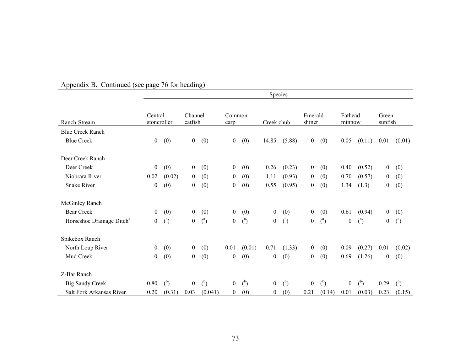|                                       |                        |                |                    |                |                |                | Species          |                |                   |                |                   |                |                  |                |
|---------------------------------------|------------------------|----------------|--------------------|----------------|----------------|----------------|------------------|----------------|-------------------|----------------|-------------------|----------------|------------------|----------------|
| Ranch-Stream                          | Central<br>stoneroller |                | Channel<br>catfish |                | Common<br>carp |                | Creek chub       |                | Emerald<br>shiner |                | Fathead<br>minnow |                | Green<br>sunfish |                |
| <b>Blue Creek Ranch</b>               |                        |                |                    |                |                |                |                  |                |                   |                |                   |                |                  |                |
| <b>Blue Creek</b>                     | $\boldsymbol{0}$       | (0)            | $\bf{0}$           | (0)            | $\mathbf{0}$   | (0)            | 14.85            | (5.88)         | $\overline{0}$    | (0)            | 0.05              | (0.11)         | 0.01             | (0.01)         |
| Deer Creek Ranch                      |                        |                |                    |                |                |                |                  |                |                   |                |                   |                |                  |                |
| Deer Creek                            | $\bf{0}$               | (0)            | $\mathbf{0}$       | (0)            | $\overline{0}$ | (0)            | 0.26             | (0.23)         | $\mathbf{0}$      | (0)            | 0.40              | (0.52)         | $\overline{0}$   | (0)            |
| Niobrara River                        | 0.02                   | (0.02)         | $\mathbf{0}$       | (0)            | $\overline{0}$ | (0)            | 1.11             | (0.93)         | $\overline{0}$    | (0)            | 0.70              | (0.57)         | $\boldsymbol{0}$ | (0)            |
| <b>Snake River</b>                    | $\mathbf{0}$           | (0)            | $\mathbf{0}$       | (0)            | $\overline{0}$ | (0)            | 0.55             | (0.95)         | $\overline{0}$    | (0)            | 1.34              | (1.3)          | $\boldsymbol{0}$ | (0)            |
| McGinley Ranch                        |                        |                |                    |                |                |                |                  |                |                   |                |                   |                |                  |                |
| <b>Bear Creek</b>                     | $\mathbf{0}$           | (0)            | $\mathbf{0}$       | (0)            | $\mathbf{0}$   | (0)            | $\boldsymbol{0}$ | (0)            | $\mathbf{0}$      | (0)            | 0.61              | (0.94)         | $\boldsymbol{0}$ | (0)            |
| Horseshoe Drainage Ditch <sup>a</sup> | $\mathbf{0}$           | $\binom{a}{b}$ | $\boldsymbol{0}$   | $\binom{a}{b}$ | $\mathbf{0}$   | $\binom{a}{b}$ | $\mathbf{0}$     | $\binom{a}{b}$ | $\boldsymbol{0}$  | $\binom{a}{b}$ | $\boldsymbol{0}$  | $\binom{a}{b}$ | $\boldsymbol{0}$ | $\binom{a}{b}$ |
| Spikebox Ranch                        |                        |                |                    |                |                |                |                  |                |                   |                |                   |                |                  |                |
| North Loup River                      | $\mathbf{0}$           | (0)            | $\mathbf{0}$       | (0)            | 0.01           | (0.01)         | 0.71             | (1.33)         | $\mathbf{0}$      | (0)            | 0.09              | (0.27)         | 0.01             | (0.02)         |
| Mud Creek                             | $\overline{0}$         | (0)            | $\boldsymbol{0}$   | (0)            | $\overline{0}$ | (0)            | $\boldsymbol{0}$ | (0)            | $\overline{0}$    | (0)            | 0.69              | (1.26)         | $\overline{0}$   | (0)            |
| Z-Bar Ranch                           |                        |                |                    |                |                |                |                  |                |                   |                |                   |                |                  |                |
| <b>Big Sandy Creek</b>                | 0.80                   | $\binom{b}{b}$ | $\boldsymbol{0}$   | $\binom{b}{b}$ | $\overline{0}$ | $\binom{b}{b}$ | $\boldsymbol{0}$ | $\binom{b}{b}$ | $\mathbf{0}$      | $\binom{b}{b}$ | $\overline{0}$    | $\binom{b}{b}$ | 0.29             | $\binom{b}{b}$ |
| Salt Fork Arkansas River              | 0.20                   | (0.31)         | 0.03               | (0.041)        | $\overline{0}$ | (0)            | $\boldsymbol{0}$ | (0)            | 0.21              | (0.14)         | 0.01              | (0.03)         | 0.23             | (0.15)         |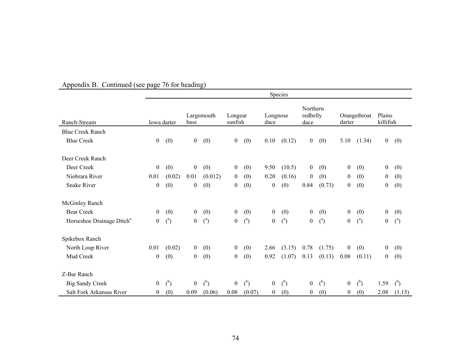|                                       |                |                |                  |                |                    |                |                  | Species        |                              |                |                  |                |                     |                |
|---------------------------------------|----------------|----------------|------------------|----------------|--------------------|----------------|------------------|----------------|------------------------------|----------------|------------------|----------------|---------------------|----------------|
| Ranch-Stream                          |                | Iowa darter    | bass             | Largemouth     | Longear<br>sunfish |                | Longnose<br>dace |                | Northern<br>redbelly<br>dace |                | darter           | Orangethroat   | Plains<br>killifish |                |
| <b>Blue Creek Ranch</b>               |                |                |                  |                |                    |                |                  |                |                              |                |                  |                |                     |                |
| <b>Blue Creek</b>                     | $\mathbf{0}$   | (0)            | $\boldsymbol{0}$ | (0)            | $\overline{0}$     | (0)            | 0.10             | (0.12)         | $\mathbf{0}$                 | (0)            | 5.10             | (1.34)         | $\boldsymbol{0}$    | (0)            |
| Deer Creek Ranch                      |                |                |                  |                |                    |                |                  |                |                              |                |                  |                |                     |                |
| Deer Creek                            | $\mathbf{0}$   | (0)            | $\boldsymbol{0}$ | (0)            | $\mathbf{0}$       | (0)            | 9.50             | (10.5)         | $\boldsymbol{0}$             | (0)            | $\boldsymbol{0}$ | (0)            | $\boldsymbol{0}$    | (0)            |
| Niobrara River                        | 0.01           | (0.02)         | 0.01             | (0.012)        | $\overline{0}$     | (0)            | 0.20             | (0.16)         | $\mathbf{0}$                 | (0)            | $\boldsymbol{0}$ | (0)            | $\boldsymbol{0}$    | (0)            |
| <b>Snake River</b>                    | $\overline{0}$ | (0)            | $\mathbf{0}$     | (0)            | $\overline{0}$     | (0)            | $\mathbf{0}$     | (0)            | 0.84                         | (0.73)         | $\boldsymbol{0}$ | (0)            | $\boldsymbol{0}$    | (0)            |
| <b>McGinley Ranch</b>                 |                |                |                  |                |                    |                |                  |                |                              |                |                  |                |                     |                |
| <b>Bear Creek</b>                     | $\mathbf{0}$   | (0)            | $\boldsymbol{0}$ | (0)            | $\mathbf{0}$       | (0)            | $\boldsymbol{0}$ | (0)            | $\boldsymbol{0}$             | (0)            | $\boldsymbol{0}$ | (0)            | $\boldsymbol{0}$    | (0)            |
| Horseshoe Drainage Ditch <sup>a</sup> | $\overline{0}$ | $\binom{a}{b}$ | $\mathbf{0}$     | $\binom{a}{b}$ | $\overline{0}$     | $\binom{a}{b}$ | $\boldsymbol{0}$ | $\binom{a}{b}$ | $\boldsymbol{0}$             | $\binom{a}{b}$ | $\boldsymbol{0}$ | $\binom{a}{b}$ | $\boldsymbol{0}$    | $\binom{a}{b}$ |
| Spikebox Ranch                        |                |                |                  |                |                    |                |                  |                |                              |                |                  |                |                     |                |
| North Loup River                      | 0.01           | (0.02)         | $\boldsymbol{0}$ | (0)            | $\overline{0}$     | (0)            | 2.66             | (3.15)         | 0.78                         | (1.75)         | $\boldsymbol{0}$ | (0)            | $\mathbf{0}$        | (0)            |
| Mud Creek                             | $\overline{0}$ | (0)            | $\mathbf{0}$     | (0)            | $\theta$           | (0)            | 0.92             | (1.07)         | 0.13                         | (0.13)         | 0.08             | (0.11)         | $\overline{0}$      | (0)            |
| Z-Bar Ranch                           |                |                |                  |                |                    |                |                  |                |                              |                |                  |                |                     |                |
| <b>Big Sandy Creek</b>                | $\mathbf{0}$   | $\binom{b}{b}$ | $\mathbf{0}$     | $\binom{b}{b}$ | $\mathbf{0}$       | $\binom{b}{b}$ | $\boldsymbol{0}$ | $\binom{b}{b}$ | $\boldsymbol{0}$             | $\binom{b}{b}$ | $\boldsymbol{0}$ | $\binom{b}{b}$ | 1.59                | $\binom{b}{b}$ |
| Salt Fork Arkansas River              | $\overline{0}$ | (0)            | 0.09             | (0.06)         | 0.08               | (0.07)         | $\mathbf{0}$     | (0)            | $\overline{0}$               | (0)            | $\boldsymbol{0}$ | (0)            | 2.08                | (1.15)         |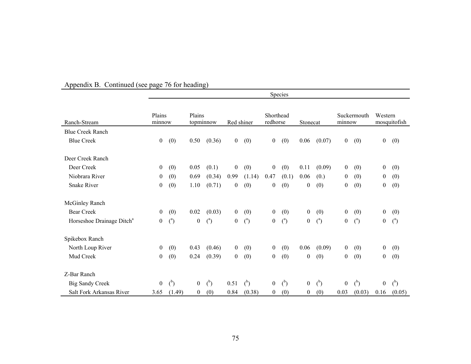|                                       |                  | 10111          |                     |                |                  |                |                       | Species        |                  |                |                  |                |                  |                |
|---------------------------------------|------------------|----------------|---------------------|----------------|------------------|----------------|-----------------------|----------------|------------------|----------------|------------------|----------------|------------------|----------------|
| Ranch-Stream                          | Plains<br>minnow |                | Plains<br>topminnow |                | Red shiner       |                | Shorthead<br>redhorse |                | Stonecat         |                | minnow           | Suckermouth    | Western          | mosquitofish   |
| <b>Blue Creek Ranch</b>               |                  |                |                     |                |                  |                |                       |                |                  |                |                  |                |                  |                |
| <b>Blue Creek</b>                     | $\boldsymbol{0}$ | (0)            | 0.50                | (0.36)         | $\overline{0}$   | (0)            | $\boldsymbol{0}$      | (0)            | 0.06             | (0.07)         | $\overline{0}$   | (0)            | $\mathbf{0}$     | (0)            |
| Deer Creek Ranch                      |                  |                |                     |                |                  |                |                       |                |                  |                |                  |                |                  |                |
| Deer Creek                            | $\mathbf{0}$     | (0)            | 0.05                | (0.1)          | $\boldsymbol{0}$ | (0)            | $\boldsymbol{0}$      | (0)            | 0.11             | (0.09)         | $\mathbf{0}$     | (0)            | $\overline{0}$   | (0)            |
| Niobrara River                        | $\boldsymbol{0}$ | (0)            | 0.69                | (0.34)         | 0.99             | (1.14)         | 0.47                  | (0.1)          | 0.06             | (0.)           | $\overline{0}$   | (0)            | $\boldsymbol{0}$ | (0)            |
| <b>Snake River</b>                    | $\boldsymbol{0}$ | (0)            | 1.10                | (0.71)         | $\boldsymbol{0}$ | (0)            | $\boldsymbol{0}$      | (0)            | $\overline{0}$   | (0)            | $\overline{0}$   | (0)            | $\overline{0}$   | (0)            |
| <b>McGinley Ranch</b>                 |                  |                |                     |                |                  |                |                       |                |                  |                |                  |                |                  |                |
| <b>Bear Creek</b>                     | $\overline{0}$   | (0)            | 0.02                | (0.03)         | $\overline{0}$   | (0)            | $\mathbf{0}$          | (0)            | $\boldsymbol{0}$ | (0)            | $\mathbf{0}$     | (0)            | $\overline{0}$   | (0)            |
| Horseshoe Drainage Ditch <sup>a</sup> | $\overline{0}$   | $\binom{a}{b}$ | $\overline{0}$      | $\binom{a}{b}$ | $\boldsymbol{0}$ | $\binom{a}{b}$ | $\boldsymbol{0}$      | $\binom{a}{b}$ | $\boldsymbol{0}$ | $\binom{a}{b}$ | $\boldsymbol{0}$ | $\binom{a}{b}$ | $\boldsymbol{0}$ | $\binom{a}{b}$ |
| Spikebox Ranch                        |                  |                |                     |                |                  |                |                       |                |                  |                |                  |                |                  |                |
| North Loup River                      | $\mathbf{0}$     | (0)            | 0.43                | (0.46)         | $\mathbf{0}$     | (0)            | $\mathbf{0}$          | (0)            | 0.06             | (0.09)         | $\mathbf{0}$     | (0)            | $\mathbf{0}$     | (0)            |
| Mud Creek                             | $\overline{0}$   | (0)            | 0.24                | (0.39)         | $\boldsymbol{0}$ | (0)            | $\boldsymbol{0}$      | (0)            | $\boldsymbol{0}$ | (0)            | $\boldsymbol{0}$ | (0)            | $\mathbf{0}$     | (0)            |
| Z-Bar Ranch                           |                  |                |                     |                |                  |                |                       |                |                  |                |                  |                |                  |                |
| <b>Big Sandy Creek</b>                | $\mathbf{0}$     | $\binom{b}{b}$ | $\mathbf{0}$        | $\binom{b}{b}$ | 0.51             | $\binom{b}{b}$ | $\boldsymbol{0}$      | $\binom{b}{b}$ | $\overline{0}$   | $\binom{b}{b}$ | $\overline{0}$   | $b$            | $\boldsymbol{0}$ | $\binom{b}{b}$ |
| Salt Fork Arkansas River              | 3.65             | (1.49)         | $\boldsymbol{0}$    | (0)            | 0.84             | (0.38)         | $\boldsymbol{0}$      | (0)            | $\boldsymbol{0}$ | (0)            | 0.03             | (0.03)         | 0.16             | (0.05)         |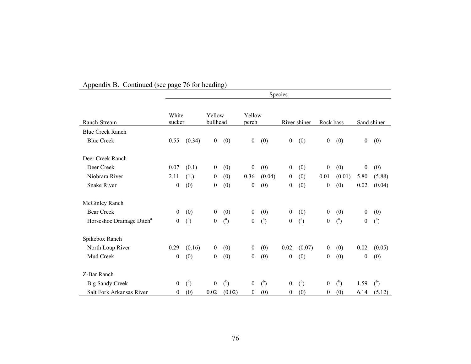|                                       |                  |                |                    |                |                  |                | Species          |                |                  |                |                  |                |
|---------------------------------------|------------------|----------------|--------------------|----------------|------------------|----------------|------------------|----------------|------------------|----------------|------------------|----------------|
| Ranch-Stream                          | White<br>sucker  |                | Yellow<br>bullhead |                | Yellow<br>perch  |                |                  | River shiner   | Rock bass        |                |                  | Sand shiner    |
| <b>Blue Creek Ranch</b>               |                  |                |                    |                |                  |                |                  |                |                  |                |                  |                |
| <b>Blue Creek</b>                     | 0.55             | (0.34)         | $\mathbf{0}$       | (0)            | $\mathbf{0}$     | (0)            | $\boldsymbol{0}$ | (0)            | $\boldsymbol{0}$ | (0)            | $\boldsymbol{0}$ | (0)            |
| Deer Creek Ranch                      |                  |                |                    |                |                  |                |                  |                |                  |                |                  |                |
| Deer Creek                            | 0.07             | (0.1)          | $\mathbf{0}$       | (0)            | $\boldsymbol{0}$ | (0)            | $\boldsymbol{0}$ | (0)            | $\boldsymbol{0}$ | (0)            | $\boldsymbol{0}$ | (0)            |
| Niobrara River                        | 2.11             | (1.)           | $\boldsymbol{0}$   | (0)            | 0.36             | (0.04)         | $\boldsymbol{0}$ | (0)            | 0.01             | (0.01)         | 5.80             | (5.88)         |
| <b>Snake River</b>                    | $\boldsymbol{0}$ | (0)            | $\boldsymbol{0}$   | (0)            | $\boldsymbol{0}$ | (0)            | $\boldsymbol{0}$ | (0)            | $\boldsymbol{0}$ | (0)            | 0.02             | (0.04)         |
| <b>McGinley Ranch</b>                 |                  |                |                    |                |                  |                |                  |                |                  |                |                  |                |
| <b>Bear Creek</b>                     | $\mathbf{0}$     | (0)            | $\mathbf{0}$       | (0)            | $\mathbf{0}$     | (0)            | $\boldsymbol{0}$ | (0)            | $\boldsymbol{0}$ | (0)            | $\mathbf{0}$     | (0)            |
| Horseshoe Drainage Ditch <sup>a</sup> | $\boldsymbol{0}$ | $\binom{a}{b}$ | $\boldsymbol{0}$   | $\binom{a}{b}$ | $\boldsymbol{0}$ | $\binom{a}{b}$ | $\boldsymbol{0}$ | $\binom{a}{b}$ | 0                | $\binom{a}{b}$ | $\boldsymbol{0}$ | $\binom{a}{b}$ |
| Spikebox Ranch                        |                  |                |                    |                |                  |                |                  |                |                  |                |                  |                |
| North Loup River                      | 0.29             | (0.16)         | $\mathbf{0}$       | (0)            | $\overline{0}$   | (0)            | 0.02             | (0.07)         | $\mathbf{0}$     | (0)            | 0.02             | (0.05)         |
| Mud Creek                             | $\theta$         | (0)            | $\boldsymbol{0}$   | (0)            | $\boldsymbol{0}$ | (0)            | $\boldsymbol{0}$ | (0)            | $\boldsymbol{0}$ | (0)            | $\boldsymbol{0}$ | (0)            |
| Z-Bar Ranch                           |                  |                |                    |                |                  |                |                  |                |                  |                |                  |                |
| <b>Big Sandy Creek</b>                | $\boldsymbol{0}$ | $\binom{b}{b}$ | $\boldsymbol{0}$   | $\binom{b}{b}$ | $\boldsymbol{0}$ | $\binom{b}{b}$ | $\boldsymbol{0}$ | $\binom{b}{b}$ | $\boldsymbol{0}$ | $\binom{b}{b}$ | 1.59             | $\binom{b}{b}$ |
| Salt Fork Arkansas River              | $\boldsymbol{0}$ | (0)            | 0.02               | (0.02)         | $\boldsymbol{0}$ | (0)            | $\boldsymbol{0}$ | (0)            | $\boldsymbol{0}$ | (0)            | 6.14             | (5.12)         |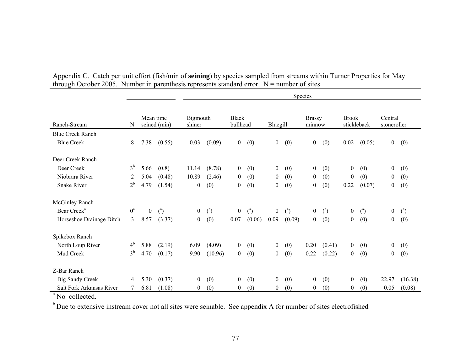|                          |                |                |                |                    |                |                          |                |                  |                | Species                 |                |                  |                |                        |                |
|--------------------------|----------------|----------------|----------------|--------------------|----------------|--------------------------|----------------|------------------|----------------|-------------------------|----------------|------------------|----------------|------------------------|----------------|
| Ranch-Stream             | N              | Mean time      | seined (min)   | Bigmouth<br>shiner |                | <b>Black</b><br>bullhead |                | Bluegill         |                | <b>Brassy</b><br>minnow |                | <b>Brook</b>     | stickleback    | Central<br>stoneroller |                |
| <b>Blue Creek Ranch</b>  |                |                |                |                    |                |                          |                |                  |                |                         |                |                  |                |                        |                |
| <b>Blue Creek</b>        | 8              | 7.38           | (0.55)         | 0.03               | (0.09)         | $\mathbf{0}$             | (0)            | $\boldsymbol{0}$ | (0)            | $\mathbf{0}$            | (0)            | 0.02             | (0.05)         | $\boldsymbol{0}$       | (0)            |
| Deer Creek Ranch         |                |                |                |                    |                |                          |                |                  |                |                         |                |                  |                |                        |                |
| Deer Creek               | 3 <sup>b</sup> | 5.66           | (0.8)          | 11.14              | (8.78)         | $\mathbf{0}$             | (0)            | $\boldsymbol{0}$ | (0)            | $\boldsymbol{0}$        | (0)            | $\overline{0}$   | (0)            | $\boldsymbol{0}$       | (0)            |
| Niobrara River           | 2              | 5.04           | (0.48)         | 10.89              | (2.46)         | $\overline{0}$           | (0)            | $\overline{0}$   | (0)            | $\mathbf{0}$            | (0)            | $\mathbf{0}$     | (0)            | $\boldsymbol{0}$       | (0)            |
| <b>Snake River</b>       | $2^{\rm b}$    | 4.79           | (1.54)         | $\boldsymbol{0}$   | (0)            | $\overline{0}$           | (0)            | $\overline{0}$   | (0)            | $\overline{0}$          | (0)            | 0.22             | (0.07)         | $\boldsymbol{0}$       | (0)            |
| <b>McGinley Ranch</b>    |                |                |                |                    |                |                          |                |                  |                |                         |                |                  |                |                        |                |
| Bear Creek <sup>a</sup>  | $0^a$          | $\overline{0}$ | $\binom{a}{b}$ | $\boldsymbol{0}$   | $\binom{a}{b}$ | $\boldsymbol{0}$         | $\binom{a}{b}$ | $\overline{0}$   | $\binom{a}{b}$ | $\overline{0}$          | $\binom{a}{b}$ | $\overline{0}$   | $\binom{a}{b}$ | $\boldsymbol{0}$       | $\binom{a}{b}$ |
| Horseshoe Drainage Ditch | 3              | 8.57           | (3.37)         | $\boldsymbol{0}$   | (0)            | 0.07                     | (0.06)         | 0.09             | (0.09)         | $\boldsymbol{0}$        | (0)            | $\mathbf{0}$     | (0)            | $\boldsymbol{0}$       | (0)            |
| Spikebox Ranch           |                |                |                |                    |                |                          |                |                  |                |                         |                |                  |                |                        |                |
| North Loup River         | 4 <sup>b</sup> | 5.88           | (2.19)         | 6.09               | (4.09)         | $\overline{0}$           | (0)            | $\overline{0}$   | (0)            | 0.20                    | (0.41)         | $\overline{0}$   | (0)            | $\boldsymbol{0}$       | (0)            |
| Mud Creek                | $3^{\rm b}$    | 4.70           | (0.17)         | 9.90               | (10.96)        | $\overline{0}$           | (0)            | $\mathbf{0}$     | (0)            | 0.22                    | (0.22)         | $\overline{0}$   | (0)            | $\boldsymbol{0}$       | (0)            |
| Z-Bar Ranch              |                |                |                |                    |                |                          |                |                  |                |                         |                |                  |                |                        |                |
| <b>Big Sandy Creek</b>   | 4              | 5.30           | (0.37)         | $\boldsymbol{0}$   | (0)            | $\mathbf{0}$             | (0)            | $\boldsymbol{0}$ | (0)            | $\boldsymbol{0}$        | (0)            | $\boldsymbol{0}$ | (0)            | 22.97                  | (16.38)        |
| Salt Fork Arkansas River |                | 6.81           | (1.08)         | $\boldsymbol{0}$   | (0)            | $\overline{0}$           | (0)            | $\boldsymbol{0}$ | (0)            | $\boldsymbol{0}$        | (0)            | 0                | (0)            | 0.05                   | (0.08)         |

| Appendix C. Catch per unit effort (fish/min of seining) by species sampled from streams within Turner Properties for May |  |
|--------------------------------------------------------------------------------------------------------------------------|--|
| through October 2005. Number in parenthesis represents standard error. $N =$ number of sites.                            |  |

<sup>a</sup> No collected.

<sup>b</sup> Due to extensive instream cover not all sites were seinable. See appendix A for number of sites electrofished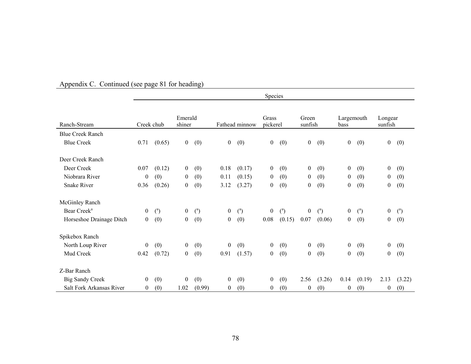|                          |                  |                |                  |                |                  |                | Species          |                |                  |                |                  |                |                  |                |
|--------------------------|------------------|----------------|------------------|----------------|------------------|----------------|------------------|----------------|------------------|----------------|------------------|----------------|------------------|----------------|
|                          |                  |                |                  |                |                  |                |                  |                |                  |                |                  |                |                  |                |
|                          |                  |                | Emerald          |                |                  |                | Grass            |                | Green            |                | Largemouth       |                | Longear          |                |
| Ranch-Stream             | Creek chub       |                | shiner           |                |                  | Fathead minnow | pickerel         |                | sunfish          |                | bass             |                | sunfish          |                |
| <b>Blue Creek Ranch</b>  |                  |                |                  |                |                  |                |                  |                |                  |                |                  |                |                  |                |
| <b>Blue Creek</b>        | 0.71             | (0.65)         | $\mathbf{0}$     | (0)            | $\boldsymbol{0}$ | (0)            | $\boldsymbol{0}$ | (0)            | $\mathbf{0}$     | (0)            | $\boldsymbol{0}$ | (0)            | $\boldsymbol{0}$ | (0)            |
| Deer Creek Ranch         |                  |                |                  |                |                  |                |                  |                |                  |                |                  |                |                  |                |
| Deer Creek               | 0.07             | (0.12)         | $\boldsymbol{0}$ | (0)            | 0.18             | (0.17)         | $\mathbf{0}$     | (0)            | $\overline{0}$   | (0)            | $\boldsymbol{0}$ | (0)            | $\mathbf{0}$     | (0)            |
| Niobrara River           | $\theta$         | (0)            | $\mathbf{0}$     | (0)            | 0.11             | (0.15)         | $\overline{0}$   | (0)            | $\overline{0}$   | (0)            | $\overline{0}$   | (0)            | $\mathbf{0}$     | (0)            |
| <b>Snake River</b>       | 0.36             | (0.26)         | $\mathbf{0}$     | (0)            | 3.12             | (3.27)         | $\mathbf{0}$     | (0)            | $\boldsymbol{0}$ | (0)            | $\boldsymbol{0}$ | (0)            | 0                | (0)            |
| <b>McGinley Ranch</b>    |                  |                |                  |                |                  |                |                  |                |                  |                |                  |                |                  |                |
| Bear Creek <sup>a</sup>  | $\boldsymbol{0}$ | $\binom{a}{b}$ | $\mathbf{0}$     | $\binom{a}{b}$ | $\mathbf{0}$     | $\binom{a}{b}$ | $\overline{0}$   | $\binom{a}{b}$ | $\mathbf{0}$     | $\binom{a}{b}$ | $\boldsymbol{0}$ | $\binom{a}{b}$ | $\mathbf{0}$     | $\binom{a}{b}$ |
| Horseshoe Drainage Ditch | $\boldsymbol{0}$ | (0)            | $\boldsymbol{0}$ | (0)            | $\overline{0}$   | (0)            | 0.08             | (0.15)         | 0.07             | (0.06)         | $\boldsymbol{0}$ | (0)            | $\boldsymbol{0}$ | (0)            |
| Spikebox Ranch           |                  |                |                  |                |                  |                |                  |                |                  |                |                  |                |                  |                |
| North Loup River         | $\boldsymbol{0}$ | (0)            | $\overline{0}$   | (0)            | $\overline{0}$   | (0)            | $\overline{0}$   | (0)            | $\overline{0}$   | (0)            | $\mathbf{0}$     | (0)            | $\mathbf{0}$     | (0)            |
| Mud Creek                | 0.42             | (0.72)         | $\mathbf{0}$     | (0)            | 0.91             | (1.57)         | $\overline{0}$   | (0)            | $\overline{0}$   | (0)            | $\overline{0}$   | (0)            | $\boldsymbol{0}$ | (0)            |
| Z-Bar Ranch              |                  |                |                  |                |                  |                |                  |                |                  |                |                  |                |                  |                |
| <b>Big Sandy Creek</b>   | $\boldsymbol{0}$ | (0)            | $\boldsymbol{0}$ | (0)            | $\boldsymbol{0}$ | (0)            | $\boldsymbol{0}$ | (0)            | 2.56             | (3.26)         | 0.14             | (0.19)         | 2.13             | (3.22)         |
| Salt Fork Arkansas River | $\boldsymbol{0}$ | (0)            | 1.02             | (0.99)         | $\boldsymbol{0}$ | (0)            | $\overline{0}$   | (0)            | $\boldsymbol{0}$ | (0)            | $\boldsymbol{0}$ | (0)            | $\boldsymbol{0}$ | (0)            |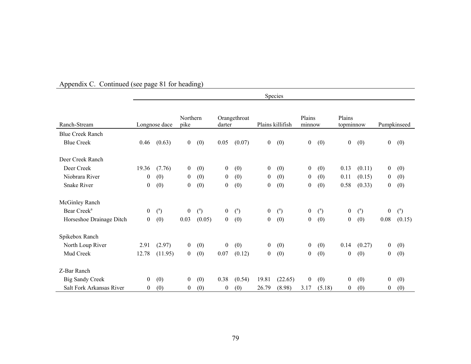|                          |                  |                |                  |                |                  |                |                  | Species          |                  |                |                     |                |                  |                |
|--------------------------|------------------|----------------|------------------|----------------|------------------|----------------|------------------|------------------|------------------|----------------|---------------------|----------------|------------------|----------------|
| Ranch-Stream             |                  | Longnose dace  | Northern<br>pike |                | darter           | Orangethroat   |                  | Plains killifish | Plains<br>minnow |                | Plains<br>topminnow |                |                  | Pumpkinseed    |
| <b>Blue Creek Ranch</b>  |                  |                |                  |                |                  |                |                  |                  |                  |                |                     |                |                  |                |
| <b>Blue Creek</b>        | 0.46             | (0.63)         | $\mathbf{0}$     | (0)            | 0.05             | (0.07)         | $\overline{0}$   | (0)              | $\boldsymbol{0}$ | (0)            | $\boldsymbol{0}$    | (0)            | $\overline{0}$   | (0)            |
| Deer Creek Ranch         |                  |                |                  |                |                  |                |                  |                  |                  |                |                     |                |                  |                |
| Deer Creek               | 19.36            | (7.76)         | $\overline{0}$   | (0)            | $\overline{0}$   | (0)            | $\boldsymbol{0}$ | (0)              | $\boldsymbol{0}$ | (0)            | 0.13                | (0.11)         | $\overline{0}$   | (0)            |
| Niobrara River           | $\boldsymbol{0}$ | (0)            | $\overline{0}$   | (0)            | $\mathbf{0}$     | (0)            | $\mathbf{0}$     | (0)              | $\mathbf{0}$     | (0)            | 0.11                | (0.15)         | $\overline{0}$   | (0)            |
| <b>Snake River</b>       | $\boldsymbol{0}$ | (0)            | $\mathbf{0}$     | (0)            | $\boldsymbol{0}$ | (0)            | $\boldsymbol{0}$ | (0)              | $\boldsymbol{0}$ | (0)            | 0.58                | (0.33)         | 0                | (0)            |
| <b>McGinley Ranch</b>    |                  |                |                  |                |                  |                |                  |                  |                  |                |                     |                |                  |                |
| Bear Creek <sup>a</sup>  | $\boldsymbol{0}$ | $\binom{a}{b}$ | $\overline{0}$   | $\binom{a}{b}$ | $\boldsymbol{0}$ | $\binom{a}{b}$ | $\mathbf{0}$     | $\binom{a}{b}$   | $\boldsymbol{0}$ | $\binom{a}{b}$ | $\overline{0}$      | $\binom{a}{b}$ | $\overline{0}$   | $\binom{a}{b}$ |
| Horseshoe Drainage Ditch | $\boldsymbol{0}$ | (0)            | 0.03             | (0.05)         | $\mathbf{0}$     | (0)            | $\boldsymbol{0}$ | (0)              | $\mathbf{0}$     | (0)            | $\overline{0}$      | (0)            | 0.08             | (0.15)         |
| Spikebox Ranch           |                  |                |                  |                |                  |                |                  |                  |                  |                |                     |                |                  |                |
| North Loup River         | 2.91             | (2.97)         | $\overline{0}$   | (0)            | $\boldsymbol{0}$ | (0)            | $\mathbf{0}$     | (0)              | $\boldsymbol{0}$ | (0)            | 0.14                | (0.27)         | $\overline{0}$   | (0)            |
| Mud Creek                | 12.78            | (11.95)        | $\overline{0}$   | (0)            | 0.07             | (0.12)         | $\mathbf{0}$     | (0)              | $\boldsymbol{0}$ | (0)            | $\overline{0}$      | (0)            | $\overline{0}$   | (0)            |
| Z-Bar Ranch              |                  |                |                  |                |                  |                |                  |                  |                  |                |                     |                |                  |                |
| <b>Big Sandy Creek</b>   | $\boldsymbol{0}$ | (0)            | $\overline{0}$   | (0)            | 0.38             | (0.54)         | 19.81            | (22.65)          | $\boldsymbol{0}$ | (0)            | $\overline{0}$      | (0)            | $\boldsymbol{0}$ | (0)            |
| Salt Fork Arkansas River | $\theta$         | (0)            | $\overline{0}$   | (0)            | 0                | (0)            | 26.79            | (8.98)           | 3.17             | (5.18)         | $\overline{0}$      | (0)            | $\boldsymbol{0}$ | (0)            |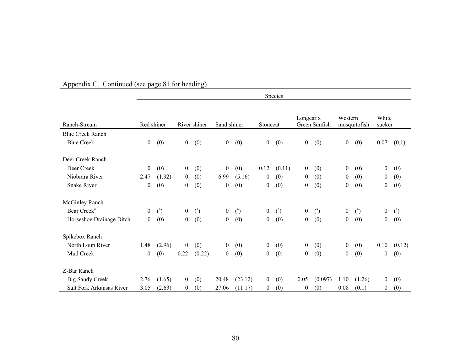|                          |                  |                |                  |                |                  |                |                  | Species        |                  |                |                |                |                  |                |
|--------------------------|------------------|----------------|------------------|----------------|------------------|----------------|------------------|----------------|------------------|----------------|----------------|----------------|------------------|----------------|
| Ranch-Stream             |                  | Red shiner     |                  | River shiner   | Sand shiner      |                | Stonecat         |                | Longear x        | Green Sunfish  | Western        | mosquitofish   | White<br>sucker  |                |
| <b>Blue Creek Ranch</b>  |                  |                |                  |                |                  |                |                  |                |                  |                |                |                |                  |                |
| <b>Blue Creek</b>        | $\boldsymbol{0}$ | (0)            | $\overline{0}$   | (0)            | $\boldsymbol{0}$ | (0)            | $\boldsymbol{0}$ | (0)            | $\boldsymbol{0}$ | (0)            | $\overline{0}$ | (0)            | 0.07             | (0.1)          |
| Deer Creek Ranch         |                  |                |                  |                |                  |                |                  |                |                  |                |                |                |                  |                |
| Deer Creek               | $\boldsymbol{0}$ | (0)            | $\overline{0}$   | (0)            | $\boldsymbol{0}$ | (0)            | 0.12             | (0.11)         | $\mathbf{0}$     | (0)            | $\mathbf{0}$   | (0)            | $\boldsymbol{0}$ | (0)            |
| Niobrara River           | 2.47             | (1.92)         | $\overline{0}$   | (0)            | 6.99             | (5.16)         | $\boldsymbol{0}$ | (0)            | $\overline{0}$   | (0)            | $\overline{0}$ | (0)            | 0                | (0)            |
| <b>Snake River</b>       | $\boldsymbol{0}$ | (0)            | $\boldsymbol{0}$ | (0)            | $\boldsymbol{0}$ | (0)            | 0                | (0)            | $\boldsymbol{0}$ | (0)            | $\overline{0}$ | (0)            | $\overline{0}$   | (0)            |
| <b>McGinley Ranch</b>    |                  |                |                  |                |                  |                |                  |                |                  |                |                |                |                  |                |
| Bear Creek <sup>a</sup>  | $\boldsymbol{0}$ | $\binom{a}{b}$ | $\overline{0}$   | $\binom{a}{b}$ | $\overline{0}$   | $\binom{a}{b}$ | $\boldsymbol{0}$ | $\binom{a}{b}$ | $\mathbf{0}$     | $\binom{a}{b}$ | $\mathbf{0}$   | $\binom{a}{b}$ | $\boldsymbol{0}$ | $\binom{a}{b}$ |
| Horseshoe Drainage Ditch | $\overline{0}$   | (0)            | $\boldsymbol{0}$ | (0)            | $\boldsymbol{0}$ | (0)            | $\boldsymbol{0}$ | (0)            | $\boldsymbol{0}$ | (0)            | $\overline{0}$ | (0)            | 0                | (0)            |
| Spikebox Ranch           |                  |                |                  |                |                  |                |                  |                |                  |                |                |                |                  |                |
| North Loup River         | 1.48             | (2.96)         | $\boldsymbol{0}$ | (0)            | $\boldsymbol{0}$ | (0)            | $\boldsymbol{0}$ | (0)            | $\mathbf{0}$     | (0)            | $\mathbf{0}$   | (0)            | 0.10             | (0.12)         |
| Mud Creek                | 0                | (0)            | 0.22             | (0.22)         | $\overline{0}$   | (0)            | 0                | (0)            | $\boldsymbol{0}$ | (0)            | $\overline{0}$ | (0)            | $\overline{0}$   | (0)            |
| Z-Bar Ranch              |                  |                |                  |                |                  |                |                  |                |                  |                |                |                |                  |                |
| <b>Big Sandy Creek</b>   | 2.76             | (1.65)         | $\overline{0}$   | (0)            | 20.48            | (23.12)        | $\overline{0}$   | (0)            | 0.05             | (0.097)        | 1.10           | (1.26)         | $\overline{0}$   | (0)            |
| Salt Fork Arkansas River | 3.05             | (2.63)         | 0                | (0)            | 27.06            | (11.17)        | $\overline{0}$   | (0)            | $\boldsymbol{0}$ | (0)            | 0.08           | (0.1)          | 0                | (0)            |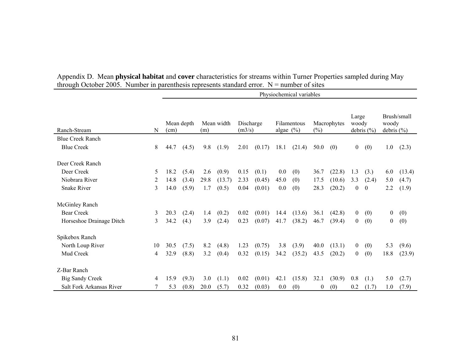|                          |    | Physiochemical variables |            |      |            |                     |        |              |             |          |             |                |                |                         |             |
|--------------------------|----|--------------------------|------------|------|------------|---------------------|--------|--------------|-------------|----------|-------------|----------------|----------------|-------------------------|-------------|
| Ranch-Stream             | N  | (cm)                     | Mean depth | (m)  | Mean width | Discharge<br>(m3/s) |        | algae $(\%)$ | Filamentous | $(\%)$   | Macrophytes | Large<br>woody | debris $(\% )$ | woody<br>debris $(\% )$ | Brush/small |
| <b>Blue Creek Ranch</b>  |    |                          |            |      |            |                     |        |              |             |          |             |                |                |                         |             |
| <b>Blue Creek</b>        | 8  | 44.7                     | (4.5)      | 9.8  | (1.9)      | 2.01                | (0.17) | 18.1         | (21.4)      | 50.0     | (0)         | $\overline{0}$ | (0)            | 1.0                     | (2.3)       |
| Deer Creek Ranch         |    |                          |            |      |            |                     |        |              |             |          |             |                |                |                         |             |
| Deer Creek               | 5  | 18.2                     | (5.4)      | 2.6  | (0.9)      | 0.15                | (0.1)  | 0.0          | (0)         | 36.7     | (22.8)      | 1.3            | (3.)           | 6.0                     | (13.4)      |
| Niobrara River           | 2  | 14.8                     | (3.4)      | 29.8 | (13.7)     | 2.33                | (0.45) | 45.0         | (0)         | 17.5     | (10.6)      | 3.3            | (2.4)          | 5.0                     | (4.7)       |
| <b>Snake River</b>       | 3  | 14.0                     | (5.9)      | 1.7  | (0.5)      | 0.04                | (0.01) | 0.0          | (0)         | 28.3     | (20.2)      | $\overline{0}$ | $\mathbf{0}$   | 2.2                     | (1.9)       |
| <b>McGinley Ranch</b>    |    |                          |            |      |            |                     |        |              |             |          |             |                |                |                         |             |
| <b>Bear Creek</b>        | 3  | 20.3                     | (2.4)      | 1.4  | (0.2)      | 0.02                | (0.01) | 14.4         | (13.6)      | 36.1     | (42.8)      | $\overline{0}$ | (0)            | $\overline{0}$          | (0)         |
| Horseshoe Drainage Ditch | 3  | 34.2                     | (4.)       | 3.9  | (2.4)      | 0.23                | (0.07) | 41.7         | (38.2)      | 46.7     | (39.4)      | $\overline{0}$ | (0)            | $\overline{0}$          | (0)         |
| Spikebox Ranch           |    |                          |            |      |            |                     |        |              |             |          |             |                |                |                         |             |
| North Loup River         | 10 | 30.5                     | (7.5)      | 8.2  | (4.8)      | 1.23                | (0.75) | 3.8          | (3.9)       | 40.0     | (13.1)      | $\overline{0}$ | (0)            | 5.3                     | (9.6)       |
| Mud Creek                | 4  | 32.9                     | (8.8)      | 3.2  | (0.4)      | 0.32                | (0.15) | 34.2         | (35.2)      | 43.5     | (20.2)      | $\theta$       | (0)            | 18.8                    | (23.9)      |
| Z-Bar Ranch              |    |                          |            |      |            |                     |        |              |             |          |             |                |                |                         |             |
| <b>Big Sandy Creek</b>   | 4  | 15.9                     | (9.3)      | 3.0  | (1.1)      | 0.02                | (0.01) | 42.1         | (15.8)      | 32.1     | (30.9)      | 0.8            | (1.)           | 5.0                     | (2.7)       |
| Salt Fork Arkansas River |    | 5.3                      | (0.8)      | 20.0 | (5.7)      | 0.32                | (0.03) | 0.0          | (0)         | $\theta$ | (0)         | 0.2            | (1.7)          | 1.0                     | (7.9)       |

| Appendix D. Mean <b>physical habitat</b> and <b>cover</b> characteristics for streams within Turner Properties sampled during May |
|-----------------------------------------------------------------------------------------------------------------------------------|
| through October 2005. Number in parenthesis represents standard error. $N =$ number of sites                                      |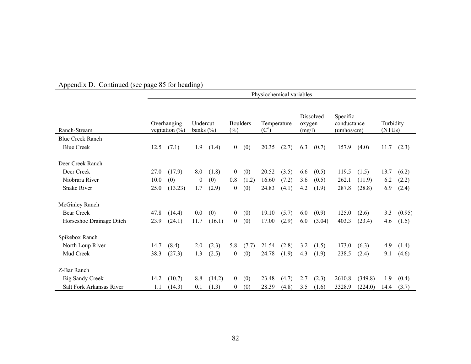|                          | Physiochemical variables         |         |                           |        |                           |       |                              |       |                                      |        |                                                |         |                     |        |
|--------------------------|----------------------------------|---------|---------------------------|--------|---------------------------|-------|------------------------------|-------|--------------------------------------|--------|------------------------------------------------|---------|---------------------|--------|
| Ranch-Stream             | Overhanging<br>vegitation $(\%)$ |         | Undercut<br>banks $(\% )$ |        | <b>Boulders</b><br>$(\%)$ |       | Temperature<br>$(C^{\circ})$ |       | <b>Dissolved</b><br>oxygen<br>(mg/l) |        | Specific<br>conductance<br>$(\text{umbos/cm})$ |         | Turbidity<br>(NTUs) |        |
| <b>Blue Creek Ranch</b>  |                                  |         |                           |        |                           |       |                              |       |                                      |        |                                                |         |                     |        |
| <b>Blue Creek</b>        | 12.5                             | (7.1)   | 1.9                       | (1.4)  | $\theta$                  | (0)   | 20.35                        | (2.7) | 6.3                                  | (0.7)  | 157.9                                          | (4.0)   | 11.7                | (2.3)  |
| Deer Creek Ranch         |                                  |         |                           |        |                           |       |                              |       |                                      |        |                                                |         |                     |        |
| Deer Creek               | 27.0                             | (17.9)  | 8.0                       | (1.8)  | $\overline{0}$            | (0)   | 20.52                        | (3.5) | 6.6                                  | (0.5)  | 119.5                                          | (1.5)   | 13.7                | (6.2)  |
| Niobrara River           | 10.0                             | (0)     | $\theta$                  | (0)    | 0.8                       | (1.2) | 16.60                        | (7.2) | 3.6                                  | (0.5)  | 262.1                                          | (11.9)  | 6.2                 | (2.2)  |
| <b>Snake River</b>       | 25.0                             | (13.23) | 1.7                       | (2.9)  | $\theta$                  | (0)   | 24.83                        | (4.1) | 4.2                                  | (1.9)  | 287.8                                          | (28.8)  | 6.9                 | (2.4)  |
| <b>McGinley Ranch</b>    |                                  |         |                           |        |                           |       |                              |       |                                      |        |                                                |         |                     |        |
| <b>Bear Creek</b>        | 47.8                             | (14.4)  | 0.0                       | (0)    | $\theta$                  | (0)   | 19.10                        | (5.7) | 6.0                                  | (0.9)  | 125.0                                          | (2.6)   | 3.3                 | (0.95) |
| Horseshoe Drainage Ditch | 23.9                             | (24.1)  | 11.7                      | (16.1) | $\theta$                  | (0)   | 17.00                        | (2.9) | 6.0                                  | (3.04) | 403.3                                          | (23.4)  | 4.6                 | (1.5)  |
| Spikebox Ranch           |                                  |         |                           |        |                           |       |                              |       |                                      |        |                                                |         |                     |        |
| North Loup River         | 14.7                             | (8.4)   | 2.0                       | (2.3)  | 5.8                       | (7.7) | 21.54                        | (2.8) | 3.2                                  | (1.5)  | 173.0                                          | (6.3)   | 4.9                 | (1.4)  |
| Mud Creek                | 38.3                             | (27.3)  | 1.3                       | (2.5)  | $\overline{0}$            | (0)   | 24.78                        | (1.9) | 4.3                                  | (1.9)  | 238.5                                          | (2.4)   | 9.1                 | (4.6)  |
| Z-Bar Ranch              |                                  |         |                           |        |                           |       |                              |       |                                      |        |                                                |         |                     |        |
| <b>Big Sandy Creek</b>   | 14.2                             | (10.7)  | 8.8                       | (14.2) | $\overline{0}$            | (0)   | 23.48                        | (4.7) | 2.7                                  | (2.3)  | 2610.8                                         | (349.8) | 1.9                 | (0.4)  |
| Salt Fork Arkansas River | 1.1                              | (14.3)  | 0.1                       | (1.3)  | $\bf{0}$                  | (0)   | 28.39                        | (4.8) | 3.5                                  | (1.6)  | 3328.9                                         | (224.0) | 14.4                | (3.7)  |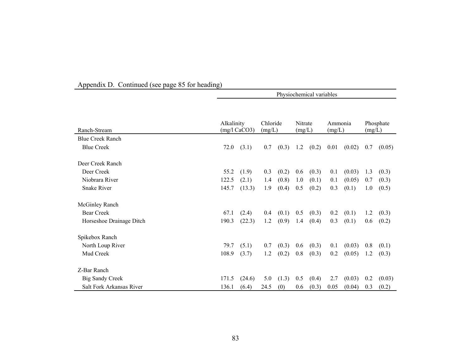|                          | Physiochemical variables |                 |                    |       |                   |       |                   |        |        |           |
|--------------------------|--------------------------|-----------------|--------------------|-------|-------------------|-------|-------------------|--------|--------|-----------|
|                          |                          |                 |                    |       |                   |       |                   |        |        |           |
| Ranch-Stream             | Alkalinity               | $(mg/l)$ CaCO3) | Chloride<br>(mg/L) |       | Nitrate<br>(mg/L) |       | Ammonia<br>(mg/L) |        | (mg/L) | Phosphate |
| <b>Blue Creek Ranch</b>  |                          |                 |                    |       |                   |       |                   |        |        |           |
| <b>Blue Creek</b>        | 72.0                     | (3.1)           | 0.7                | (0.3) | 1.2               | (0.2) | 0.01              | (0.02) | 0.7    | (0.05)    |
| Deer Creek Ranch         |                          |                 |                    |       |                   |       |                   |        |        |           |
| Deer Creek               | 55.2                     | (1.9)           | 0.3                | (0.2) | 0.6               | (0.3) | 0.1               | (0.03) | 1.3    | (0.3)     |
| Niobrara River           | 122.5                    | (2.1)           | 1.4                | (0.8) | 1.0               | (0.1) | 0.1               | (0.05) | 0.7    | (0.3)     |
| <b>Snake River</b>       | 145.7                    | (13.3)          | 1.9                | (0.4) | 0.5               | (0.2) | 0.3               | (0.1)  | 1.0    | (0.5)     |
| <b>McGinley Ranch</b>    |                          |                 |                    |       |                   |       |                   |        |        |           |
| <b>Bear Creek</b>        | 67.1                     | (2.4)           | 0.4                | (0.1) | 0.5               | (0.3) | 0.2               | (0.1)  | 1.2    | (0.3)     |
| Horseshoe Drainage Ditch | 190.3                    | (22.3)          | 1.2                | (0.9) | 1.4               | (0.4) | 0.3               | (0.1)  | 0.6    | (0.2)     |
| Spikebox Ranch           |                          |                 |                    |       |                   |       |                   |        |        |           |
| North Loup River         | 79.7                     | (5.1)           | 0.7                | (0.3) | 0.6               | (0.3) | 0.1               | (0.03) | 0.8    | (0.1)     |
| Mud Creek                | 108.9                    | (3.7)           | 1.2                | (0.2) | 0.8               | (0.3) | 0.2               | (0.05) | 1.2    | (0.3)     |
| Z-Bar Ranch              |                          |                 |                    |       |                   |       |                   |        |        |           |
| <b>Big Sandy Creek</b>   | 171.5                    | (24.6)          | 5.0                | (1.3) | 0.5               | (0.4) | 2.7               | (0.03) | 0.2    | (0.03)    |
| Salt Fork Arkansas River | 136.1                    | (6.4)           | 24.5               | (0)   | 0.6               | (0.3) | 0.05              | (0.04) | 0.3    | (0.2)     |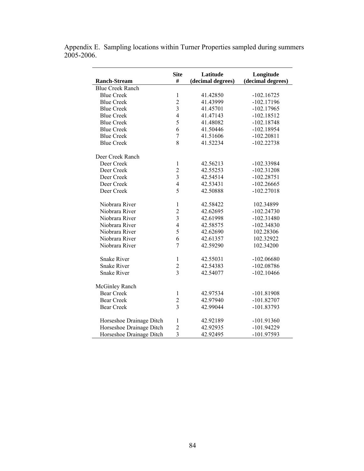|                          | <b>Site</b>             | Latitude          | Longitude         |  |  |  |  |
|--------------------------|-------------------------|-------------------|-------------------|--|--|--|--|
| <b>Ranch-Stream</b>      | #                       | (decimal degrees) | (decimal degrees) |  |  |  |  |
| <b>Blue Creek Ranch</b>  |                         |                   |                   |  |  |  |  |
| <b>Blue Creek</b>        | $\mathbf{1}$            | 41.42850          | $-102.16725$      |  |  |  |  |
| <b>Blue Creek</b>        | $\overline{2}$          | 41.43999          | $-102.17196$      |  |  |  |  |
| <b>Blue Creek</b>        | 3                       | 41.45701          | $-102.17965$      |  |  |  |  |
| <b>Blue Creek</b>        | $\overline{4}$          | 41.47143          | $-102.18512$      |  |  |  |  |
| <b>Blue Creek</b>        | 5                       | 41.48082          | $-102.18748$      |  |  |  |  |
| <b>Blue Creek</b>        | 6                       | 41.50446          | $-102.18954$      |  |  |  |  |
| <b>Blue Creek</b>        | $\overline{7}$          | 41.51606          | $-102.20811$      |  |  |  |  |
| <b>Blue Creek</b>        | 8                       | 41.52234          | $-102.22738$      |  |  |  |  |
| Deer Creek Ranch         |                         |                   |                   |  |  |  |  |
| Deer Creek               | $\mathbf{1}$            | 42.56213          | -102.33984        |  |  |  |  |
| Deer Creek               | $\overline{c}$          | 42.55253          | $-102.31208$      |  |  |  |  |
| Deer Creek               | $\overline{3}$          | 42.54514          | $-102.28751$      |  |  |  |  |
| Deer Creek               | $\overline{4}$          | 42.53431          | $-102.26665$      |  |  |  |  |
| Deer Creek               | 5                       | 42.50888          | $-102.27018$      |  |  |  |  |
| Niobrara River           | $\mathbf{1}$            | 42.58422          | 102.34899         |  |  |  |  |
| Niobrara River           | $\overline{c}$          | 42.62695          | $-102.24730$      |  |  |  |  |
| Niobrara River           | $\overline{\mathbf{3}}$ | 42.61998          | $-102.31480$      |  |  |  |  |
| Niobrara River           | $\overline{4}$          | 42.58575          | $-102.34830$      |  |  |  |  |
| Niobrara River           | 5                       | 42.62690          | 102.28306         |  |  |  |  |
| Niobrara River           | 6                       | 42.61357          | 102.32922         |  |  |  |  |
| Niobrara River           | $\overline{7}$          | 42.59290          | 102.34200         |  |  |  |  |
| <b>Snake River</b>       | $\mathbf{1}$            | 42.55031          | $-102.06680$      |  |  |  |  |
| <b>Snake River</b>       | $\overline{c}$          | 42.54383          | $-102.08786$      |  |  |  |  |
| <b>Snake River</b>       | $\overline{3}$          | 42.54077          | $-102.10466$      |  |  |  |  |
| McGinley Ranch           |                         |                   |                   |  |  |  |  |
| <b>Bear Creek</b>        | $\mathbf{1}$            | 42.97534          | $-101.81908$      |  |  |  |  |
| <b>Bear Creek</b>        | $\overline{c}$          | 42.97940          | $-101.82707$      |  |  |  |  |
| <b>Bear Creek</b>        | $\overline{3}$          | 42.99044          | $-101.83793$      |  |  |  |  |
| Horseshoe Drainage Ditch | $\mathbf{1}$            | 42.92189          | $-101.91360$      |  |  |  |  |
| Horseshoe Drainage Ditch | $\overline{c}$          | 42.92935          | $-101.94229$      |  |  |  |  |
| Horseshoe Drainage Ditch | $\overline{\mathbf{3}}$ | 42.92495          | -101.97593        |  |  |  |  |

Appendix E. Sampling locations within Turner Properties sampled during summers 2005-2006.